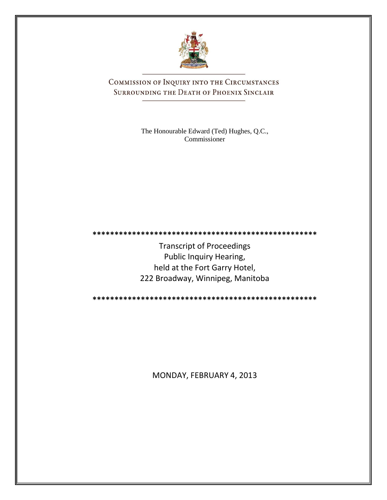

COMMISSION OF INQUIRY INTO THE CIRCUMSTANCES SURROUNDING THE DEATH OF PHOENIX SINCLAIR

> The Honourable Edward (Ted) Hughes, Q.C., Commissioner

**\*\*\*\*\*\*\*\*\*\*\*\*\*\*\*\*\*\*\*\*\*\*\*\*\*\*\*\*\*\*\*\*\*\*\*\*\*\*\*\*\*\*\*\*\*\*\*\*\*\*\***

Transcript of Proceedings Public Inquiry Hearing, held at the Fort Garry Hotel, 222 Broadway, Winnipeg, Manitoba

**\*\*\*\*\*\*\*\*\*\*\*\*\*\*\*\*\*\*\*\*\*\*\*\*\*\*\*\*\*\*\*\*\*\*\*\*\*\*\*\*\*\*\*\*\*\*\*\*\*\*\***

MONDAY, FEBRUARY 4, 2013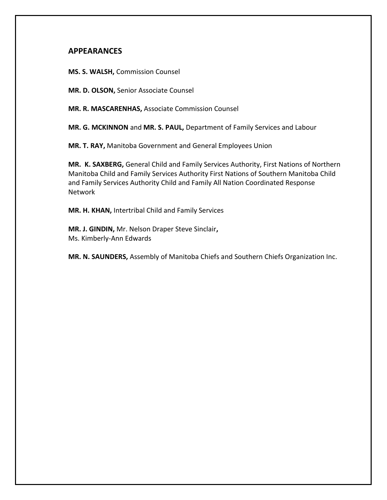## **APPEARANCES**

**MS. S. WALSH,** Commission Counsel

**MR. D. OLSON,** Senior Associate Counsel

**MR. R. MASCARENHAS,** Associate Commission Counsel

**MR. G. MCKINNON** and **MR. S. PAUL,** Department of Family Services and Labour

**MR. T. RAY,** Manitoba Government and General Employees Union

**MR. K. SAXBERG,** General Child and Family Services Authority, First Nations of Northern Manitoba Child and Family Services Authority First Nations of Southern Manitoba Child and Family Services Authority Child and Family All Nation Coordinated Response Network

**MR. H. KHAN,** Intertribal Child and Family Services

**MR. J. GINDIN,** Mr. Nelson Draper Steve Sinclair**,** Ms. Kimberly-Ann Edwards

**MR. N. SAUNDERS,** Assembly of Manitoba Chiefs and Southern Chiefs Organization Inc.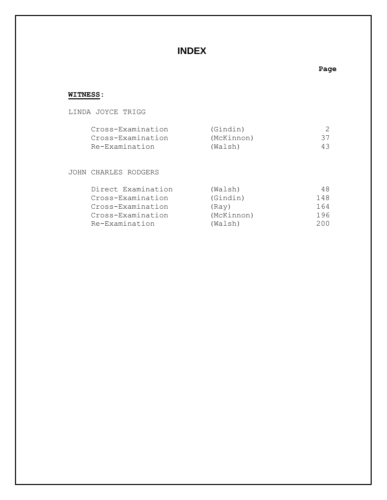# **INDEX**

### **Page**

# **WITNESS:**

### LINDA JOYCE TRIGG

| Cross-Examination | (Gindin)   |    |
|-------------------|------------|----|
| Cross-Examination | (McKinnon) | 37 |
| Re-Examination    | (Walsh)    | 43 |

### JOHN CHARLES RODGERS

| Direct Examination | (Walsh)    | 48. |
|--------------------|------------|-----|
| Cross-Examination  | (Gindin)   | 148 |
| Cross-Examination  | (Rav)      | 164 |
| Cross-Examination  | (McKinnon) | 196 |
| Re-Examination     | (Walsh)    | 200 |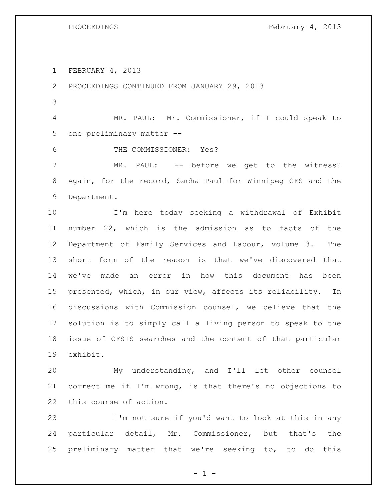PROCEEDINGS February 4, 2013

FEBRUARY 4, 2013

PROCEEDINGS CONTINUED FROM JANUARY 29, 2013

 MR. PAUL: Mr. Commissioner, if I could speak to one preliminary matter --

THE COMMISSIONER: Yes?

 MR. PAUL: -- before we get to the witness? Again, for the record, Sacha Paul for Winnipeg CFS and the Department.

 I'm here today seeking a withdrawal of Exhibit number 22, which is the admission as to facts of the Department of Family Services and Labour, volume 3. The short form of the reason is that we've discovered that we've made an error in how this document has been presented, which, in our view, affects its reliability. In discussions with Commission counsel, we believe that the solution is to simply call a living person to speak to the issue of CFSIS searches and the content of that particular exhibit.

 My understanding, and I'll let other counsel correct me if I'm wrong, is that there's no objections to this course of action.

 I'm not sure if you'd want to look at this in any particular detail, Mr. Commissioner, but that's the preliminary matter that we're seeking to, to do this

 $- 1 -$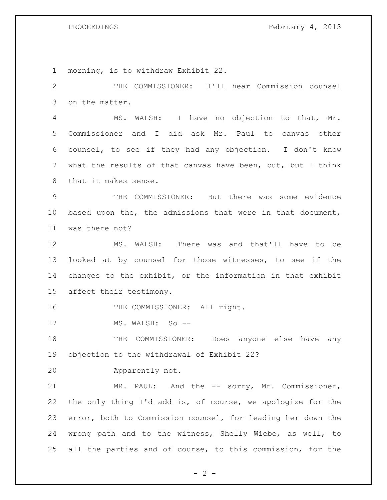| $\mathbf 1$    | morning, is to withdraw Exhibit 22.                         |
|----------------|-------------------------------------------------------------|
| $\mathbf{2}$   | THE COMMISSIONER: I'll hear Commission counsel              |
| 3              | on the matter.                                              |
| $\overline{4}$ | MS. WALSH: I have no objection to that, Mr.                 |
| 5              | Commissioner and I did ask Mr. Paul to canvas other         |
| 6              | counsel, to see if they had any objection. I don't know     |
| 7              | what the results of that canvas have been, but, but I think |
| 8              | that it makes sense.                                        |
| $\mathsf 9$    | THE COMMISSIONER: But there was some evidence               |
| 10             | based upon the, the admissions that were in that document,  |
| 11             | was there not?                                              |
| 12             | MS. WALSH: There was and that'll have to be                 |
| 13             | looked at by counsel for those witnesses, to see if the     |
| 14             | changes to the exhibit, or the information in that exhibit  |
| 15             | affect their testimony.                                     |
| 16             | THE COMMISSIONER: All right.                                |
| 17             | MS. WALSH: So --                                            |
| 18             | COMMISSIONER:<br>Does anyone else<br>THE<br>have<br>any     |
| 19             | objection to the withdrawal of Exhibit 22?                  |
| 20             | Apparently not.                                             |
| 21             | MR. PAUL: And the -- sorry, Mr. Commissioner,               |
| 22             | the only thing I'd add is, of course, we apologize for the  |
| 23             | error, both to Commission counsel, for leading her down the |
| 24             | wrong path and to the witness, Shelly Wiebe, as well, to    |
| 25             | all the parties and of course, to this commission, for the  |

 $- 2 -$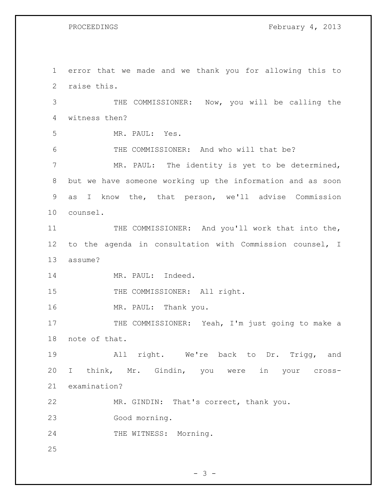PROCEEDINGS February 4, 2013

 error that we made and we thank you for allowing this to raise this. THE COMMISSIONER: Now, you will be calling the witness then? MR. PAUL: Yes. THE COMMISSIONER: And who will that be? MR. PAUL: The identity is yet to be determined, but we have someone working up the information and as soon as I know the, that person, we'll advise Commission counsel. 11 THE COMMISSIONER: And you'll work that into the, to the agenda in consultation with Commission counsel, I assume? 14 MR. PAUL: Indeed. 15 THE COMMISSIONER: All right. 16 MR. PAUL: Thank you. 17 THE COMMISSIONER: Yeah, I'm just going to make a note of that. All right. We're back to Dr. Trigg, and I think, Mr. Gindin, you were in your cross- examination? MR. GINDIN: That's correct, thank you. Good morning. THE WITNESS: Morning. 

 $- 3 -$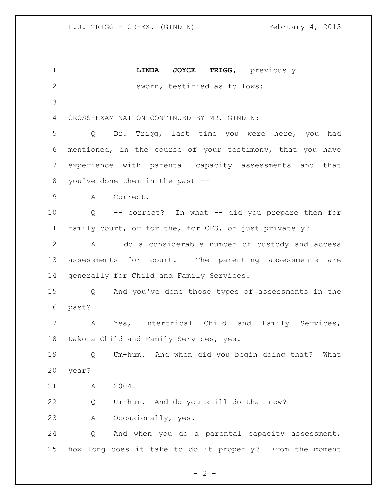**LINDA JOYCE TRIGG,** previously sworn, testified as follows: CROSS-EXAMINATION CONTINUED BY MR. GINDIN: Q Dr. Trigg, last time you were here, you had mentioned, in the course of your testimony, that you have experience with parental capacity assessments and that you've done them in the past -- A Correct. Q -- correct? In what -- did you prepare them for family court, or for the, for CFS, or just privately? A I do a considerable number of custody and access assessments for court. The parenting assessments are generally for Child and Family Services. Q And you've done those types of assessments in the past? A Yes, Intertribal Child and Family Services, Dakota Child and Family Services, yes. Q Um-hum. And when did you begin doing that? What year? A 2004. Q Um-hum. And do you still do that now? A Occasionally, yes. Q And when you do a parental capacity assessment, how long does it take to do it properly? From the moment

 $- 2 -$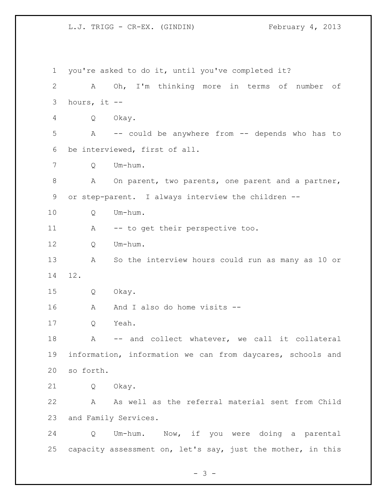you're asked to do it, until you've completed it? A Oh, I'm thinking more in terms of number of hours, it -- Q Okay. A -- could be anywhere from -- depends who has to be interviewed, first of all. Q Um-hum. 8 A On parent, two parents, one parent and a partner, or step-parent. I always interview the children -- Q Um-hum. 11 A -- to get their perspective too. 12 O Um-hum. A So the interview hours could run as many as 10 or 12. Q Okay. 16 A And I also do home visits -- Q Yeah. A -- and collect whatever, we call it collateral information, information we can from daycares, schools and so forth. Q Okay. A As well as the referral material sent from Child and Family Services. Q Um-hum. Now, if you were doing a parental capacity assessment on, let's say, just the mother, in this

- 3 -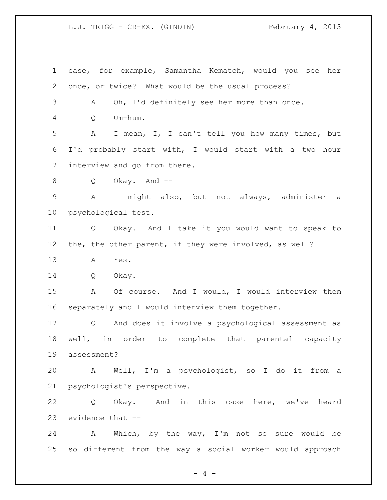case, for example, Samantha Kematch, would you see her once, or twice? What would be the usual process? A Oh, I'd definitely see her more than once. Q Um-hum. A I mean, I, I can't tell you how many times, but I'd probably start with, I would start with a two hour interview and go from there. Q Okay. And -- A I might also, but not always, administer a psychological test. Q Okay. And I take it you would want to speak to the, the other parent, if they were involved, as well? A Yes. Q Okay. A Of course. And I would, I would interview them separately and I would interview them together. Q And does it involve a psychological assessment as well, in order to complete that parental capacity assessment? A Well, I'm a psychologist, so I do it from a psychologist's perspective. Q Okay. And in this case here, we've heard evidence that -- A Which, by the way, I'm not so sure would be so different from the way a social worker would approach

 $- 4 -$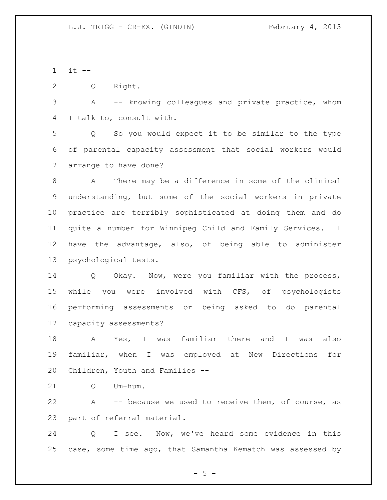it  $-$ 

Q Right.

 A -- knowing colleagues and private practice, whom I talk to, consult with.

 Q So you would expect it to be similar to the type of parental capacity assessment that social workers would arrange to have done?

 A There may be a difference in some of the clinical understanding, but some of the social workers in private practice are terribly sophisticated at doing them and do quite a number for Winnipeg Child and Family Services. I have the advantage, also, of being able to administer psychological tests.

 Q Okay. Now, were you familiar with the process, while you were involved with CFS, of psychologists performing assessments or being asked to do parental capacity assessments?

 A Yes, I was familiar there and I was also familiar, when I was employed at New Directions for Children, Youth and Families --

21 O Um-hum.

 A -- because we used to receive them, of course, as part of referral material.

 Q I see. Now, we've heard some evidence in this case, some time ago, that Samantha Kematch was assessed by

 $-5 -$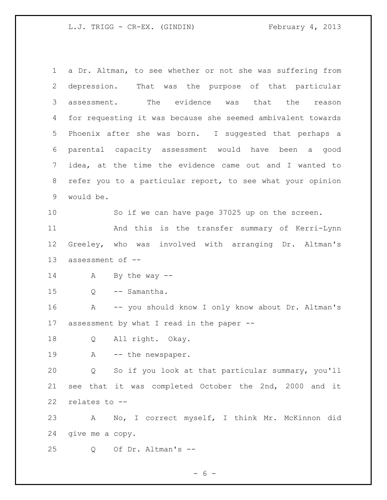a Dr. Altman, to see whether or not she was suffering from depression. That was the purpose of that particular assessment. The evidence was that the reason for requesting it was because she seemed ambivalent towards Phoenix after she was born. I suggested that perhaps a parental capacity assessment would have been a good idea, at the time the evidence came out and I wanted to refer you to a particular report, to see what your opinion would be. So if we can have page 37025 up on the screen. And this is the transfer summary of Kerri-Lynn Greeley, who was involved with arranging Dr. Altman's assessment of -- A By the way -- Q -- Samantha. A -- you should know I only know about Dr. Altman's assessment by what I read in the paper -- Q All right. Okay. 19 A -- the newspaper. Q So if you look at that particular summary, you'll see that it was completed October the 2nd, 2000 and it relates to -- A No, I correct myself, I think Mr. McKinnon did give me a copy. Q Of Dr. Altman's --

 $- 6 -$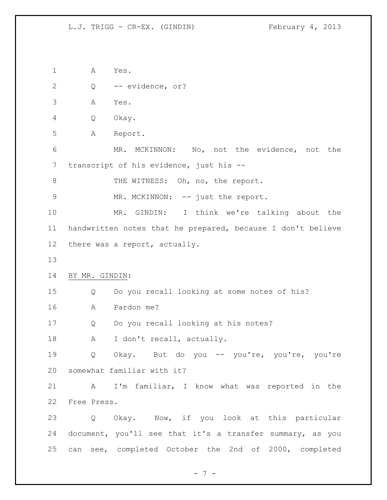A Yes. Q -- evidence, or? A Yes. Q Okay. A Report. MR. MCKINNON: No, not the evidence, not the transcript of his evidence, just his -- 8 THE WITNESS: Oh, no, the report. 9 MR. MCKINNON: -- just the report. MR. GINDIN: I think we're talking about the handwritten notes that he prepared, because I don't believe there was a report, actually. BY MR. GINDIN: Q Do you recall looking at some notes of his? A Pardon me? Q Do you recall looking at his notes? 18 A I don't recall, actually. Q Okay. But do you -- you're, you're, you're somewhat familiar with it? A I'm familiar, I know what was reported in the Free Press. Q Okay. Now, if you look at this particular document, you'll see that it's a transfer summary, as you can see, completed October the 2nd of 2000, completed

- 7 -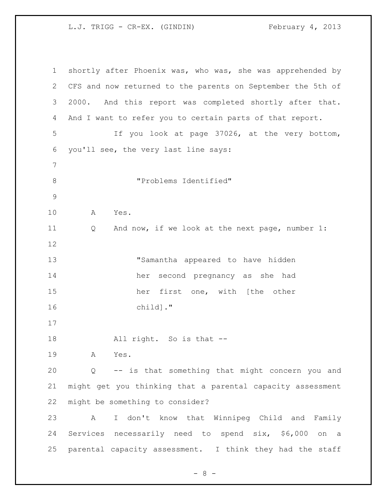shortly after Phoenix was, who was, she was apprehended by CFS and now returned to the parents on September the 5th of 2000. And this report was completed shortly after that. And I want to refer you to certain parts of that report. If you look at page 37026, at the very bottom, you'll see, the very last line says: "Problems Identified" A Yes. Q And now, if we look at the next page, number 1: "Samantha appeared to have hidden her second pregnancy as she had her first one, with [the other child]." 18 All right. So is that -- A Yes. Q -- is that something that might concern you and might get you thinking that a parental capacity assessment might be something to consider? A I don't know that Winnipeg Child and Family Services necessarily need to spend six, \$6,000 on a parental capacity assessment. I think they had the staff

- 8 -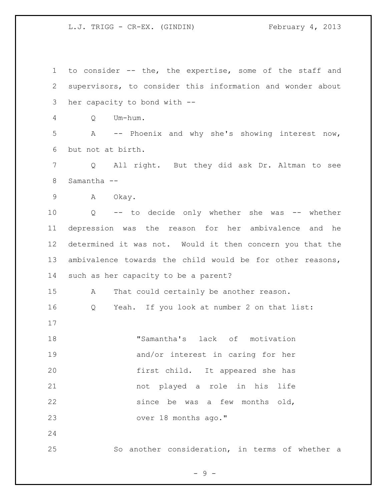to consider -- the, the expertise, some of the staff and supervisors, to consider this information and wonder about her capacity to bond with -- Q Um-hum. A -- Phoenix and why she's showing interest now, but not at birth. Q All right. But they did ask Dr. Altman to see Samantha -- A Okay. Q -- to decide only whether she was -- whether depression was the reason for her ambivalence and he determined it was not. Would it then concern you that the ambivalence towards the child would be for other reasons, such as her capacity to be a parent? A That could certainly be another reason. Q Yeah. If you look at number 2 on that list: "Samantha's lack of motivation and/or interest in caring for her first child. It appeared she has not played a role in his life 22 since be was a few months old, over 18 months ago." So another consideration, in terms of whether a

 $-9 -$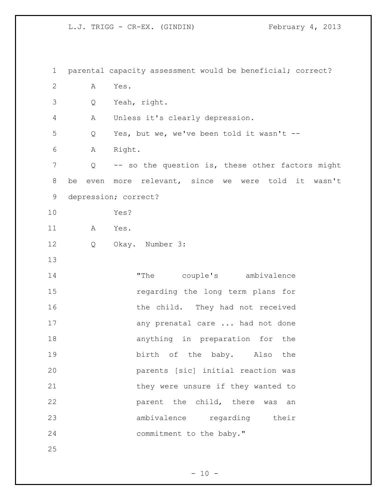parental capacity assessment would be beneficial; correct? A Yes. Q Yeah, right. A Unless it's clearly depression. Q Yes, but we, we've been told it wasn't -- A Right. Q -- so the question is, these other factors might be even more relevant, since we were told it wasn't depression; correct? Yes? A Yes. Q Okay. Number 3: "The couple's ambivalence regarding the long term plans for 16 the child. They had not received 17 any prenatal care ... had not done anything in preparation for the birth of the baby. Also the parents [sic] initial reaction was 21 they were unsure if they wanted to **parent the child, there was an**  ambivalence regarding their 24 commitment to the baby."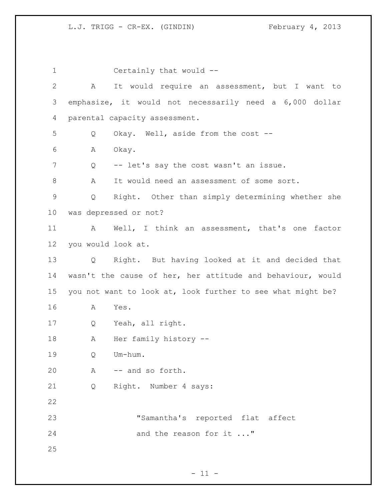Certainly that would -- A It would require an assessment, but I want to emphasize, it would not necessarily need a 6,000 dollar parental capacity assessment. Q Okay. Well, aside from the cost -- A Okay. 7 Q -- let's say the cost wasn't an issue. A It would need an assessment of some sort. Q Right. Other than simply determining whether she was depressed or not? A Well, I think an assessment, that's one factor you would look at. Q Right. But having looked at it and decided that wasn't the cause of her, her attitude and behaviour, would you not want to look at, look further to see what might be? A Yes. Q Yeah, all right. 18 A Her family history -- Q Um-hum. A -- and so forth. Q Right. Number 4 says: "Samantha's reported flat affect 24 and the reason for it ..."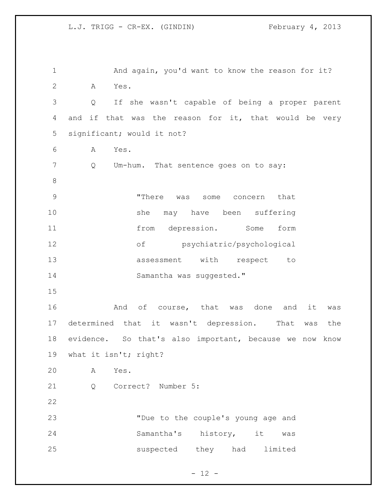1 And again, you'd want to know the reason for it? A Yes. Q If she wasn't capable of being a proper parent and if that was the reason for it, that would be very significant; would it not? A Yes. Q Um-hum. That sentence goes on to say: "There was some concern that she may have been suffering from depression. Some form of psychiatric/psychological assessment with respect to 14 Samantha was suggested." 16 And of course, that was done and it was determined that it wasn't depression. That was the evidence. So that's also important, because we now know what it isn't; right? A Yes. Q Correct? Number 5: "Due to the couple's young age and Samantha's history, it was suspected they had limited

 $- 12 -$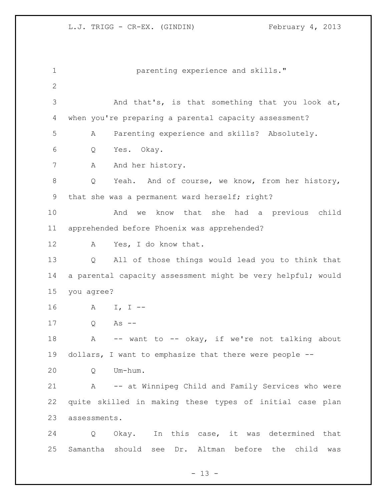parenting experience and skills." And that's, is that something that you look at, when you're preparing a parental capacity assessment? A Parenting experience and skills? Absolutely. Q Yes. Okay. 7 A And her history. Q Yeah. And of course, we know, from her history, that she was a permanent ward herself; right? And we know that she had a previous child apprehended before Phoenix was apprehended? A Yes, I do know that. Q All of those things would lead you to think that 14 a parental capacity assessment might be very helpful; would you agree? A I, I -- Q As -- 18 A -- want to -- okay, if we're not talking about dollars, I want to emphasize that there were people -- Q Um-hum. A -- at Winnipeg Child and Family Services who were quite skilled in making these types of initial case plan assessments. Q Okay. In this case, it was determined that Samantha should see Dr. Altman before the child was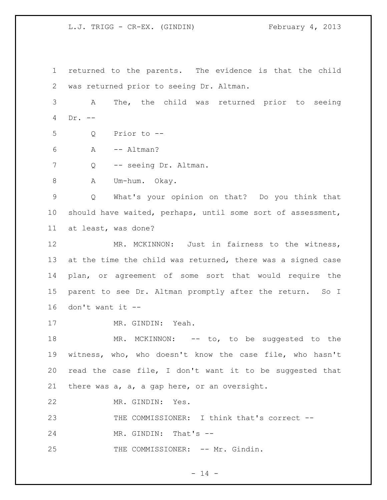returned to the parents. The evidence is that the child was returned prior to seeing Dr. Altman. A The, the child was returned prior to seeing Dr. -- Q Prior to -- A -- Altman? 7 Q -- seeing Dr. Altman. A Um-hum. Okay. Q What's your opinion on that? Do you think that should have waited, perhaps, until some sort of assessment, at least, was done? MR. MCKINNON: Just in fairness to the witness, at the time the child was returned, there was a signed case plan, or agreement of some sort that would require the parent to see Dr. Altman promptly after the return. So I don't want it -- MR. GINDIN: Yeah. 18 MR. MCKINNON: -- to, to be suggested to the witness, who, who doesn't know the case file, who hasn't read the case file, I don't want it to be suggested that there was a, a, a gap here, or an oversight. MR. GINDIN: Yes. THE COMMISSIONER: I think that's correct -- 24 MR. GINDIN: That's --25 THE COMMISSIONER: -- Mr. Gindin.

 $- 14 -$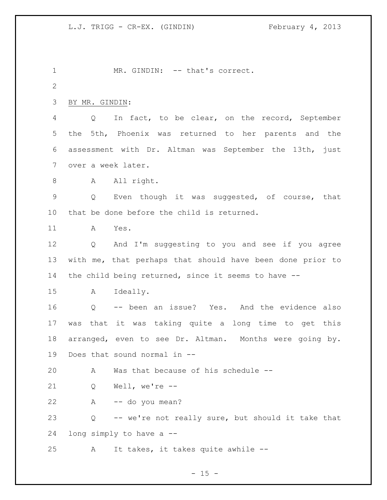1 MR. GINDIN: -- that's correct. BY MR. GINDIN: Q In fact, to be clear, on the record, September the 5th, Phoenix was returned to her parents and the assessment with Dr. Altman was September the 13th, just over a week later. 8 A All right. Q Even though it was suggested, of course, that that be done before the child is returned. A Yes. Q And I'm suggesting to you and see if you agree with me, that perhaps that should have been done prior to the child being returned, since it seems to have -- A Ideally. Q -- been an issue? Yes. And the evidence also was that it was taking quite a long time to get this arranged, even to see Dr. Altman. Months were going by. Does that sound normal in -- A Was that because of his schedule -- Q Well, we're -- A -- do you mean? Q -- we're not really sure, but should it take that long simply to have a -- A It takes, it takes quite awhile --

 $- 15 -$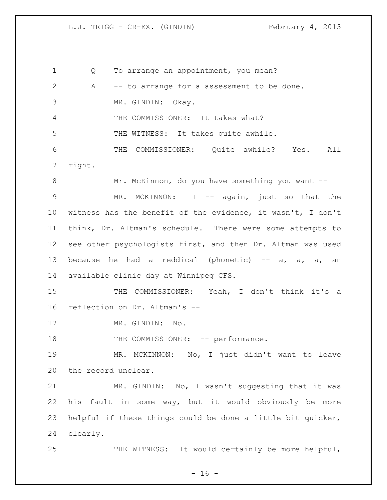Q To arrange an appointment, you mean? A -- to arrange for a assessment to be done. MR. GINDIN: Okay. THE COMMISSIONER: It takes what? THE WITNESS: It takes quite awhile. THE COMMISSIONER: Quite awhile? Yes. All right. 8 Mr. McKinnon, do you have something you want -- MR. MCKINNON: I -- again, just so that the witness has the benefit of the evidence, it wasn't, I don't think, Dr. Altman's schedule. There were some attempts to see other psychologists first, and then Dr. Altman was used 13 because he had a reddical (phonetic)  $-$  a, a, an available clinic day at Winnipeg CFS. 15 THE COMMISSIONER: Yeah, I don't think it's a reflection on Dr. Altman's -- 17 MR. GINDIN: No. 18 THE COMMISSIONER: -- performance. MR. MCKINNON: No, I just didn't want to leave the record unclear. MR. GINDIN: No, I wasn't suggesting that it was his fault in some way, but it would obviously be more helpful if these things could be done a little bit quicker, clearly. 25 THE WITNESS: It would certainly be more helpful,

 $- 16 -$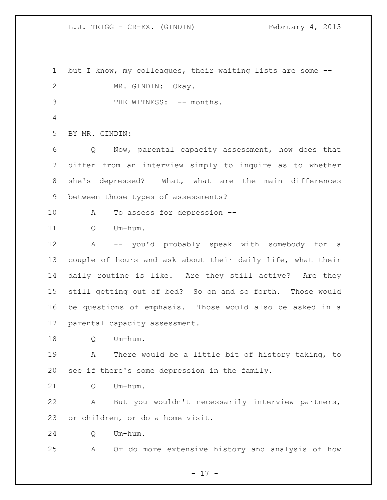but I know, my colleagues, their waiting lists are some -- MR. GINDIN: Okay. 3 THE WITNESS:  $--$  months. BY MR. GINDIN: Q Now, parental capacity assessment, how does that differ from an interview simply to inquire as to whether she's depressed? What, what are the main differences between those types of assessments? A To assess for depression -- 11 O Um-hum. A -- you'd probably speak with somebody for a couple of hours and ask about their daily life, what their daily routine is like. Are they still active? Are they still getting out of bed? So on and so forth. Those would be questions of emphasis. Those would also be asked in a parental capacity assessment. Q Um-hum. A There would be a little bit of history taking, to see if there's some depression in the family. 21 O Um-hum. A But you wouldn't necessarily interview partners, or children, or do a home visit. Q Um-hum. A Or do more extensive history and analysis of how

- 17 -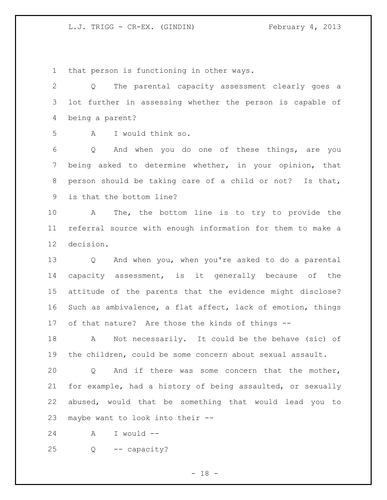that person is functioning in other ways.

 Q The parental capacity assessment clearly goes a lot further in assessing whether the person is capable of being a parent?

A I would think so.

 Q And when you do one of these things, are you being asked to determine whether, in your opinion, that person should be taking care of a child or not? Is that, is that the bottom line?

 A The, the bottom line is to try to provide the referral source with enough information for them to make a decision.

 Q And when you, when you're asked to do a parental capacity assessment, is it generally because of the attitude of the parents that the evidence might disclose? Such as ambivalence, a flat affect, lack of emotion, things of that nature? Are those the kinds of things --

 A Not necessarily. It could be the behave (sic) of the children, could be some concern about sexual assault.

 Q And if there was some concern that the mother, for example, had a history of being assaulted, or sexually abused, would that be something that would lead you to maybe want to look into their --

A I would --

Q -- capacity?

- 18 -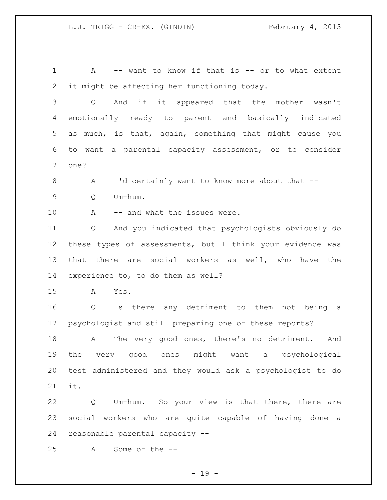A -- want to know if that is -- or to what extent it might be affecting her functioning today. Q And if it appeared that the mother wasn't emotionally ready to parent and basically indicated as much, is that, again, something that might cause you to want a parental capacity assessment, or to consider one? 8 A I'd certainly want to know more about that -- Q Um-hum. 10 A -- and what the issues were. Q And you indicated that psychologists obviously do these types of assessments, but I think your evidence was that there are social workers as well, who have the experience to, to do them as well? A Yes. Q Is there any detriment to them not being a psychologist and still preparing one of these reports?

18 A The very good ones, there's no detriment. And the very good ones might want a psychological test administered and they would ask a psychologist to do it.

 Q Um-hum. So your view is that there, there are social workers who are quite capable of having done a reasonable parental capacity --

A Some of the --

 $- 19 -$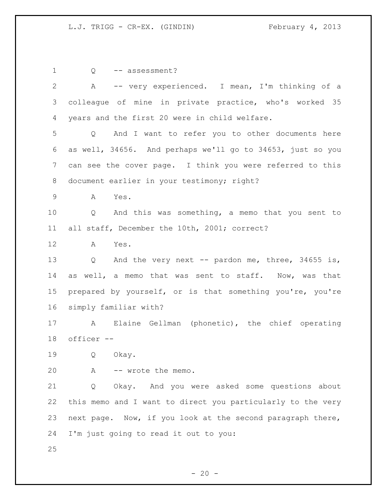1 Q -- assessment? A -- very experienced. I mean, I'm thinking of a colleague of mine in private practice, who's worked 35 years and the first 20 were in child welfare. Q And I want to refer you to other documents here as well, 34656. And perhaps we'll go to 34653, just so you can see the cover page. I think you were referred to this 8 document earlier in your testimony; right? A Yes. Q And this was something, a memo that you sent to all staff, December the 10th, 2001; correct? A Yes. Q And the very next -- pardon me, three, 34655 is, as well, a memo that was sent to staff. Now, was that prepared by yourself, or is that something you're, you're simply familiar with? A Elaine Gellman (phonetic), the chief operating officer -- Q Okay. A -- wrote the memo. Q Okay. And you were asked some questions about this memo and I want to direct you particularly to the very next page. Now, if you look at the second paragraph there, I'm just going to read it out to you: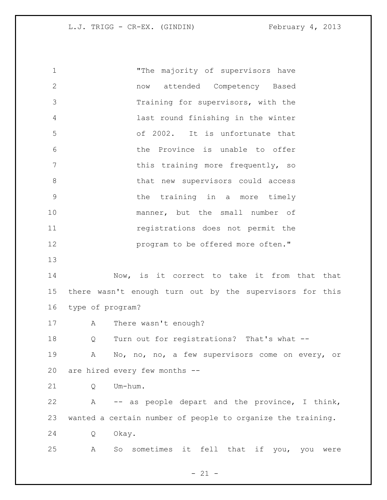"The majority of supervisors have now attended Competency Based Training for supervisors, with the last round finishing in the winter of 2002. It is unfortunate that the Province is unable to offer 7 This training more frequently, so 8 that new supervisors could access the training in a more timely manner, but the small number of registrations does not permit the **program to be offered more often."**  Now, is it correct to take it from that that there wasn't enough turn out by the supervisors for this type of program? A There wasn't enough? Q Turn out for registrations? That's what -- A No, no, no, a few supervisors come on every, or are hired every few months -- Q Um-hum. A -- as people depart and the province, I think, wanted a certain number of people to organize the training. Q Okay.

A So sometimes it fell that if you, you were

 $- 21 -$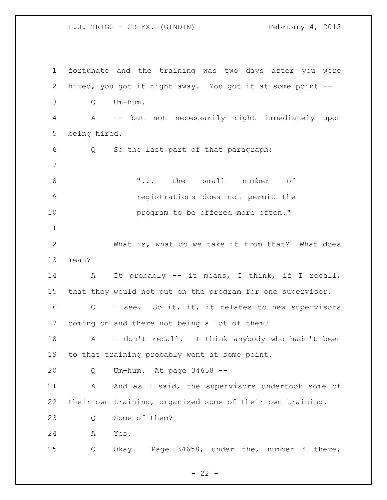fortunate and the training was two days after you were hired, you got it right away. You got it at some point -- Q Um-hum. A -- but not necessarily right immediately upon being hired. Q So the last part of that paragraph: **"...** the small number of registrations does not permit the **program** to be offered more often." What is, what do we take it from that? What does mean? A It probably -- it means, I think, if I recall, that they would not put on the program for one supervisor. 16 Q I see. So it, it, it relates to new supervisors coming on and there not being a lot of them? A I don't recall. I think anybody who hadn't been to that training probably went at some point. Q Um-hum. At page 34658 -- 21 A And as I said, the supervisors undertook some of their own training, organized some of their own training. 23 O Some of them? A Yes. Q Okay. Page 34658, under the, number 4 there,

 $- 22 -$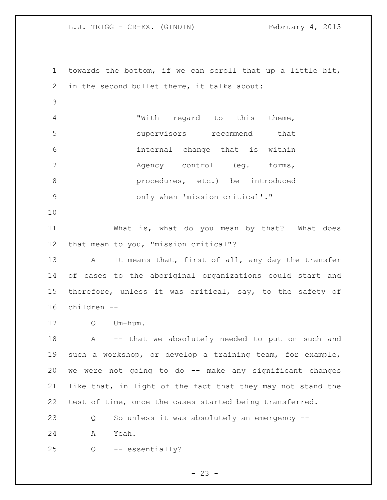towards the bottom, if we can scroll that up a little bit, in the second bullet there, it talks about: "With regard to this theme, supervisors recommend that internal change that is within Agency control (eg. forms, **b** procedures, etc.) be introduced only when 'mission critical'." What is, what do you mean by that? What does that mean to you, "mission critical"? 13 A It means that, first of all, any day the transfer of cases to the aboriginal organizations could start and therefore, unless it was critical, say, to the safety of children -- Q Um-hum. 18 A -- that we absolutely needed to put on such and such a workshop, or develop a training team, for example, we were not going to do -- make any significant changes like that, in light of the fact that they may not stand the test of time, once the cases started being transferred. Q So unless it was absolutely an emergency -- A Yeah. Q -- essentially?

 $- 23 -$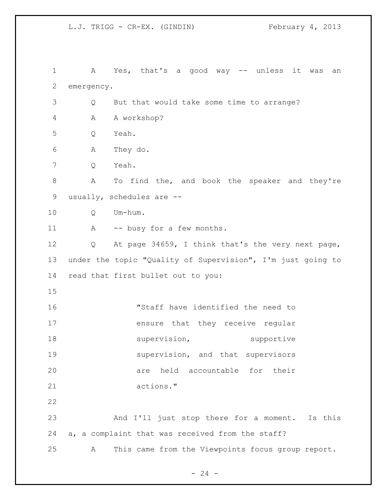A Yes, that's a good way -- unless it was an emergency. Q But that would take some time to arrange? A A workshop? Q Yeah. A They do. Q Yeah. A To find the, and book the speaker and they're usually, schedules are -- Q Um-hum. 11 A -- busy for a few months. Q At page 34659, I think that's the very next page, under the topic "Quality of Supervision", I'm just going to read that first bullet out to you: "Staff have identified the need to ensure that they receive regular 18 supervision, supportive 19 supervision, and that supervisors are held accountable for their actions." And I'll just stop there for a moment. Is this a, a complaint that was received from the staff? A This came from the Viewpoints focus group report.

 $- 24 -$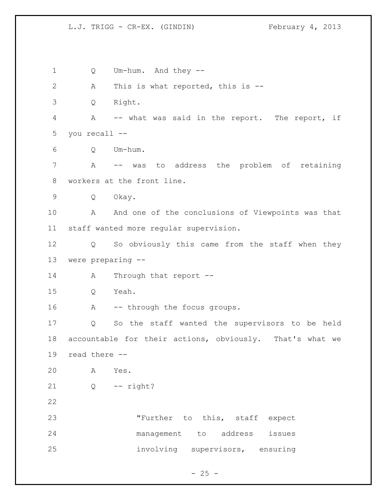Q Um-hum. And they -- A This is what reported, this is -- Q Right. A -- what was said in the report. The report, if you recall -- Q Um-hum. A -- was to address the problem of retaining workers at the front line. Q Okay. 10 A And one of the conclusions of Viewpoints was that staff wanted more regular supervision. Q So obviously this came from the staff when they were preparing -- 14 A Through that report -- Q Yeah. 16 A -- through the focus groups. Q So the staff wanted the supervisors to be held accountable for their actions, obviously. That's what we read there -- A Yes. Q -- right? "Further to this, staff expect management to address issues involving supervisors, ensuring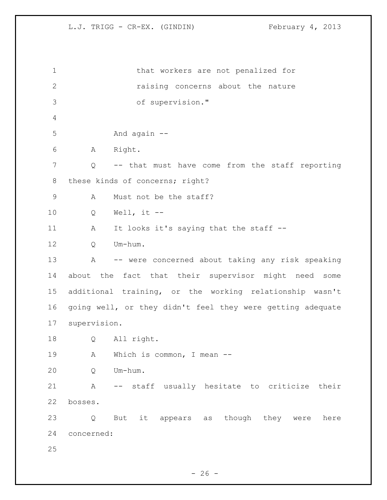that workers are not penalized for raising concerns about the nature of supervision." And again -- A Right. Q -- that must have come from the staff reporting 8 these kinds of concerns; right? 9 A Must not be the staff? Q Well, it -- 11 A It looks it's saying that the staff -- Q Um-hum. A -- were concerned about taking any risk speaking about the fact that their supervisor might need some additional training, or the working relationship wasn't going well, or they didn't feel they were getting adequate supervision. Q All right. 19 A Which is common, I mean -- Q Um-hum. A -- staff usually hesitate to criticize their bosses. Q But it appears as though they were here concerned: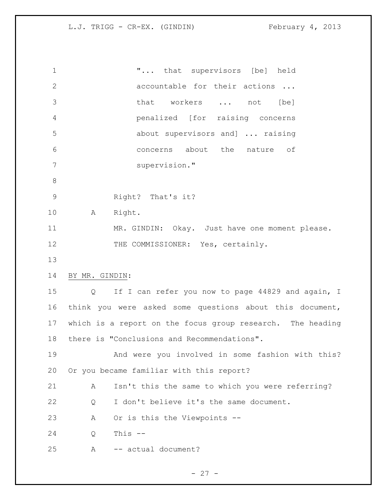| $\mathbf 1$          |                   | " that supervisors [be] held                               |
|----------------------|-------------------|------------------------------------------------------------|
| $\overline{2}$       |                   | accountable for their actions                              |
| 3                    |                   | that workers  not<br>[be]                                  |
| 4                    |                   | penalized [for raising concerns                            |
| 5                    |                   | about supervisors and]  raising                            |
| 6                    |                   | concerns about the nature of                               |
| $7\phantom{.}$       |                   | supervision."                                              |
| $8\,$                |                   |                                                            |
| $\mathcal{G}$        |                   | Right? That's it?                                          |
| 10                   | A                 | Right.                                                     |
| 11                   |                   | MR. GINDIN: Okay. Just have one moment please.             |
| 12                   |                   | THE COMMISSIONER: Yes, certainly.                          |
| 13                   |                   |                                                            |
| 14<br>BY MR. GINDIN: |                   |                                                            |
| 15                   | $Q \qquad \qquad$ | If I can refer you now to page 44829 and again, I          |
| 16                   |                   | think you were asked some questions about this document,   |
| 17 <sub>2</sub>      |                   | which is a report on the focus group research. The heading |
| 18                   |                   | there is "Conclusions and Recommendations".                |
| 19                   |                   | And were you involved in some fashion with this?           |
| 20                   |                   | Or you became familiar with this report?                   |
| 21                   | A                 | Isn't this the same to which you were referring?           |
| 22                   | Q                 | I don't believe it's the same document.                    |
| 23                   | Α                 | Or is this the Viewpoints --                               |
| 24                   | Q                 | This $--$                                                  |
|                      |                   |                                                            |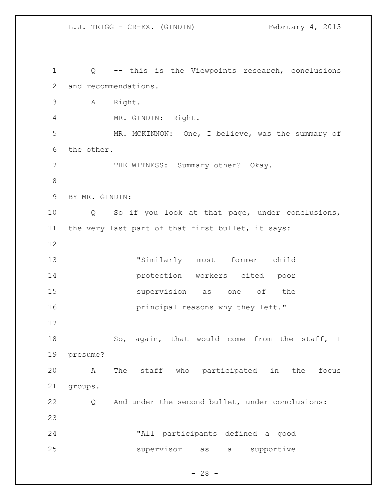Q -- this is the Viewpoints research, conclusions and recommendations. A Right. MR. GINDIN: Right. MR. MCKINNON: One, I believe, was the summary of the other. 7 THE WITNESS: Summary other? Okay. BY MR. GINDIN: Q So if you look at that page, under conclusions, the very last part of that first bullet, it says: "Similarly most former child protection workers cited poor supervision as one of the **principal reasons why they left."**  18 So, again, that would come from the staff, I presume? A The staff who participated in the focus groups. Q And under the second bullet, under conclusions: "All participants defined a good supervisor as a supportive

 $- 28 -$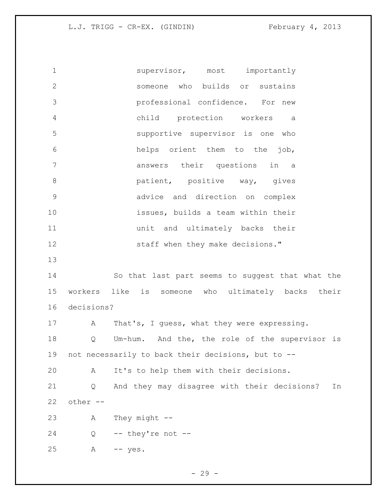1 supervisor, most importantly someone who builds or sustains professional confidence. For new child protection workers a supportive supervisor is one who helps orient them to the job, answers their questions in a **b** patient, positive way, gives advice and direction on complex issues, builds a team within their unit and ultimately backs their 12 staff when they make decisions." So that last part seems to suggest that what the workers like is someone who ultimately backs their decisions? 17 A That's, I guess, what they were expressing. Q Um-hum. And the, the role of the supervisor is not necessarily to back their decisions, but to -- A It's to help them with their decisions. Q And they may disagree with their decisions? In other  $-$  A They might -- Q  $-$  they're not  $-$ A -- yes.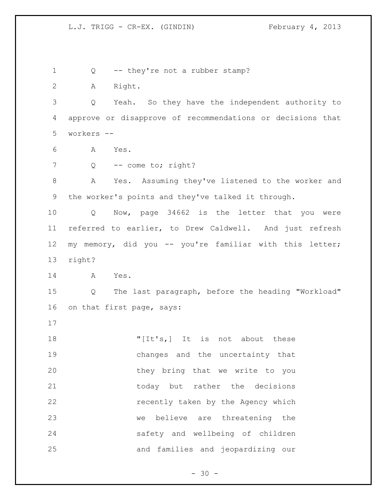1 Q -- they're not a rubber stamp? A Right. Q Yeah. So they have the independent authority to approve or disapprove of recommendations or decisions that workers -- A Yes. 7 Q -- come to; right? 8 A Yes. Assuming they've listened to the worker and the worker's points and they've talked it through. Q Now, page 34662 is the letter that you were referred to earlier, to Drew Caldwell. And just refresh my memory, did you -- you're familiar with this letter; right? A Yes. Q The last paragraph, before the heading "Workload" on that first page, says: 18 The state of the set of the set of the set of the set of the set of the set of the set of the set of the set of the set of the set of the set of the set of the set of the set of the set of the set of the set of the set changes and the uncertainty that they bring that we write to you 21 today but rather the decisions recently taken by the Agency which we believe are threatening the safety and wellbeing of children and families and jeopardizing our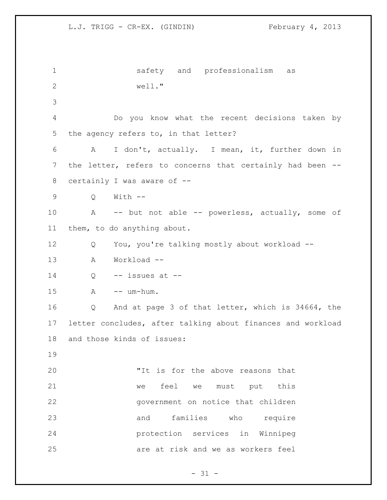```
1 safety and professionalism as 
2 well."
3
4 Do you know what the recent decisions taken by 
5 the agency refers to, in that letter?
6 A I don't, actually. I mean, it, further down in 
7 the letter, refers to concerns that certainly had been --
8 certainly I was aware of --
9 Q With --
10 A -- but not able -- powerless, actually, some of 
11 them, to do anything about.
12 Q You, you're talking mostly about workload --
13 A Workload --
14 Q -- issues at --
15 A -- um-hum.
16 Q And at page 3 of that letter, which is 34664, the 
17 letter concludes, after talking about finances and workload 
18 and those kinds of issues:
19
20 "It is for the above reasons that 
21 we feel we must put this 
22 government on notice that children 
23 and families who require 
24 protection services in Winnipeg 
25 are at risk and we as workers feel
```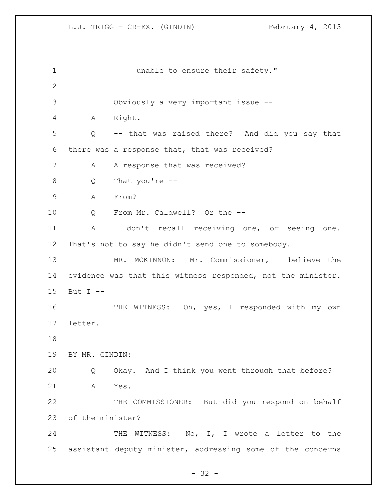**unable to ensure their safety."**  Obviously a very important issue -- A Right. Q -- that was raised there? And did you say that there was a response that, that was received? 7 A A response that was received? Q That you're -- A From? Q From Mr. Caldwell? Or the -- A I don't recall receiving one, or seeing one. That's not to say he didn't send one to somebody. MR. MCKINNON: Mr. Commissioner, I believe the evidence was that this witness responded, not the minister. But I -- THE WITNESS: Oh, yes, I responded with my own letter. BY MR. GINDIN: Q Okay. And I think you went through that before? A Yes. THE COMMISSIONER: But did you respond on behalf of the minister? 24 THE WITNESS: No, I, I wrote a letter to the assistant deputy minister, addressing some of the concerns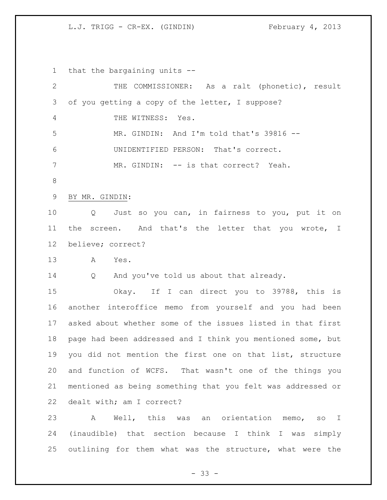that the bargaining units -- THE COMMISSIONER: As a ralt (phonetic), result of you getting a copy of the letter, I suppose? THE WITNESS: Yes. MR. GINDIN: And I'm told that's 39816 -- UNIDENTIFIED PERSON: That's correct. MR. GINDIN: -- is that correct? Yeah. BY MR. GINDIN: Q Just so you can, in fairness to you, put it on the screen. And that's the letter that you wrote, I believe; correct? A Yes. Q And you've told us about that already. Okay. If I can direct you to 39788, this is another interoffice memo from yourself and you had been asked about whether some of the issues listed in that first page had been addressed and I think you mentioned some, but you did not mention the first one on that list, structure and function of WCFS. That wasn't one of the things you mentioned as being something that you felt was addressed or dealt with; am I correct? A Well, this was an orientation memo, so I (inaudible) that section because I think I was simply outlining for them what was the structure, what were the

- 33 -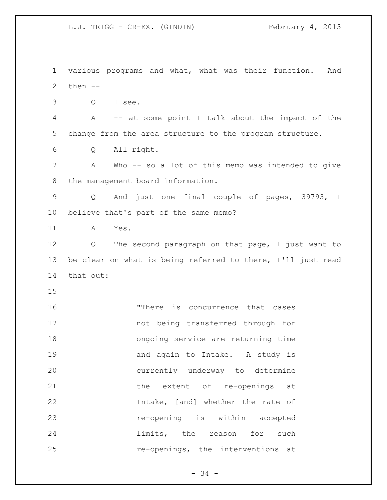various programs and what, what was their function. And then -- Q I see. A -- at some point I talk about the impact of the change from the area structure to the program structure. Q All right. A Who -- so a lot of this memo was intended to give the management board information. Q And just one final couple of pages, 39793, I believe that's part of the same memo? A Yes. Q The second paragraph on that page, I just want to be clear on what is being referred to there, I'll just read that out: "There is concurrence that cases not being transferred through for ongoing service are returning time 19 and again to Intake. A study is currently underway to determine 21 the extent of re-openings at Intake, [and] whether the rate of re-opening is within accepted **limits**, the reason for such re-openings, the interventions at

 $- 34 -$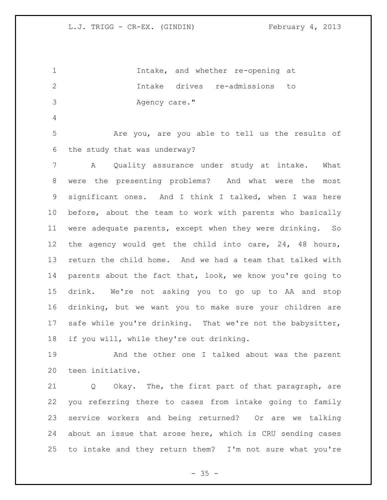Intake, and whether re-opening at Intake drives re-admissions to 3 Agency care."

 Are you, are you able to tell us the results of the study that was underway?

 A Quality assurance under study at intake. What were the presenting problems? And what were the most significant ones. And I think I talked, when I was here before, about the team to work with parents who basically were adequate parents, except when they were drinking. So the agency would get the child into care, 24, 48 hours, return the child home. And we had a team that talked with 14 parents about the fact that, look, we know you're going to drink. We're not asking you to go up to AA and stop drinking, but we want you to make sure your children are safe while you're drinking. That we're not the babysitter, if you will, while they're out drinking.

 And the other one I talked about was the parent teen initiative.

 Q Okay. The, the first part of that paragraph, are you referring there to cases from intake going to family service workers and being returned? Or are we talking about an issue that arose here, which is CRU sending cases to intake and they return them? I'm not sure what you're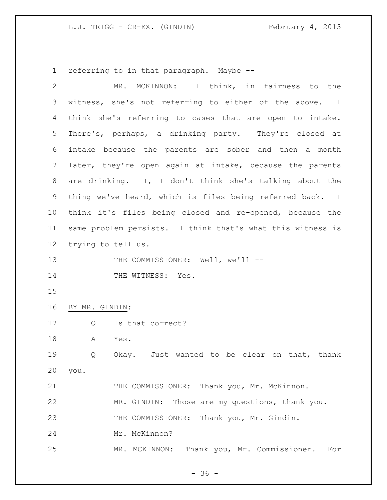referring to in that paragraph. Maybe --

| $\overline{2}$ |                    | MR. MCKINNON: I think, in fairness to the                  |
|----------------|--------------------|------------------------------------------------------------|
| 3              |                    | witness, she's not referring to either of the above. I     |
| 4              |                    | think she's referring to cases that are open to intake.    |
| 5              |                    | There's, perhaps, a drinking party. They're closed at      |
| 6              |                    | intake because the parents are sober and then a month      |
| 7              |                    | later, they're open again at intake, because the parents   |
| $8\,$          |                    | are drinking. I, I don't think she's talking about the     |
| 9              |                    | thing we've heard, which is files being referred back. I   |
| 10             |                    | think it's files being closed and re-opened, because the   |
| 11             |                    | same problem persists. I think that's what this witness is |
| 12             | trying to tell us. |                                                            |
| 13             |                    | THE COMMISSIONER: Well, we'll --                           |
| 14             |                    | THE WITNESS: Yes.                                          |
| 15             |                    |                                                            |
| 16             | BY MR. GINDIN:     |                                                            |
| 17             | Q                  | Is that correct?                                           |
| 18             | A                  | Yes.                                                       |
| 19             | Q                  | Okay. Just wanted to be clear on that, thank               |
| 20             | you.               |                                                            |
| 21             |                    | THE COMMISSIONER: Thank you, Mr. McKinnon.                 |
| 22             |                    | Those are my questions, thank you.<br>MR. GINDIN:          |
| 23             |                    | THE COMMISSIONER: Thank you, Mr. Gindin.                   |
| 24             |                    | Mr. McKinnon?                                              |
| 25             |                    | Thank you, Mr. Commissioner.<br>MR. MCKINNON:<br>For       |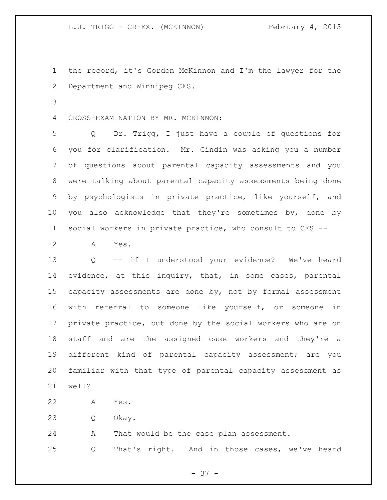the record, it's Gordon McKinnon and I'm the lawyer for the Department and Winnipeg CFS.

## CROSS-EXAMINATION BY MR. MCKINNON:

 Q Dr. Trigg, I just have a couple of questions for you for clarification. Mr. Gindin was asking you a number of questions about parental capacity assessments and you were talking about parental capacity assessments being done by psychologists in private practice, like yourself, and you also acknowledge that they're sometimes by, done by social workers in private practice, who consult to CFS --

A Yes.

 Q -- if I understood your evidence? We've heard evidence, at this inquiry, that, in some cases, parental capacity assessments are done by, not by formal assessment with referral to someone like yourself, or someone in private practice, but done by the social workers who are on staff and are the assigned case workers and they're a different kind of parental capacity assessment; are you familiar with that type of parental capacity assessment as well?

A Yes.

Q Okay.

A That would be the case plan assessment.

Q That's right. And in those cases, we've heard

- 37 -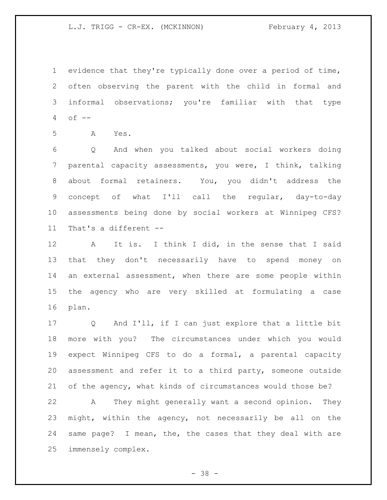evidence that they're typically done over a period of time, often observing the parent with the child in formal and informal observations; you're familiar with that type of  $-$ 

A Yes.

 Q And when you talked about social workers doing parental capacity assessments, you were, I think, talking about formal retainers. You, you didn't address the concept of what I'll call the regular, day-to-day assessments being done by social workers at Winnipeg CFS? That's a different --

 A It is. I think I did, in the sense that I said that they don't necessarily have to spend money on an external assessment, when there are some people within the agency who are very skilled at formulating a case plan.

 Q And I'll, if I can just explore that a little bit more with you? The circumstances under which you would expect Winnipeg CFS to do a formal, a parental capacity assessment and refer it to a third party, someone outside of the agency, what kinds of circumstances would those be?

 A They might generally want a second opinion. They might, within the agency, not necessarily be all on the same page? I mean, the, the cases that they deal with are immensely complex.

- 38 -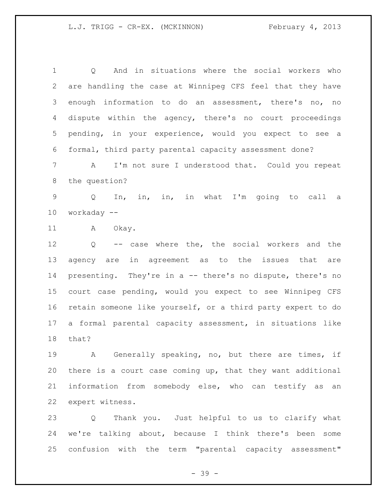Q And in situations where the social workers who are handling the case at Winnipeg CFS feel that they have enough information to do an assessment, there's no, no dispute within the agency, there's no court proceedings pending, in your experience, would you expect to see a formal, third party parental capacity assessment done?

 A I'm not sure I understood that. Could you repeat the question?

 Q In, in, in, in what I'm going to call a workaday --

11 A Okay.

 Q -- case where the, the social workers and the agency are in agreement as to the issues that are presenting. They're in a -- there's no dispute, there's no court case pending, would you expect to see Winnipeg CFS retain someone like yourself, or a third party expert to do a formal parental capacity assessment, in situations like that?

 A Generally speaking, no, but there are times, if there is a court case coming up, that they want additional information from somebody else, who can testify as an expert witness.

 Q Thank you. Just helpful to us to clarify what we're talking about, because I think there's been some confusion with the term "parental capacity assessment"

- 39 -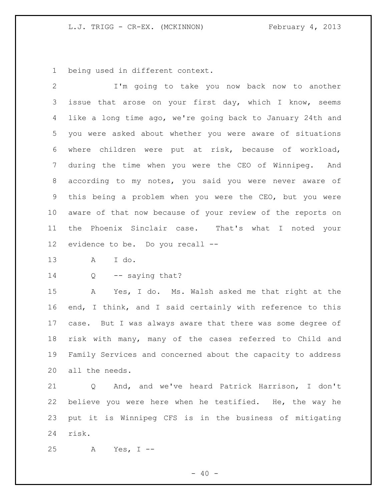being used in different context.

 I'm going to take you now back now to another 3 issue that arose on your first day, which I know, seems like a long time ago, we're going back to January 24th and you were asked about whether you were aware of situations where children were put at risk, because of workload, during the time when you were the CEO of Winnipeg. And according to my notes, you said you were never aware of this being a problem when you were the CEO, but you were aware of that now because of your review of the reports on the Phoenix Sinclair case. That's what I noted your evidence to be. Do you recall --

A I do.

14 Q -- saying that?

 A Yes, I do. Ms. Walsh asked me that right at the end, I think, and I said certainly with reference to this case. But I was always aware that there was some degree of risk with many, many of the cases referred to Child and Family Services and concerned about the capacity to address all the needs.

 Q And, and we've heard Patrick Harrison, I don't believe you were here when he testified. He, the way he put it is Winnipeg CFS is in the business of mitigating risk.

A Yes, I --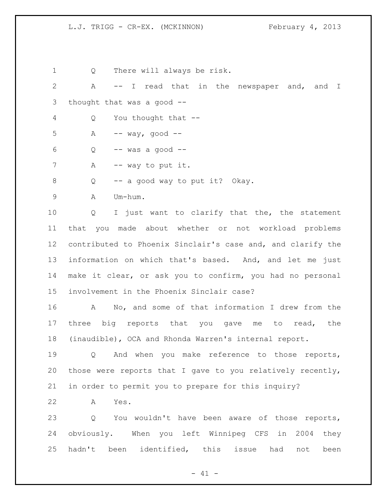Q There will always be risk. A -- I read that in the newspaper and, and I thought that was a good -- Q You thought that -- A  $-$  way, good  $-$  Q  $-$  was a good  $-$ 7 A -- way to put it. Q -- a good way to put it? Okay. A Um-hum. Q I just want to clarify that the, the statement that you made about whether or not workload problems contributed to Phoenix Sinclair's case and, and clarify the information on which that's based. And, and let me just make it clear, or ask you to confirm, you had no personal involvement in the Phoenix Sinclair case? A No, and some of that information I drew from the 17 three big reports that you gave me to read, the (inaudible), OCA and Rhonda Warren's internal report. Q And when you make reference to those reports, those were reports that I gave to you relatively recently, in order to permit you to prepare for this inquiry? A Yes. Q You wouldn't have been aware of those reports, obviously. When you left Winnipeg CFS in 2004 they hadn't been identified, this issue had not been

 $- 41 -$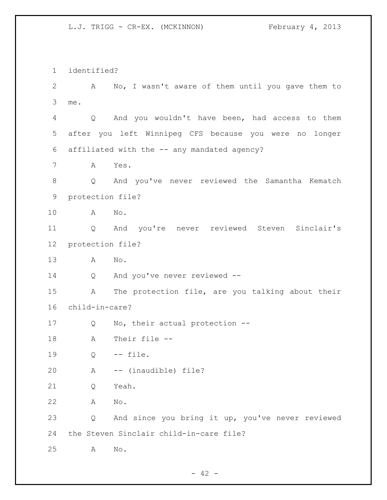identified? A No, I wasn't aware of them until you gave them to me. Q And you wouldn't have been, had access to them after you left Winnipeg CFS because you were no longer affiliated with the -- any mandated agency? A Yes. Q And you've never reviewed the Samantha Kematch protection file? A No. Q And you're never reviewed Steven Sinclair's protection file? A No. Q And you've never reviewed -- A The protection file, are you talking about their child-in-care? Q No, their actual protection -- A Their file -- Q -- file. A -- (inaudible) file? Q Yeah. A No. Q And since you bring it up, you've never reviewed the Steven Sinclair child-in-care file? A No.

 $- 42 -$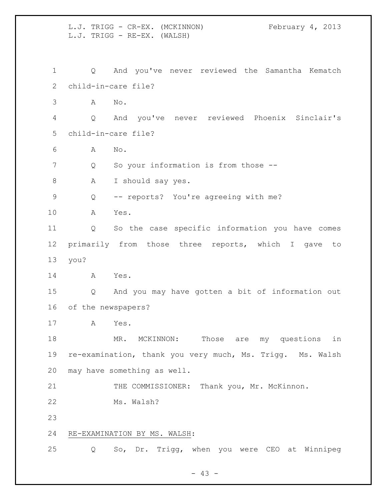L.J. TRIGG - CR-EX. (MCKINNON) February 4, 2013 L.J. TRIGG - RE-EX. (WALSH) Q And you've never reviewed the Samantha Kematch child-in-care file? A No. Q And you've never reviewed Phoenix Sinclair's child-in-care file? A No. 7 Q So your information is from those --8 A I should say yes. Q -- reports? You're agreeing with me? A Yes. Q So the case specific information you have comes primarily from those three reports, which I gave to you? A Yes. Q And you may have gotten a bit of information out of the newspapers? A Yes. MR. MCKINNON: Those are my questions in re-examination, thank you very much, Ms. Trigg. Ms. Walsh may have something as well. 21 THE COMMISSIONER: Thank you, Mr. McKinnon. Ms. Walsh? RE-EXAMINATION BY MS. WALSH: Q So, Dr. Trigg, when you were CEO at Winnipeg

 $- 43 -$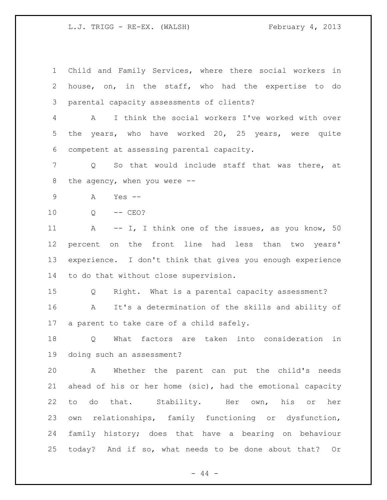L.J. TRIGG - RE-EX. (WALSH) February 4, 2013

 Child and Family Services, where there social workers in house, on, in the staff, who had the expertise to do parental capacity assessments of clients?

 A I think the social workers I've worked with over the years, who have worked 20, 25 years, were quite competent at assessing parental capacity.

 Q So that would include staff that was there, at the agency, when you were --

- A Yes --
- Q -- CEO?

11 A -- I, I think one of the issues, as you know, 50 percent on the front line had less than two years' experience. I don't think that gives you enough experience to do that without close supervision.

 Q Right. What is a parental capacity assessment? A It's a determination of the skills and ability of a parent to take care of a child safely.

 Q What factors are taken into consideration in doing such an assessment?

 A Whether the parent can put the child's needs ahead of his or her home (sic), had the emotional capacity to do that. Stability. Her own, his or her own relationships, family functioning or dysfunction, family history; does that have a bearing on behaviour today? And if so, what needs to be done about that? Or

- 44 -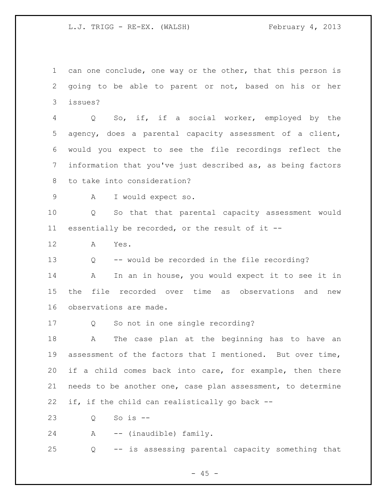L.J. TRIGG - RE-EX. (WALSH) February 4, 2013

 can one conclude, one way or the other, that this person is going to be able to parent or not, based on his or her issues?

 Q So, if, if a social worker, employed by the agency, does a parental capacity assessment of a client, would you expect to see the file recordings reflect the information that you've just described as, as being factors to take into consideration?

A I would expect so.

 Q So that that parental capacity assessment would essentially be recorded, or the result of it --

A Yes.

Q -- would be recorded in the file recording?

 A In an in house, you would expect it to see it in the file recorded over time as observations and new observations are made.

Q So not in one single recording?

 A The case plan at the beginning has to have an assessment of the factors that I mentioned. But over time, if a child comes back into care, for example, then there needs to be another one, case plan assessment, to determine if, if the child can realistically go back --

Q So is --

A -- (inaudible) family.

Q -- is assessing parental capacity something that

 $- 45 -$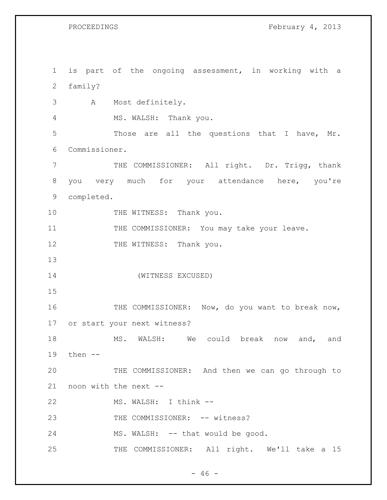PROCEEDINGS February 4, 2013

 is part of the ongoing assessment, in working with a family? A Most definitely. MS. WALSH: Thank you. Those are all the questions that I have, Mr. Commissioner. 7 THE COMMISSIONER: All right. Dr. Trigg, thank you very much for your attendance here, you're completed. 10 THE WITNESS: Thank you. 11 THE COMMISSIONER: You may take your leave. 12 THE WITNESS: Thank you. (WITNESS EXCUSED) 16 THE COMMISSIONER: Now, do you want to break now, or start your next witness? MS. WALSH: We could break now and, and then -- THE COMMISSIONER: And then we can go through to noon with the next -- MS. WALSH: I think -- 23 THE COMMISSIONER: -- witness? 24 MS. WALSH: -- that would be good. 25 THE COMMISSIONER: All right. We'll take a 15

 $- 46 -$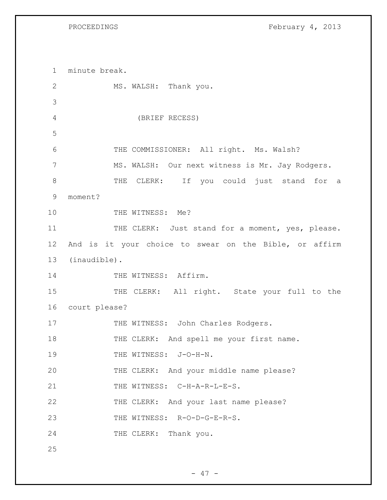PROCEEDINGS February 4, 2013

1 minute break. 2 MS. WALSH: Thank you. 3 4 (BRIEF RECESS) 5 6 THE COMMISSIONER: All right. Ms. Walsh? 7 MS. WALSH: Our next witness is Mr. Jay Rodgers. 8 THE CLERK: If you could just stand for a 9 moment? 10 THE WITNESS: Me? 11 THE CLERK: Just stand for a moment, yes, please. 12 And is it your choice to swear on the Bible, or affirm 13 (inaudible). 14 THE WITNESS: Affirm. 15 THE CLERK: All right. State your full to the 16 court please? 17 THE WITNESS: John Charles Rodgers. 18 THE CLERK: And spell me your first name. 19 THE WITNESS: J-O-H-N. 20 THE CLERK: And your middle name please? 21 THE WITNESS: C-H-A-R-L-E-S. 22 THE CLERK: And your last name please? 23 THE WITNESS: R-O-D-G-E-R-S. 24 THE CLERK: Thank you. 25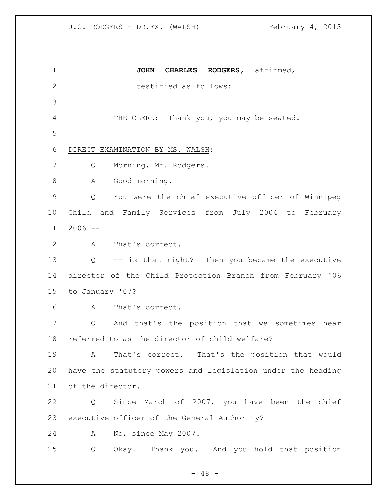**JOHN CHARLES RODGERS,** affirmed, 2 testified as follows: THE CLERK: Thank you, you may be seated. DIRECT EXAMINATION BY MS. WALSH: Q Morning, Mr. Rodgers. 8 A Good morning. Q You were the chief executive officer of Winnipeg Child and Family Services from July 2004 to February 2006 -- A That's correct. Q -- is that right? Then you became the executive director of the Child Protection Branch from February '06 to January '07? A That's correct. Q And that's the position that we sometimes hear referred to as the director of child welfare? A That's correct. That's the position that would have the statutory powers and legislation under the heading of the director. Q Since March of 2007, you have been the chief executive officer of the General Authority? A No, since May 2007. Q Okay. Thank you. And you hold that position

 $- 48 -$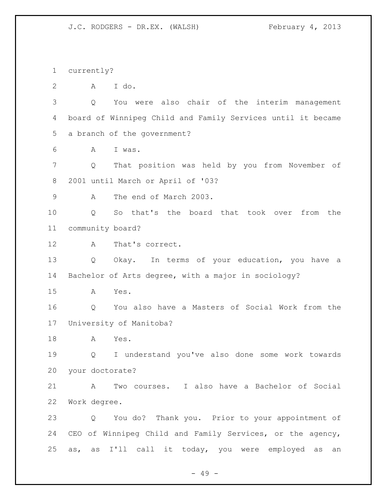currently?

A I do.

 Q You were also chair of the interim management board of Winnipeg Child and Family Services until it became a branch of the government?

A I was.

 Q That position was held by you from November of 2001 until March or April of '03?

A The end of March 2003.

 Q So that's the board that took over from the community board?

A That's correct.

 Q Okay. In terms of your education, you have a Bachelor of Arts degree, with a major in sociology?

A Yes.

 Q You also have a Masters of Social Work from the University of Manitoba?

A Yes.

 Q I understand you've also done some work towards your doctorate?

 A Two courses. I also have a Bachelor of Social Work degree.

 Q You do? Thank you. Prior to your appointment of CEO of Winnipeg Child and Family Services, or the agency, as, as I'll call it today, you were employed as an

- 49 -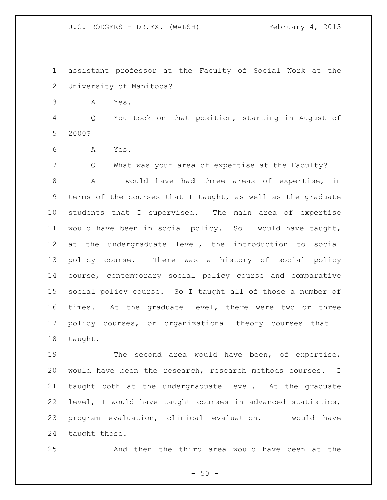assistant professor at the Faculty of Social Work at the University of Manitoba?

A Yes.

 Q You took on that position, starting in August of 2000?

A Yes.

 Q What was your area of expertise at the Faculty? A I would have had three areas of expertise, in terms of the courses that I taught, as well as the graduate students that I supervised. The main area of expertise would have been in social policy. So I would have taught, at the undergraduate level, the introduction to social policy course. There was a history of social policy course, contemporary social policy course and comparative social policy course. So I taught all of those a number of times. At the graduate level, there were two or three policy courses, or organizational theory courses that I taught.

 The second area would have been, of expertise, would have been the research, research methods courses. I taught both at the undergraduate level. At the graduate level, I would have taught courses in advanced statistics, program evaluation, clinical evaluation. I would have taught those.

And then the third area would have been at the

 $-50 -$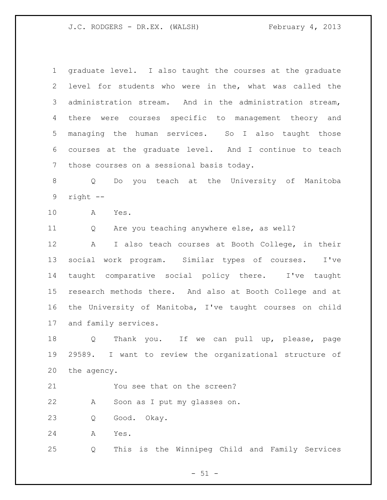graduate level. I also taught the courses at the graduate level for students who were in the, what was called the administration stream. And in the administration stream, there were courses specific to management theory and managing the human services. So I also taught those courses at the graduate level. And I continue to teach those courses on a sessional basis today.

 Q Do you teach at the University of Manitoba right --

A Yes.

Q Are you teaching anywhere else, as well?

 A I also teach courses at Booth College, in their social work program. Similar types of courses. I've taught comparative social policy there. I've taught research methods there. And also at Booth College and at the University of Manitoba, I've taught courses on child and family services.

 Q Thank you. If we can pull up, please, page 29589. I want to review the organizational structure of the agency.

21 You see that on the screen?

A Soon as I put my glasses on.

Q Good. Okay.

A Yes.

Q This is the Winnipeg Child and Family Services

 $- 51 -$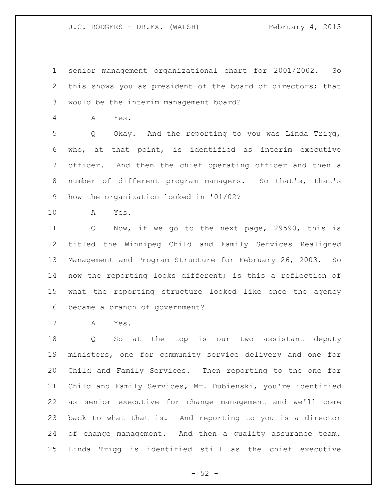senior management organizational chart for 2001/2002. So this shows you as president of the board of directors; that would be the interim management board?

A Yes.

 Q Okay. And the reporting to you was Linda Trigg, who, at that point, is identified as interim executive officer. And then the chief operating officer and then a number of different program managers. So that's, that's how the organization looked in '01/02?

A Yes.

 Q Now, if we go to the next page, 29590, this is titled the Winnipeg Child and Family Services Realigned Management and Program Structure for February 26, 2003. So now the reporting looks different; is this a reflection of what the reporting structure looked like once the agency became a branch of government?

A Yes.

 Q So at the top is our two assistant deputy ministers, one for community service delivery and one for Child and Family Services. Then reporting to the one for Child and Family Services, Mr. Dubienski, you're identified as senior executive for change management and we'll come back to what that is. And reporting to you is a director of change management. And then a quality assurance team. Linda Trigg is identified still as the chief executive

 $-52 -$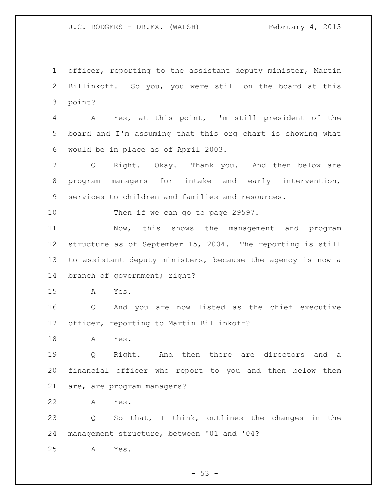officer, reporting to the assistant deputy minister, Martin Billinkoff. So you, you were still on the board at this point?

 A Yes, at this point, I'm still president of the board and I'm assuming that this org chart is showing what would be in place as of April 2003.

 Q Right. Okay. Thank you. And then below are program managers for intake and early intervention, services to children and families and resources.

10 Then if we can go to page 29597.

 Now, this shows the management and program structure as of September 15, 2004. The reporting is still to assistant deputy ministers, because the agency is now a 14 branch of government; right?

A Yes.

 Q And you are now listed as the chief executive officer, reporting to Martin Billinkoff?

A Yes.

 Q Right. And then there are directors and a financial officer who report to you and then below them are, are program managers?

A Yes.

 Q So that, I think, outlines the changes in the management structure, between '01 and '04?

A Yes.

 $-53 -$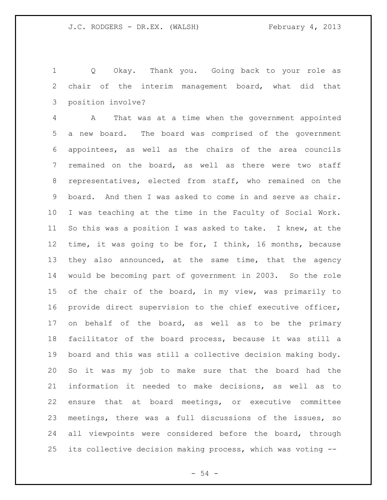Q Okay. Thank you. Going back to your role as chair of the interim management board, what did that position involve?

 A That was at a time when the government appointed a new board. The board was comprised of the government appointees, as well as the chairs of the area councils remained on the board, as well as there were two staff representatives, elected from staff, who remained on the board. And then I was asked to come in and serve as chair. I was teaching at the time in the Faculty of Social Work. So this was a position I was asked to take. I knew, at the time, it was going to be for, I think, 16 months, because they also announced, at the same time, that the agency would be becoming part of government in 2003. So the role of the chair of the board, in my view, was primarily to provide direct supervision to the chief executive officer, 17 on behalf of the board, as well as to be the primary facilitator of the board process, because it was still a board and this was still a collective decision making body. So it was my job to make sure that the board had the information it needed to make decisions, as well as to ensure that at board meetings, or executive committee meetings, there was a full discussions of the issues, so 24 all viewpoints were considered before the board, through its collective decision making process, which was voting --

 $-54 -$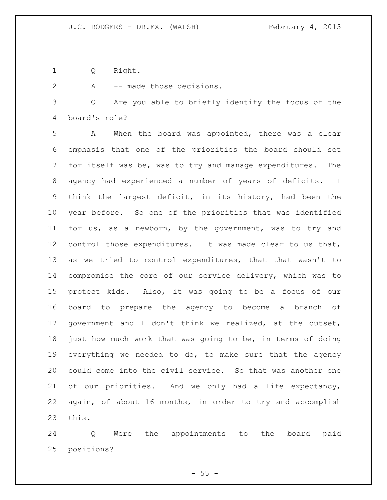Q Right.

2 A -- made those decisions.

 Q Are you able to briefly identify the focus of the board's role?

 A When the board was appointed, there was a clear emphasis that one of the priorities the board should set for itself was be, was to try and manage expenditures. The agency had experienced a number of years of deficits. I think the largest deficit, in its history, had been the year before. So one of the priorities that was identified for us, as a newborn, by the government, was to try and control those expenditures. It was made clear to us that, as we tried to control expenditures, that that wasn't to compromise the core of our service delivery, which was to protect kids. Also, it was going to be a focus of our board to prepare the agency to become a branch of government and I don't think we realized, at the outset, just how much work that was going to be, in terms of doing everything we needed to do, to make sure that the agency could come into the civil service. So that was another one of our priorities. And we only had a life expectancy, again, of about 16 months, in order to try and accomplish this.

 Q Were the appointments to the board paid positions?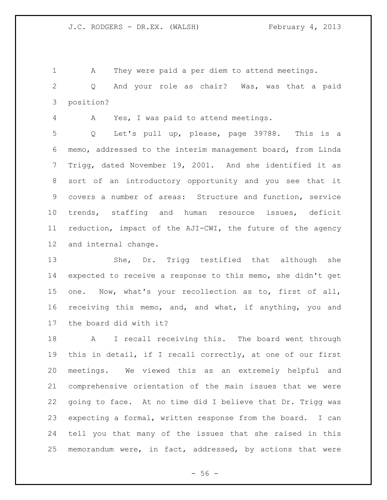A They were paid a per diem to attend meetings.

 Q And your role as chair? Was, was that a paid position?

A Yes, I was paid to attend meetings.

 Q Let's pull up, please, page 39788. This is a memo, addressed to the interim management board, from Linda Trigg, dated November 19, 2001. And she identified it as sort of an introductory opportunity and you see that it covers a number of areas: Structure and function, service trends, staffing and human resource issues, deficit reduction, impact of the AJI-CWI, the future of the agency and internal change.

 She, Dr. Trigg testified that although she expected to receive a response to this memo, she didn't get one. Now, what's your recollection as to, first of all, receiving this memo, and, and what, if anything, you and the board did with it?

 A I recall receiving this. The board went through this in detail, if I recall correctly, at one of our first meetings. We viewed this as an extremely helpful and comprehensive orientation of the main issues that we were going to face. At no time did I believe that Dr. Trigg was expecting a formal, written response from the board. I can tell you that many of the issues that she raised in this memorandum were, in fact, addressed, by actions that were

 $-56 -$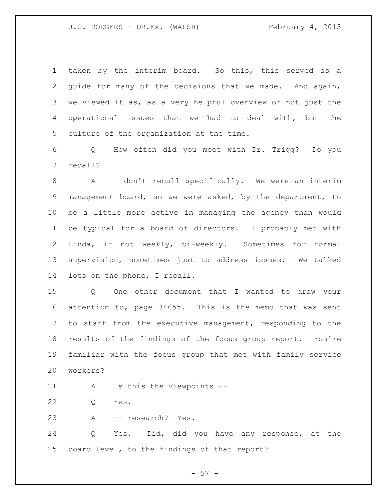taken by the interim board. So this, this served as a guide for many of the decisions that we made. And again, we viewed it as, as a very helpful overview of not just the operational issues that we had to deal with, but the culture of the organization at the time.

 Q How often did you meet with Dr. Trigg? Do you recall?

 A I don't recall specifically. We were an interim management board, so we were asked, by the department, to be a little more active in managing the agency than would be typical for a board of directors. I probably met with Linda, if not weekly, bi-weekly. Sometimes for formal supervision, sometimes just to address issues. We talked lots on the phone, I recall.

 Q One other document that I wanted to draw your attention to, page 34655. This is the memo that was sent to staff from the executive management, responding to the results of the findings of the focus group report. You're familiar with the focus group that met with family service workers?

- A Is this the Viewpoints --
- Q Yes.
- A -- research? Yes.

 Q Yes. Did, did you have any response, at the board level, to the findings of that report?

 $-57 -$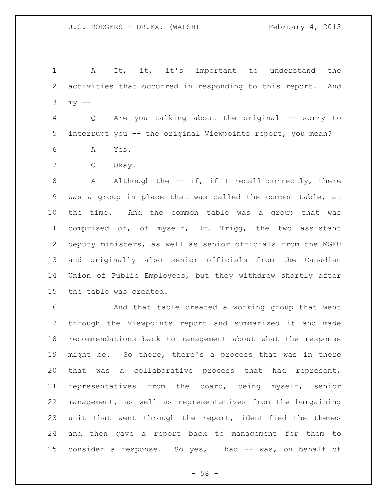A It, it, it's important to understand the activities that occurred in responding to this report. And  $3 \text{ my } --$ 

 Q Are you talking about the original -- sorry to interrupt you -- the original Viewpoints report, you mean?

A Yes.

Q Okay.

8 A Although the -- if, if I recall correctly, there was a group in place that was called the common table, at the time. And the common table was a group that was comprised of, of myself, Dr. Trigg, the two assistant deputy ministers, as well as senior officials from the MGEU and originally also senior officials from the Canadian Union of Public Employees, but they withdrew shortly after the table was created.

 And that table created a working group that went through the Viewpoints report and summarized it and made recommendations back to management about what the response might be. So there, there's a process that was in there that was a collaborative process that had represent, representatives from the board, being myself, senior management, as well as representatives from the bargaining unit that went through the report, identified the themes and then gave a report back to management for them to consider a response. So yes, I had -- was, on behalf of

 $- 58 -$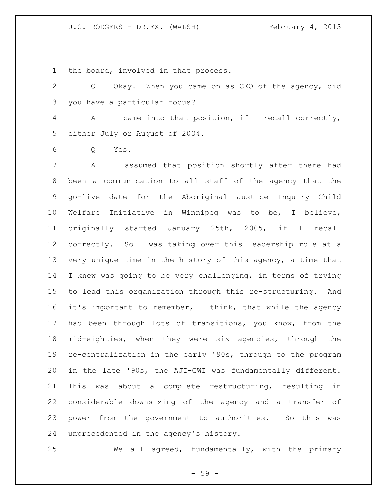the board, involved in that process.

 Q Okay. When you came on as CEO of the agency, did you have a particular focus?

 A I came into that position, if I recall correctly, either July or August of 2004.

Q Yes.

 A I assumed that position shortly after there had been a communication to all staff of the agency that the go-live date for the Aboriginal Justice Inquiry Child Welfare Initiative in Winnipeg was to be, I believe, originally started January 25th, 2005, if I recall correctly. So I was taking over this leadership role at a very unique time in the history of this agency, a time that I knew was going to be very challenging, in terms of trying to lead this organization through this re-structuring. And it's important to remember, I think, that while the agency had been through lots of transitions, you know, from the mid-eighties, when they were six agencies, through the re-centralization in the early '90s, through to the program in the late '90s, the AJI-CWI was fundamentally different. This was about a complete restructuring, resulting in considerable downsizing of the agency and a transfer of power from the government to authorities. So this was unprecedented in the agency's history.

We all agreed, fundamentally, with the primary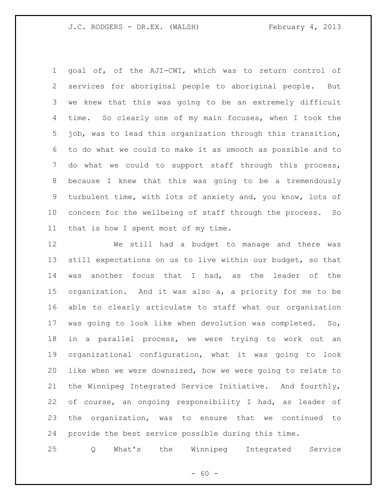goal of, of the AJI-CWI, which was to return control of services for aboriginal people to aboriginal people. But we knew that this was going to be an extremely difficult time. So clearly one of my main focuses, when I took the job, was to lead this organization through this transition, to do what we could to make it as smooth as possible and to do what we could to support staff through this process, because I knew that this was going to be a tremendously turbulent time, with lots of anxiety and, you know, lots of concern for the wellbeing of staff through the process. So that is how I spent most of my time.

 We still had a budget to manage and there was still expectations on us to live within our budget, so that was another focus that I had, as the leader of the organization. And it was also a, a priority for me to be able to clearly articulate to staff what our organization was going to look like when devolution was completed. So, in a parallel process, we were trying to work out an organizational configuration, what it was going to look like when we were downsized, how we were going to relate to the Winnipeg Integrated Service Initiative. And fourthly, of course, an ongoing responsibility I had, as leader of the organization, was to ensure that we continued to provide the best service possible during this time.

Q What's the Winnipeg Integrated Service

 $- 60 -$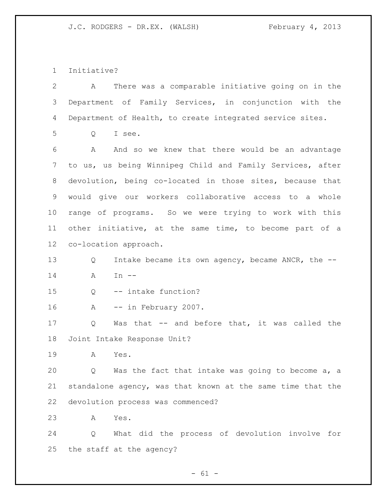Initiative?

| $\mathbf{2}$    | There was a comparable initiative going on in the<br>A      |  |
|-----------------|-------------------------------------------------------------|--|
| 3               | Department of Family Services, in conjunction with the      |  |
| 4               | Department of Health, to create integrated service sites.   |  |
| 5               | I see.<br>Q                                                 |  |
| 6               | And so we knew that there would be an advantage<br>A        |  |
| 7               | to us, us being Winnipeg Child and Family Services, after   |  |
| 8               | devolution, being co-located in those sites, because that   |  |
| 9               | would give our workers collaborative access to a whole      |  |
| 10              | range of programs. So we were trying to work with this      |  |
| 11              | other initiative, at the same time, to become part of a     |  |
| 12 <sup>°</sup> | co-location approach.                                       |  |
| 13              | Intake became its own agency, became ANCR, the --<br>Q      |  |
| 14              | A<br>In $--$                                                |  |
| 15              | -- intake function?<br>Q                                    |  |
| 16              | -- in February 2007.<br>Α                                   |  |
| 17              | Was that -- and before that, it was called the<br>Q         |  |
| 18              | Joint Intake Response Unit?                                 |  |
| 19              | Α<br>Yes.                                                   |  |
| 20              | Was the fact that intake was going to become a, a<br>Q      |  |
| 21              | standalone agency, was that known at the same time that the |  |
| 22              | devolution process was commenced?                           |  |
| 23              | Α<br>Yes.                                                   |  |
| 24              | What did the process of devolution involve for<br>Q         |  |
| 25              | the staff at the agency?                                    |  |

- 61 -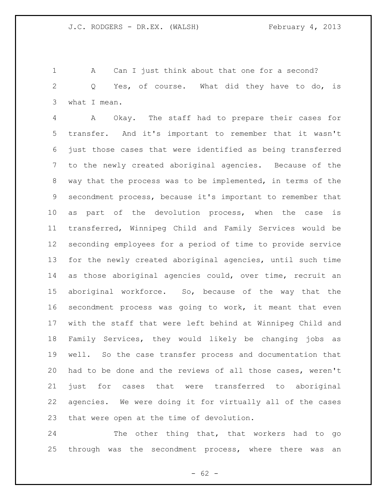1 A Can I just think about that one for a second? Q Yes, of course. What did they have to do, is what I mean.

 A Okay. The staff had to prepare their cases for transfer. And it's important to remember that it wasn't just those cases that were identified as being transferred to the newly created aboriginal agencies. Because of the way that the process was to be implemented, in terms of the secondment process, because it's important to remember that as part of the devolution process, when the case is transferred, Winnipeg Child and Family Services would be seconding employees for a period of time to provide service for the newly created aboriginal agencies, until such time as those aboriginal agencies could, over time, recruit an aboriginal workforce. So, because of the way that the secondment process was going to work, it meant that even with the staff that were left behind at Winnipeg Child and Family Services, they would likely be changing jobs as well. So the case transfer process and documentation that had to be done and the reviews of all those cases, weren't just for cases that were transferred to aboriginal agencies. We were doing it for virtually all of the cases that were open at the time of devolution.

 The other thing that, that workers had to go through was the secondment process, where there was an

 $- 62 -$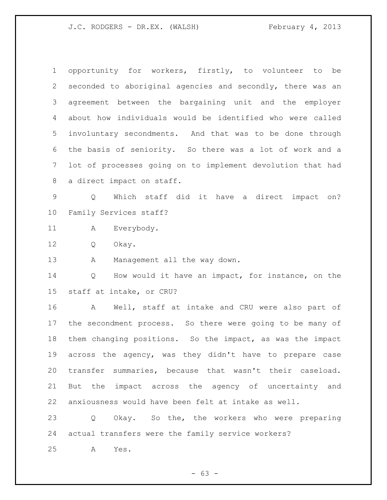opportunity for workers, firstly, to volunteer to be seconded to aboriginal agencies and secondly, there was an agreement between the bargaining unit and the employer about how individuals would be identified who were called involuntary secondments. And that was to be done through the basis of seniority. So there was a lot of work and a lot of processes going on to implement devolution that had a direct impact on staff.

 Q Which staff did it have a direct impact on? Family Services staff?

A Everybody.

Q Okay.

13 A Management all the way down.

 Q How would it have an impact, for instance, on the staff at intake, or CRU?

 A Well, staff at intake and CRU were also part of the secondment process. So there were going to be many of them changing positions. So the impact, as was the impact across the agency, was they didn't have to prepare case transfer summaries, because that wasn't their caseload. But the impact across the agency of uncertainty and anxiousness would have been felt at intake as well.

 Q Okay. So the, the workers who were preparing actual transfers were the family service workers?

A Yes.

 $- 63 -$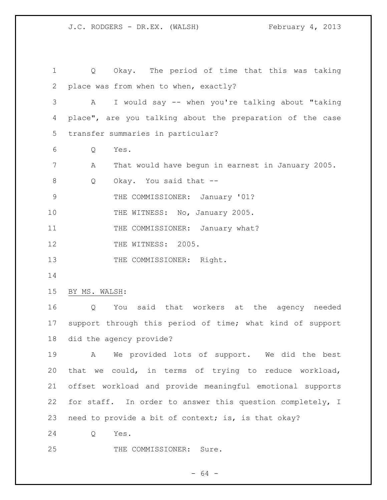Q Okay. The period of time that this was taking place was from when to when, exactly? A I would say -- when you're talking about "taking place", are you talking about the preparation of the case transfer summaries in particular? Q Yes. A That would have begun in earnest in January 2005. 8 Q Okay. You said that -- THE COMMISSIONER: January '01? 10 THE WITNESS: No, January 2005. 11 THE COMMISSIONER: January what? 12 THE WITNESS: 2005. 13 THE COMMISSIONER: Right. BY MS. WALSH: Q You said that workers at the agency needed support through this period of time; what kind of support did the agency provide? A We provided lots of support. We did the best that we could, in terms of trying to reduce workload, offset workload and provide meaningful emotional supports for staff. In order to answer this question completely, I need to provide a bit of context; is, is that okay? Q Yes. 25 THE COMMISSIONER: Sure.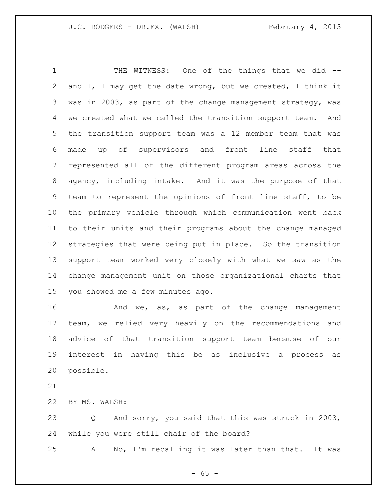THE WITNESS: One of the things that we did -- and I, I may get the date wrong, but we created, I think it was in 2003, as part of the change management strategy, was we created what we called the transition support team. And the transition support team was a 12 member team that was made up of supervisors and front line staff that represented all of the different program areas across the agency, including intake. And it was the purpose of that team to represent the opinions of front line staff, to be the primary vehicle through which communication went back to their units and their programs about the change managed strategies that were being put in place. So the transition support team worked very closely with what we saw as the change management unit on those organizational charts that you showed me a few minutes ago.

**And we, as, as part of the change management**  team, we relied very heavily on the recommendations and advice of that transition support team because of our interest in having this be as inclusive a process as possible.

BY MS. WALSH:

 Q And sorry, you said that this was struck in 2003, while you were still chair of the board?

A No, I'm recalling it was later than that. It was

 $- 65 -$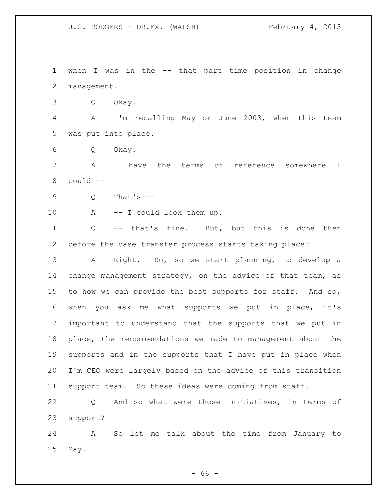when I was in the -- that part time position in change management.

Q Okay.

 A I'm recalling May or June 2003, when this team was put into place.

Q Okay.

 A I have the terms of reference somewhere I could --

 $9 \qquad Q \qquad$  That's  $-$ 

10 A -- I could look them up.

 Q -- that's fine. But, but this is done then before the case transfer process starts taking place?

 A Right. So, so we start planning, to develop a change management strategy, on the advice of that team, as to how we can provide the best supports for staff. And so, when you ask me what supports we put in place, it's important to understand that the supports that we put in place, the recommendations we made to management about the supports and in the supports that I have put in place when I'm CEO were largely based on the advice of this transition support team. So these ideas were coming from staff.

 Q And so what were those initiatives, in terms of support?

 A So let me talk about the time from January to May.

 $- 66 -$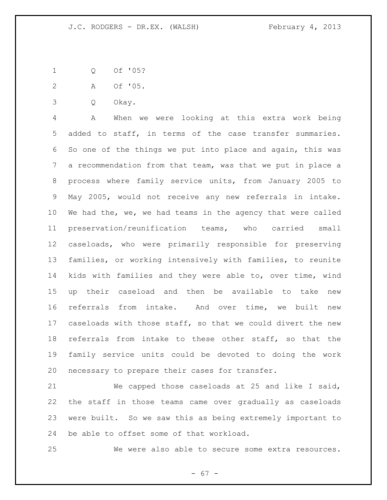Q Of '05?

A Of '05.

Q Okay.

 A When we were looking at this extra work being added to staff, in terms of the case transfer summaries. So one of the things we put into place and again, this was a recommendation from that team, was that we put in place a process where family service units, from January 2005 to May 2005, would not receive any new referrals in intake. We had the, we, we had teams in the agency that were called preservation/reunification teams, who carried small caseloads, who were primarily responsible for preserving families, or working intensively with families, to reunite kids with families and they were able to, over time, wind up their caseload and then be available to take new referrals from intake. And over time, we built new caseloads with those staff, so that we could divert the new referrals from intake to these other staff, so that the family service units could be devoted to doing the work necessary to prepare their cases for transfer.

 We capped those caseloads at 25 and like I said, the staff in those teams came over gradually as caseloads were built. So we saw this as being extremely important to be able to offset some of that workload.

We were also able to secure some extra resources.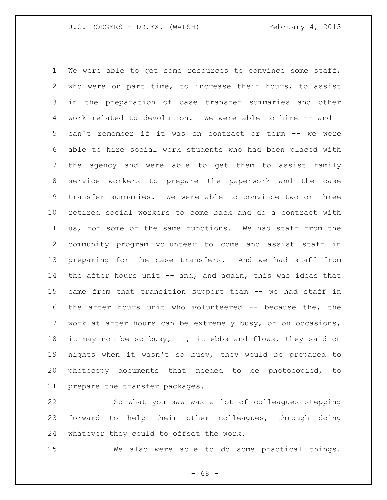We were able to get some resources to convince some staff, who were on part time, to increase their hours, to assist in the preparation of case transfer summaries and other work related to devolution. We were able to hire -- and I can't remember if it was on contract or term -- we were able to hire social work students who had been placed with the agency and were able to get them to assist family service workers to prepare the paperwork and the case transfer summaries. We were able to convince two or three retired social workers to come back and do a contract with us, for some of the same functions. We had staff from the community program volunteer to come and assist staff in preparing for the case transfers. And we had staff from the after hours unit -- and, and again, this was ideas that came from that transition support team -- we had staff in the after hours unit who volunteered -- because the, the work at after hours can be extremely busy, or on occasions, 18 it may not be so busy, it, it ebbs and flows, they said on nights when it wasn't so busy, they would be prepared to photocopy documents that needed to be photocopied, to prepare the transfer packages.

 So what you saw was a lot of colleagues stepping forward to help their other colleagues, through doing whatever they could to offset the work.

We also were able to do some practical things.

- 68 -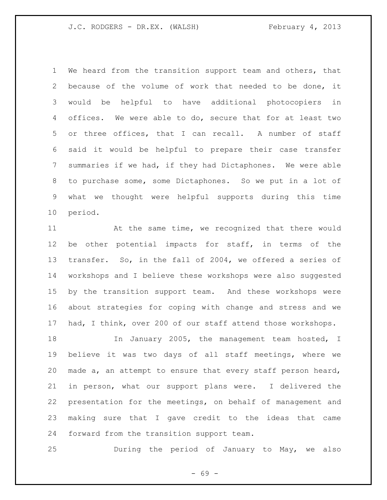We heard from the transition support team and others, that because of the volume of work that needed to be done, it would be helpful to have additional photocopiers in offices. We were able to do, secure that for at least two or three offices, that I can recall. A number of staff said it would be helpful to prepare their case transfer summaries if we had, if they had Dictaphones. We were able to purchase some, some Dictaphones. So we put in a lot of what we thought were helpful supports during this time period.

 At the same time, we recognized that there would be other potential impacts for staff, in terms of the transfer. So, in the fall of 2004, we offered a series of workshops and I believe these workshops were also suggested by the transition support team. And these workshops were about strategies for coping with change and stress and we had, I think, over 200 of our staff attend those workshops.

18 In January 2005, the management team hosted, I believe it was two days of all staff meetings, where we made a, an attempt to ensure that every staff person heard, in person, what our support plans were. I delivered the presentation for the meetings, on behalf of management and making sure that I gave credit to the ideas that came forward from the transition support team.

During the period of January to May, we also

- 69 -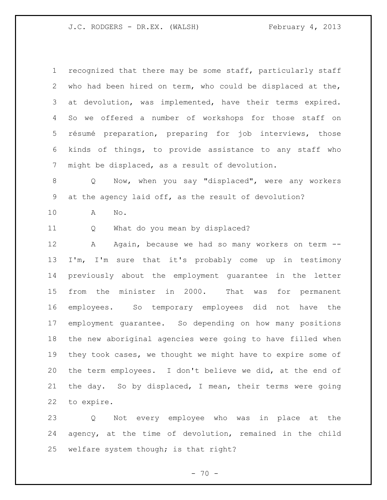recognized that there may be some staff, particularly staff who had been hired on term, who could be displaced at the, at devolution, was implemented, have their terms expired. So we offered a number of workshops for those staff on résumé preparation, preparing for job interviews, those kinds of things, to provide assistance to any staff who might be displaced, as a result of devolution.

 Q Now, when you say "displaced", were any workers at the agency laid off, as the result of devolution?

A No.

Q What do you mean by displaced?

12 A Again, because we had so many workers on term -- I'm, I'm sure that it's probably come up in testimony previously about the employment guarantee in the letter from the minister in 2000. That was for permanent employees. So temporary employees did not have the employment guarantee. So depending on how many positions the new aboriginal agencies were going to have filled when they took cases, we thought we might have to expire some of the term employees. I don't believe we did, at the end of the day. So by displaced, I mean, their terms were going to expire.

 Q Not every employee who was in place at the agency, at the time of devolution, remained in the child welfare system though; is that right?

 $- 70 -$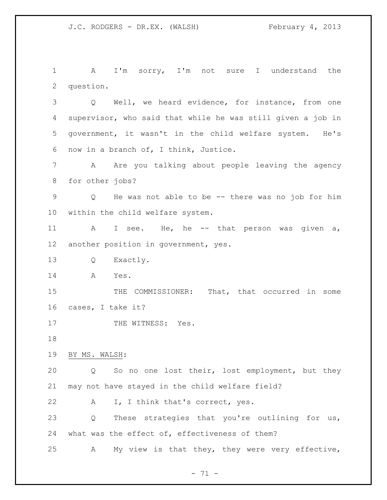A I'm sorry, I'm not sure I understand the question.

 Q Well, we heard evidence, for instance, from one supervisor, who said that while he was still given a job in government, it wasn't in the child welfare system. He's now in a branch of, I think, Justice.

 A Are you talking about people leaving the agency for other jobs?

 Q He was not able to be -- there was no job for him within the child welfare system.

 A I see. He, he -- that person was given a, another position in government, yes.

Q Exactly.

A Yes.

 THE COMMISSIONER: That, that occurred in some cases, I take it?

17 THE WITNESS: Yes.

BY MS. WALSH:

 Q So no one lost their, lost employment, but they may not have stayed in the child welfare field?

22 A I, I think that's correct, yes.

 Q These strategies that you're outlining for us, what was the effect of, effectiveness of them?

A My view is that they, they were very effective,

 $- 71 -$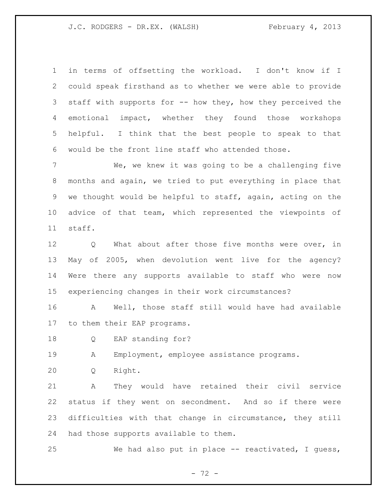in terms of offsetting the workload. I don't know if I could speak firsthand as to whether we were able to provide staff with supports for -- how they, how they perceived the emotional impact, whether they found those workshops helpful. I think that the best people to speak to that would be the front line staff who attended those.

 We, we knew it was going to be a challenging five months and again, we tried to put everything in place that we thought would be helpful to staff, again, acting on the advice of that team, which represented the viewpoints of staff.

12 Q What about after those five months were over, in May of 2005, when devolution went live for the agency? Were there any supports available to staff who were now experiencing changes in their work circumstances?

 A Well, those staff still would have had available to them their EAP programs.

Q EAP standing for?

A Employment, employee assistance programs.

Q Right.

 A They would have retained their civil service status if they went on secondment. And so if there were difficulties with that change in circumstance, they still had those supports available to them.

We had also put in place -- reactivated, I guess,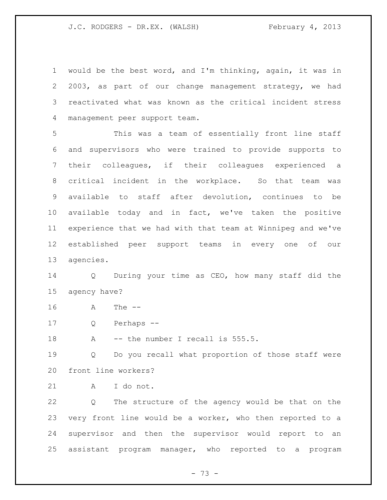would be the best word, and I'm thinking, again, it was in 2003, as part of our change management strategy, we had reactivated what was known as the critical incident stress management peer support team.

 This was a team of essentially front line staff and supervisors who were trained to provide supports to their colleagues, if their colleagues experienced a critical incident in the workplace. So that team was available to staff after devolution, continues to be available today and in fact, we've taken the positive experience that we had with that team at Winnipeg and we've established peer support teams in every one of our agencies.

 Q During your time as CEO, how many staff did the agency have?

- A The --
- Q Perhaps --

18 A -- the number I recall is 555.5.

 Q Do you recall what proportion of those staff were front line workers?

A I do not.

 Q The structure of the agency would be that on the very front line would be a worker, who then reported to a supervisor and then the supervisor would report to an assistant program manager, who reported to a program

- 73 -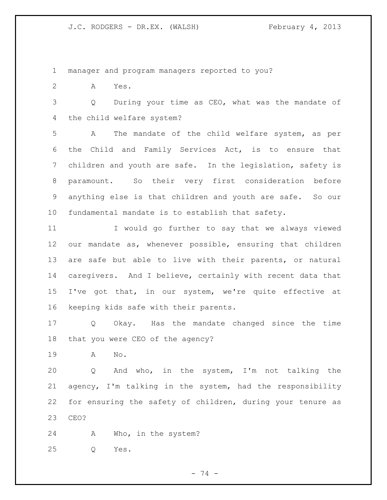manager and program managers reported to you?

A Yes.

 Q During your time as CEO, what was the mandate of the child welfare system?

 A The mandate of the child welfare system, as per the Child and Family Services Act, is to ensure that children and youth are safe. In the legislation, safety is paramount. So their very first consideration before anything else is that children and youth are safe. So our fundamental mandate is to establish that safety.

 I would go further to say that we always viewed our mandate as, whenever possible, ensuring that children are safe but able to live with their parents, or natural caregivers. And I believe, certainly with recent data that I've got that, in our system, we're quite effective at keeping kids safe with their parents.

 Q Okay. Has the mandate changed since the time that you were CEO of the agency?

A No.

 Q And who, in the system, I'm not talking the agency, I'm talking in the system, had the responsibility for ensuring the safety of children, during your tenure as CEO?

A Who, in the system?

Q Yes.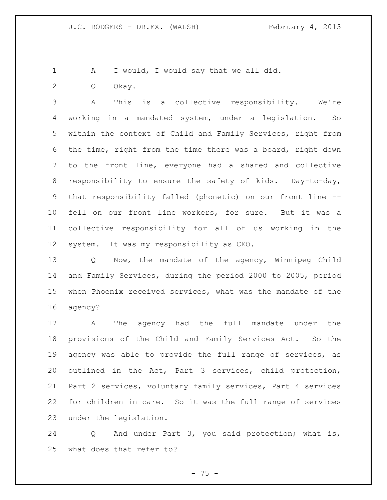- A I would, I would say that we all did.
- Q Okay.

 A This is a collective responsibility. We're working in a mandated system, under a legislation. So within the context of Child and Family Services, right from the time, right from the time there was a board, right down to the front line, everyone had a shared and collective responsibility to ensure the safety of kids. Day-to-day, that responsibility falled (phonetic) on our front line -- fell on our front line workers, for sure. But it was a collective responsibility for all of us working in the system. It was my responsibility as CEO.

 Q Now, the mandate of the agency, Winnipeg Child and Family Services, during the period 2000 to 2005, period when Phoenix received services, what was the mandate of the agency?

 A The agency had the full mandate under the provisions of the Child and Family Services Act. So the agency was able to provide the full range of services, as outlined in the Act, Part 3 services, child protection, Part 2 services, voluntary family services, Part 4 services for children in care. So it was the full range of services under the legislation.

 Q And under Part 3, you said protection; what is, what does that refer to?

 $- 75 -$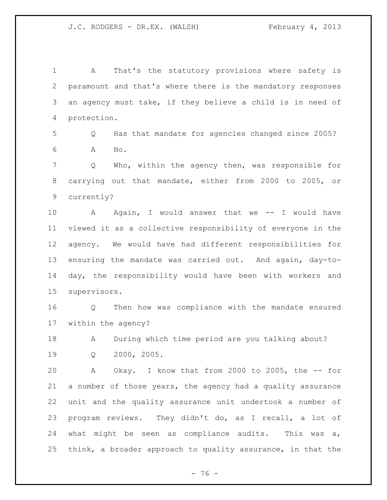A That's the statutory provisions where safety is paramount and that's where there is the mandatory responses an agency must take, if they believe a child is in need of protection.

 Q Has that mandate for agencies changed since 2005? A No.

 Q Who, within the agency then, was responsible for carrying out that mandate, either from 2000 to 2005, or currently?

10 A Again, I would answer that we -- I would have viewed it as a collective responsibility of everyone in the agency. We would have had different responsibilities for ensuring the mandate was carried out. And again, day-to- day, the responsibility would have been with workers and supervisors.

 Q Then how was compliance with the mandate ensured within the agency?

A During which time period are you talking about?

Q 2000, 2005.

 A Okay. I know that from 2000 to 2005, the -- for a number of those years, the agency had a quality assurance unit and the quality assurance unit undertook a number of program reviews. They didn't do, as I recall, a lot of what might be seen as compliance audits. This was a, think, a broader approach to quality assurance, in that the

- 76 -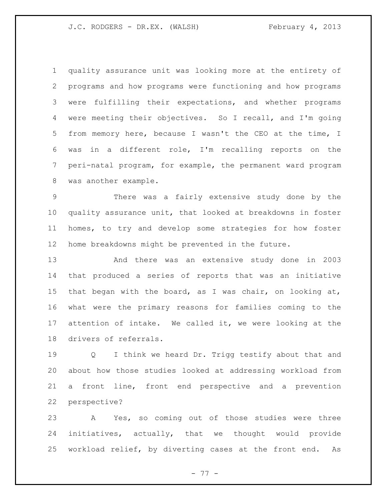quality assurance unit was looking more at the entirety of programs and how programs were functioning and how programs were fulfilling their expectations, and whether programs were meeting their objectives. So I recall, and I'm going from memory here, because I wasn't the CEO at the time, I was in a different role, I'm recalling reports on the peri-natal program, for example, the permanent ward program was another example.

 There was a fairly extensive study done by the quality assurance unit, that looked at breakdowns in foster homes, to try and develop some strategies for how foster home breakdowns might be prevented in the future.

 And there was an extensive study done in 2003 that produced a series of reports that was an initiative that began with the board, as I was chair, on looking at, what were the primary reasons for families coming to the attention of intake. We called it, we were looking at the drivers of referrals.

 Q I think we heard Dr. Trigg testify about that and about how those studies looked at addressing workload from a front line, front end perspective and a prevention perspective?

 A Yes, so coming out of those studies were three initiatives, actually, that we thought would provide workload relief, by diverting cases at the front end. As

- 77 -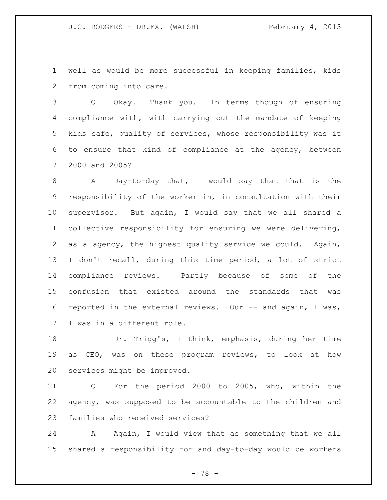well as would be more successful in keeping families, kids from coming into care.

 Q Okay. Thank you. In terms though of ensuring compliance with, with carrying out the mandate of keeping kids safe, quality of services, whose responsibility was it to ensure that kind of compliance at the agency, between 2000 and 2005?

 A Day-to-day that, I would say that that is the responsibility of the worker in, in consultation with their supervisor. But again, I would say that we all shared a collective responsibility for ensuring we were delivering, as a agency, the highest quality service we could. Again, I don't recall, during this time period, a lot of strict compliance reviews. Partly because of some of the confusion that existed around the standards that was 16 reported in the external reviews. Our -- and again, I was, I was in a different role.

 Dr. Trigg's, I think, emphasis, during her time as CEO, was on these program reviews, to look at how services might be improved.

 Q For the period 2000 to 2005, who, within the agency, was supposed to be accountable to the children and families who received services?

24 A Again, I would view that as something that we all shared a responsibility for and day-to-day would be workers

- 78 -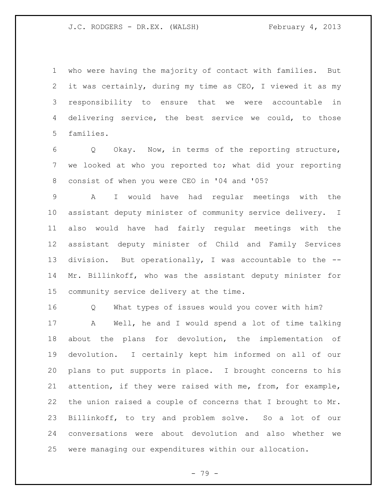who were having the majority of contact with families. But it was certainly, during my time as CEO, I viewed it as my responsibility to ensure that we were accountable in delivering service, the best service we could, to those families.

 Q Okay. Now, in terms of the reporting structure, we looked at who you reported to; what did your reporting consist of when you were CEO in '04 and '05?

 A I would have had regular meetings with the assistant deputy minister of community service delivery. I also would have had fairly regular meetings with the assistant deputy minister of Child and Family Services division. But operationally, I was accountable to the -- Mr. Billinkoff, who was the assistant deputy minister for community service delivery at the time.

Q What types of issues would you cover with him?

 A Well, he and I would spend a lot of time talking about the plans for devolution, the implementation of devolution. I certainly kept him informed on all of our plans to put supports in place. I brought concerns to his attention, if they were raised with me, from, for example, the union raised a couple of concerns that I brought to Mr. Billinkoff, to try and problem solve. So a lot of our conversations were about devolution and also whether we were managing our expenditures within our allocation.

- 79 -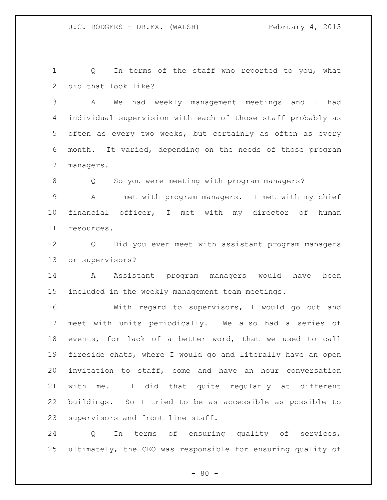Q In terms of the staff who reported to you, what did that look like?

 A We had weekly management meetings and I had individual supervision with each of those staff probably as often as every two weeks, but certainly as often as every month. It varied, depending on the needs of those program managers.

8 Q So you were meeting with program managers?

 A I met with program managers. I met with my chief financial officer, I met with my director of human resources.

 Q Did you ever meet with assistant program managers or supervisors?

 A Assistant program managers would have been included in the weekly management team meetings.

 With regard to supervisors, I would go out and meet with units periodically. We also had a series of events, for lack of a better word, that we used to call fireside chats, where I would go and literally have an open invitation to staff, come and have an hour conversation with me. I did that quite regularly at different buildings. So I tried to be as accessible as possible to supervisors and front line staff.

 Q In terms of ensuring quality of services, ultimately, the CEO was responsible for ensuring quality of

 $- 80 -$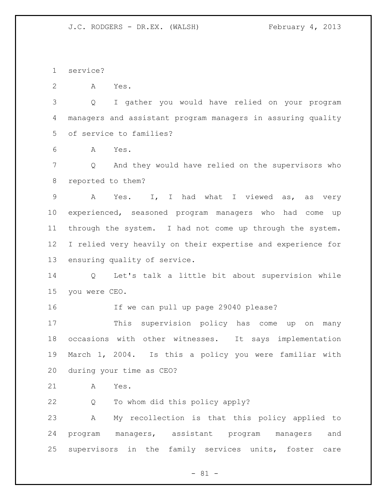service?

A Yes.

 Q I gather you would have relied on your program managers and assistant program managers in assuring quality of service to families?

A Yes.

 Q And they would have relied on the supervisors who reported to them?

 A Yes. I, I had what I viewed as, as very experienced, seasoned program managers who had come up through the system. I had not come up through the system. I relied very heavily on their expertise and experience for ensuring quality of service.

 Q Let's talk a little bit about supervision while you were CEO.

If we can pull up page 29040 please?

 This supervision policy has come up on many occasions with other witnesses. It says implementation March 1, 2004. Is this a policy you were familiar with during your time as CEO?

A Yes.

Q To whom did this policy apply?

 A My recollection is that this policy applied to program managers, assistant program managers and supervisors in the family services units, foster care

- 81 -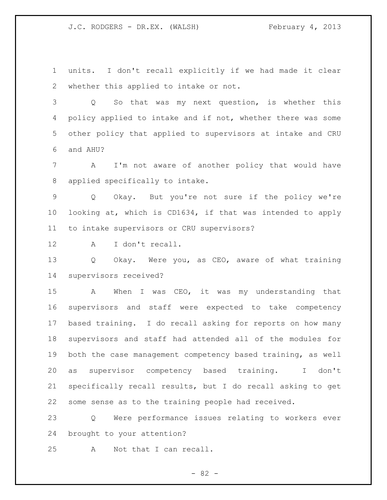units. I don't recall explicitly if we had made it clear whether this applied to intake or not.

 Q So that was my next question, is whether this 4 policy applied to intake and if not, whether there was some other policy that applied to supervisors at intake and CRU and AHU?

 A I'm not aware of another policy that would have applied specifically to intake.

 Q Okay. But you're not sure if the policy we're looking at, which is CD1634, if that was intended to apply to intake supervisors or CRU supervisors?

A I don't recall.

 Q Okay. Were you, as CEO, aware of what training supervisors received?

 A When I was CEO, it was my understanding that supervisors and staff were expected to take competency based training. I do recall asking for reports on how many supervisors and staff had attended all of the modules for both the case management competency based training, as well as supervisor competency based training. I don't specifically recall results, but I do recall asking to get some sense as to the training people had received.

 Q Were performance issues relating to workers ever brought to your attention?

A Not that I can recall.

- 82 -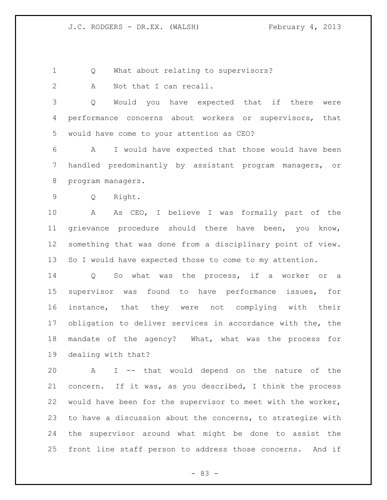Q What about relating to supervisors?

2 A Not that I can recall.

 Q Would you have expected that if there were performance concerns about workers or supervisors, that would have come to your attention as CEO?

 A I would have expected that those would have been handled predominantly by assistant program managers, or program managers.

Q Right.

 A As CEO, I believe I was formally part of the grievance procedure should there have been, you know, something that was done from a disciplinary point of view. So I would have expected those to come to my attention.

 Q So what was the process, if a worker or a supervisor was found to have performance issues, for instance, that they were not complying with their obligation to deliver services in accordance with the, the mandate of the agency? What, what was the process for dealing with that?

 A I -- that would depend on the nature of the concern. If it was, as you described, I think the process would have been for the supervisor to meet with the worker, to have a discussion about the concerns, to strategize with the supervisor around what might be done to assist the front line staff person to address those concerns. And if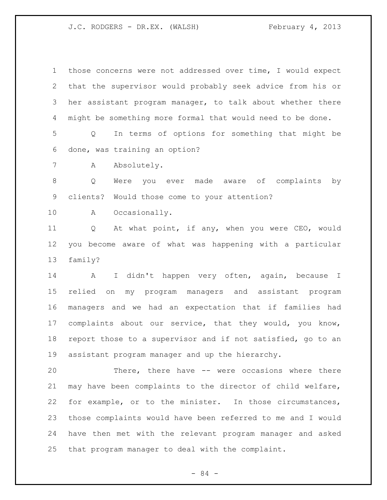those concerns were not addressed over time, I would expect that the supervisor would probably seek advice from his or her assistant program manager, to talk about whether there might be something more formal that would need to be done.

 Q In terms of options for something that might be done, was training an option?

A Absolutely.

 Q Were you ever made aware of complaints by clients? Would those come to your attention?

A Occasionally.

 Q At what point, if any, when you were CEO, would you become aware of what was happening with a particular family?

 A I didn't happen very often, again, because I relied on my program managers and assistant program managers and we had an expectation that if families had complaints about our service, that they would, you know, report those to a supervisor and if not satisfied, go to an assistant program manager and up the hierarchy.

 There, there have -- were occasions where there may have been complaints to the director of child welfare, for example, or to the minister. In those circumstances, those complaints would have been referred to me and I would have then met with the relevant program manager and asked that program manager to deal with the complaint.

- 84 -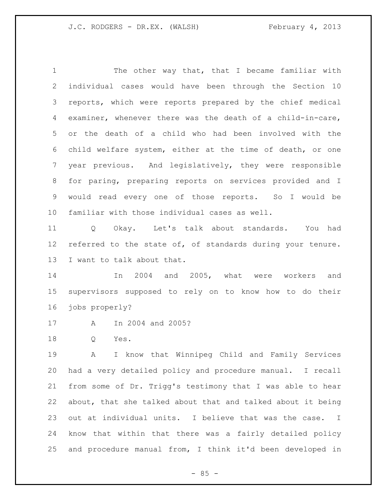The other way that, that I became familiar with individual cases would have been through the Section 10 reports, which were reports prepared by the chief medical examiner, whenever there was the death of a child-in-care, or the death of a child who had been involved with the child welfare system, either at the time of death, or one year previous. And legislatively, they were responsible for paring, preparing reports on services provided and I would read every one of those reports. So I would be familiar with those individual cases as well.

 Q Okay. Let's talk about standards. You had 12 referred to the state of, of standards during your tenure. I want to talk about that.

 In 2004 and 2005, what were workers and supervisors supposed to rely on to know how to do their jobs properly?

- A In 2004 and 2005?
- Q Yes.

 A I know that Winnipeg Child and Family Services had a very detailed policy and procedure manual. I recall from some of Dr. Trigg's testimony that I was able to hear about, that she talked about that and talked about it being out at individual units. I believe that was the case. I know that within that there was a fairly detailed policy and procedure manual from, I think it'd been developed in

 $- 85 -$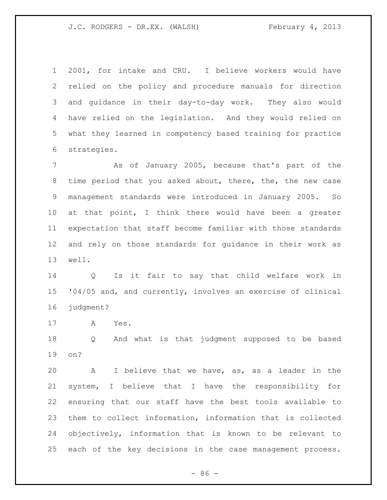2001, for intake and CRU. I believe workers would have relied on the policy and procedure manuals for direction and guidance in their day-to-day work. They also would have relied on the legislation. And they would relied on what they learned in competency based training for practice strategies.

 As of January 2005, because that's part of the time period that you asked about, there, the, the new case management standards were introduced in January 2005. So at that point, I think there would have been a greater expectation that staff become familiar with those standards and rely on those standards for guidance in their work as well.

 Q Is it fair to say that child welfare work in '04/05 and, and currently, involves an exercise of clinical judgment?

A Yes.

 Q And what is that judgment supposed to be based on?

 A I believe that we have, as, as a leader in the system, I believe that I have the responsibility for ensuring that our staff have the best tools available to them to collect information, information that is collected objectively, information that is known to be relevant to each of the key decisions in the case management process.

 $-86 -$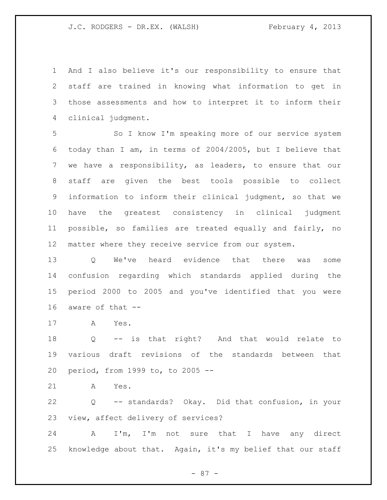And I also believe it's our responsibility to ensure that staff are trained in knowing what information to get in those assessments and how to interpret it to inform their clinical judgment.

 So I know I'm speaking more of our service system today than I am, in terms of 2004/2005, but I believe that we have a responsibility, as leaders, to ensure that our staff are given the best tools possible to collect information to inform their clinical judgment, so that we have the greatest consistency in clinical judgment possible, so families are treated equally and fairly, no matter where they receive service from our system.

 Q We've heard evidence that there was some confusion regarding which standards applied during the period 2000 to 2005 and you've identified that you were aware of that --

A Yes.

 Q -- is that right? And that would relate to various draft revisions of the standards between that period, from 1999 to, to 2005 --

A Yes.

 Q -- standards? Okay. Did that confusion, in your view, affect delivery of services?

 A I'm, I'm not sure that I have any direct knowledge about that. Again, it's my belief that our staff

- 87 -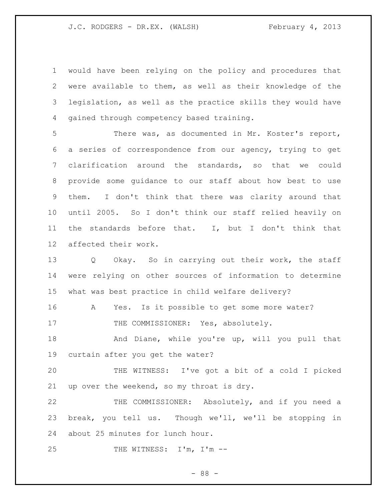would have been relying on the policy and procedures that were available to them, as well as their knowledge of the legislation, as well as the practice skills they would have gained through competency based training.

 There was, as documented in Mr. Koster's report, a series of correspondence from our agency, trying to get clarification around the standards, so that we could provide some guidance to our staff about how best to use them. I don't think that there was clarity around that until 2005. So I don't think our staff relied heavily on the standards before that. I, but I don't think that affected their work.

13 Q Okay. So in carrying out their work, the staff were relying on other sources of information to determine what was best practice in child welfare delivery?

A Yes. Is it possible to get some more water?

17 THE COMMISSIONER: Yes, absolutely.

18 And Diane, while you're up, will you pull that curtain after you get the water?

 THE WITNESS: I've got a bit of a cold I picked up over the weekend, so my throat is dry.

 THE COMMISSIONER: Absolutely, and if you need a break, you tell us. Though we'll, we'll be stopping in about 25 minutes for lunch hour.

25 THE WITNESS: I'm, I'm --

- 88 -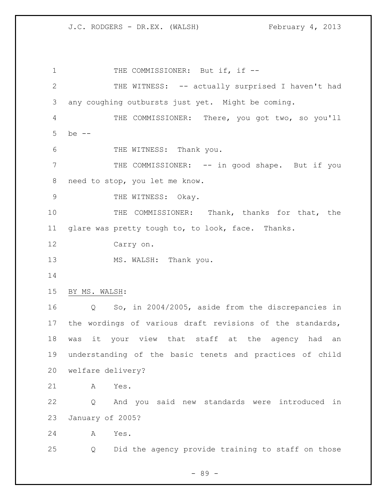1 THE COMMISSIONER: But if, if -- THE WITNESS: -- actually surprised I haven't had any coughing outbursts just yet. Might be coming. THE COMMISSIONER: There, you got two, so you'll be -- THE WITNESS: Thank you. THE COMMISSIONER: -- in good shape. But if you need to stop, you let me know. 9 THE WITNESS: Okay. THE COMMISSIONER: Thank, thanks for that, the glare was pretty tough to, to look, face. Thanks. Carry on. 13 MS. WALSH: Thank you. BY MS. WALSH: Q So, in 2004/2005, aside from the discrepancies in the wordings of various draft revisions of the standards, was it your view that staff at the agency had an understanding of the basic tenets and practices of child welfare delivery? A Yes. Q And you said new standards were introduced in January of 2005? A Yes. Q Did the agency provide training to staff on those

- 89 -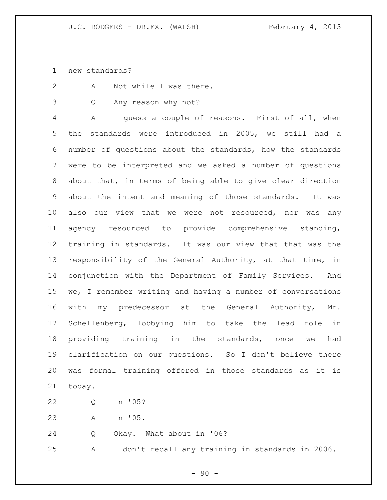new standards?

2 A Not while I was there.

Q Any reason why not?

 A I guess a couple of reasons. First of all, when the standards were introduced in 2005, we still had a number of questions about the standards, how the standards were to be interpreted and we asked a number of questions about that, in terms of being able to give clear direction about the intent and meaning of those standards. It was also our view that we were not resourced, nor was any agency resourced to provide comprehensive standing, training in standards. It was our view that that was the responsibility of the General Authority, at that time, in conjunction with the Department of Family Services. And we, I remember writing and having a number of conversations with my predecessor at the General Authority, Mr. Schellenberg, lobbying him to take the lead role in providing training in the standards, once we had clarification on our questions. So I don't believe there was formal training offered in those standards as it is today.

- Q In '05?
- A In '05.

Q Okay. What about in '06?

A I don't recall any training in standards in 2006.

 $-90 -$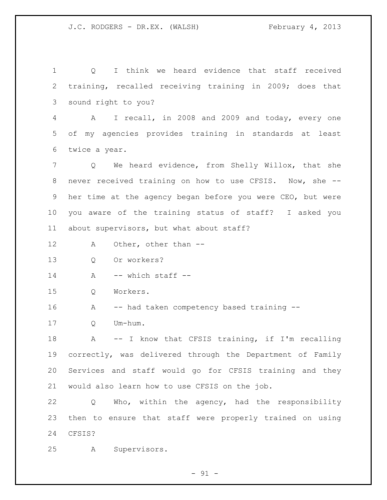Q I think we heard evidence that staff received training, recalled receiving training in 2009; does that sound right to you? A I recall, in 2008 and 2009 and today, every one of my agencies provides training in standards at least twice a year. Q We heard evidence, from Shelly Willox, that she never received training on how to use CFSIS. Now, she -- her time at the agency began before you were CEO, but were you aware of the training status of staff? I asked you about supervisors, but what about staff? A Other, other than -- Q Or workers? A  $-$  which staff  $-$  Q Workers. 16 A -- had taken competency based training -- Q Um-hum. 18 A -- I know that CFSIS training, if I'm recalling correctly, was delivered through the Department of Family Services and staff would go for CFSIS training and they would also learn how to use CFSIS on the job. Q Who, within the agency, had the responsibility then to ensure that staff were properly trained on using CFSIS? A Supervisors.

 $-91 -$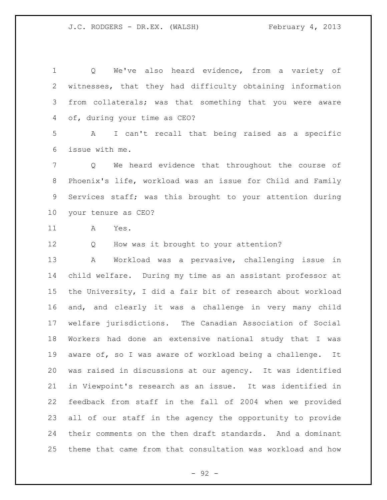Q We've also heard evidence, from a variety of witnesses, that they had difficulty obtaining information from collaterals; was that something that you were aware of, during your time as CEO? A I can't recall that being raised as a specific issue with me. Q We heard evidence that throughout the course of Phoenix's life, workload was an issue for Child and Family Services staff; was this brought to your attention during your tenure as CEO? A Yes. 12 Q How was it brought to your attention? A Workload was a pervasive, challenging issue in child welfare. During my time as an assistant professor at the University, I did a fair bit of research about workload and, and clearly it was a challenge in very many child welfare jurisdictions. The Canadian Association of Social Workers had done an extensive national study that I was aware of, so I was aware of workload being a challenge. It was raised in discussions at our agency. It was identified in Viewpoint's research as an issue. It was identified in feedback from staff in the fall of 2004 when we provided all of our staff in the agency the opportunity to provide their comments on the then draft standards. And a dominant theme that came from that consultation was workload and how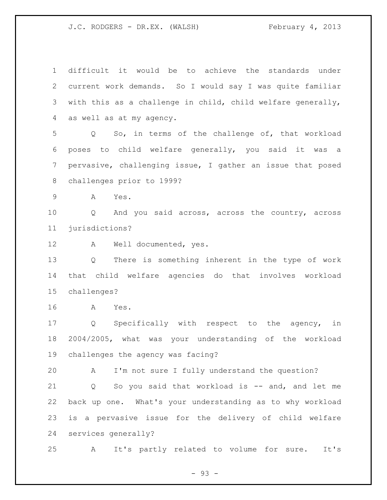difficult it would be to achieve the standards under current work demands. So I would say I was quite familiar with this as a challenge in child, child welfare generally, as well as at my agency. Q So, in terms of the challenge of, that workload poses to child welfare generally, you said it was a pervasive, challenging issue, I gather an issue that posed challenges prior to 1999? A Yes. Q And you said across, across the country, across jurisdictions? A Well documented, yes. Q There is something inherent in the type of work that child welfare agencies do that involves workload challenges? A Yes. Q Specifically with respect to the agency, in 2004/2005, what was your understanding of the workload challenges the agency was facing? A I'm not sure I fully understand the question? 21 Q So you said that workload is -- and, and let me back up one. What's your understanding as to why workload is a pervasive issue for the delivery of child welfare services generally? A It's partly related to volume for sure. It's

- 93 -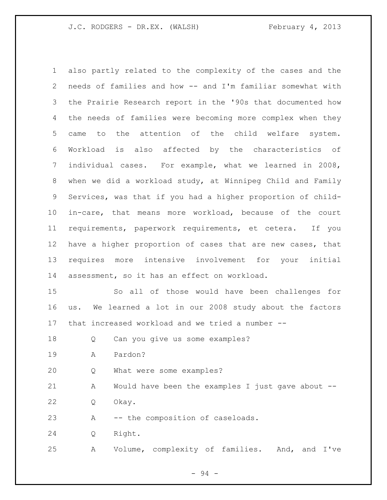also partly related to the complexity of the cases and the needs of families and how -- and I'm familiar somewhat with the Prairie Research report in the '90s that documented how the needs of families were becoming more complex when they came to the attention of the child welfare system. Workload is also affected by the characteristics of individual cases. For example, what we learned in 2008, when we did a workload study, at Winnipeg Child and Family Services, was that if you had a higher proportion of child- in-care, that means more workload, because of the court requirements, paperwork requirements, et cetera. If you have a higher proportion of cases that are new cases, that requires more intensive involvement for your initial assessment, so it has an effect on workload. So all of those would have been challenges for us. We learned a lot in our 2008 study about the factors that increased workload and we tried a number -- Q Can you give us some examples? A Pardon? Q What were some examples? A Would have been the examples I just gave about -- Q Okay.

23 A -- the composition of caseloads.

Q Right.

A Volume, complexity of families. And, and I've

- 94 -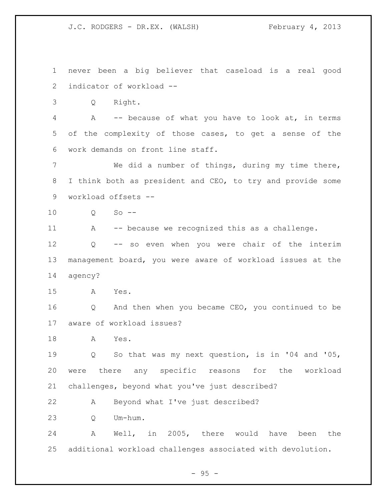never been a big believer that caseload is a real good indicator of workload -- Q Right. A -- because of what you have to look at, in terms of the complexity of those cases, to get a sense of the work demands on front line staff. We did a number of things, during my time there, I think both as president and CEO, to try and provide some workload offsets -- Q So -- 11 A -- because we recognized this as a challenge. Q -- so even when you were chair of the interim management board, you were aware of workload issues at the agency? A Yes. Q And then when you became CEO, you continued to be aware of workload issues? A Yes. Q So that was my next question, is in '04 and '05, were there any specific reasons for the workload challenges, beyond what you've just described? A Beyond what I've just described? Q Um-hum. A Well, in 2005, there would have been the additional workload challenges associated with devolution.

 $-95 -$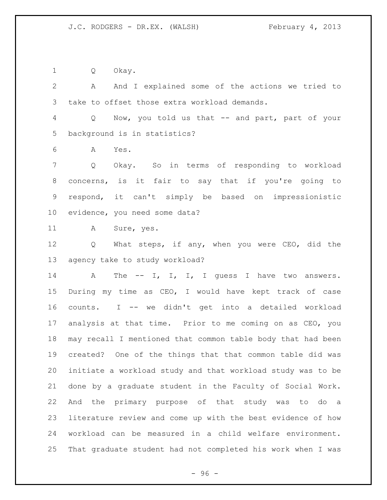Q Okay.

 A And I explained some of the actions we tried to take to offset those extra workload demands. Q Now, you told us that -- and part, part of your background is in statistics? A Yes.

 Q Okay. So in terms of responding to workload concerns, is it fair to say that if you're going to respond, it can't simply be based on impressionistic evidence, you need some data?

A Sure, yes.

 Q What steps, if any, when you were CEO, did the agency take to study workload?

14 A The -- I, I, I, I guess I have two answers. During my time as CEO, I would have kept track of case counts. I -- we didn't get into a detailed workload analysis at that time. Prior to me coming on as CEO, you may recall I mentioned that common table body that had been created? One of the things that that common table did was initiate a workload study and that workload study was to be done by a graduate student in the Faculty of Social Work. And the primary purpose of that study was to do a literature review and come up with the best evidence of how workload can be measured in a child welfare environment. That graduate student had not completed his work when I was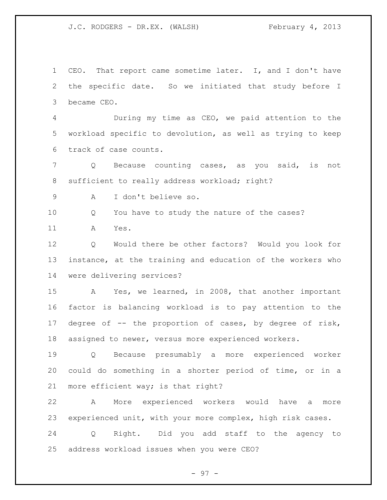CEO. That report came sometime later. I, and I don't have the specific date. So we initiated that study before I became CEO.

 During my time as CEO, we paid attention to the workload specific to devolution, as well as trying to keep track of case counts.

 Q Because counting cases, as you said, is not 8 sufficient to really address workload; right?

A I don't believe so.

Q You have to study the nature of the cases?

A Yes.

 Q Would there be other factors? Would you look for instance, at the training and education of the workers who were delivering services?

 A Yes, we learned, in 2008, that another important factor is balancing workload is to pay attention to the degree of -- the proportion of cases, by degree of risk, assigned to newer, versus more experienced workers.

 Q Because presumably a more experienced worker could do something in a shorter period of time, or in a more efficient way; is that right?

 A More experienced workers would have a more experienced unit, with your more complex, high risk cases.

 Q Right. Did you add staff to the agency to address workload issues when you were CEO?

- 97 -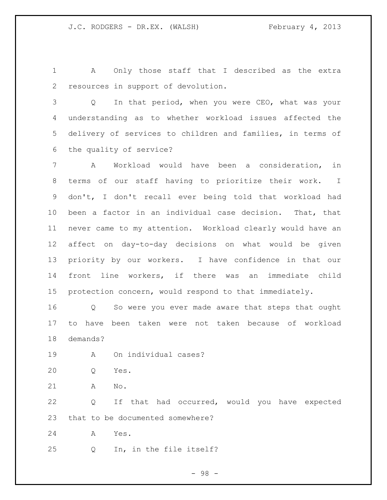A Only those staff that I described as the extra resources in support of devolution.

 Q In that period, when you were CEO, what was your understanding as to whether workload issues affected the delivery of services to children and families, in terms of the quality of service?

 A Workload would have been a consideration, in terms of our staff having to prioritize their work. I don't, I don't recall ever being told that workload had been a factor in an individual case decision. That, that never came to my attention. Workload clearly would have an affect on day-to-day decisions on what would be given priority by our workers. I have confidence in that our front line workers, if there was an immediate child protection concern, would respond to that immediately.

 Q So were you ever made aware that steps that ought to have been taken were not taken because of workload demands?

A On individual cases?

Q Yes.

A No.

 Q If that had occurred, would you have expected that to be documented somewhere?

A Yes.

Q In, in the file itself?

- 98 -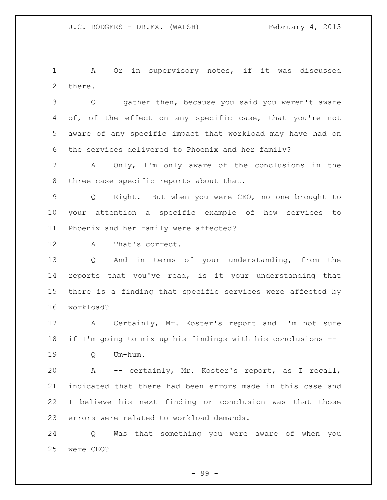A Or in supervisory notes, if it was discussed there.

 Q I gather then, because you said you weren't aware 4 of, of the effect on any specific case, that you're not aware of any specific impact that workload may have had on the services delivered to Phoenix and her family?

 A Only, I'm only aware of the conclusions in the three case specific reports about that.

 Q Right. But when you were CEO, no one brought to your attention a specific example of how services to Phoenix and her family were affected?

A That's correct.

 Q And in terms of your understanding, from the reports that you've read, is it your understanding that there is a finding that specific services were affected by workload?

 A Certainly, Mr. Koster's report and I'm not sure if I'm going to mix up his findings with his conclusions --

Q Um-hum.

 A -- certainly, Mr. Koster's report, as I recall, indicated that there had been errors made in this case and I believe his next finding or conclusion was that those errors were related to workload demands.

 Q Was that something you were aware of when you were CEO?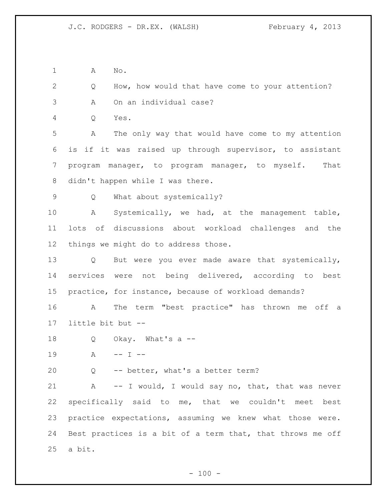A No.

 Q How, how would that have come to your attention? A On an individual case?

Q Yes.

 A The only way that would have come to my attention is if it was raised up through supervisor, to assistant program manager, to program manager, to myself. That didn't happen while I was there.

Q What about systemically?

 A Systemically, we had, at the management table, lots of discussions about workload challenges and the things we might do to address those.

 Q But were you ever made aware that systemically, services were not being delivered, according to best practice, for instance, because of workload demands?

 A The term "best practice" has thrown me off a little bit but --

Q Okay. What's a --

19 A -- I --

Q -- better, what's a better term?

21 A -- I would, I would say no, that, that was never specifically said to me, that we couldn't meet best practice expectations, assuming we knew what those were. Best practices is a bit of a term that, that throws me off a bit.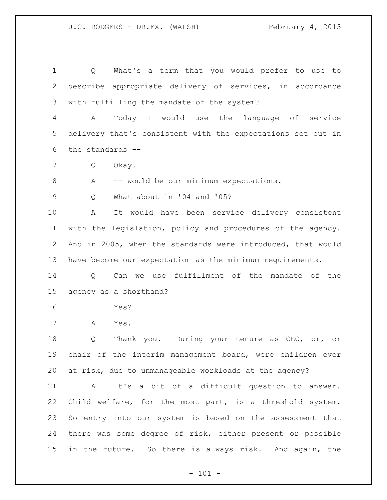Q What's a term that you would prefer to use to describe appropriate delivery of services, in accordance with fulfilling the mandate of the system? A Today I would use the language of service

 delivery that's consistent with the expectations set out in the standards --

Q Okay.

8 A -- would be our minimum expectations.

Q What about in '04 and '05?

 A It would have been service delivery consistent with the legislation, policy and procedures of the agency. And in 2005, when the standards were introduced, that would have become our expectation as the minimum requirements.

 Q Can we use fulfillment of the mandate of the agency as a shorthand?

Yes?

A Yes.

 Q Thank you. During your tenure as CEO, or, or chair of the interim management board, were children ever at risk, due to unmanageable workloads at the agency?

 A It's a bit of a difficult question to answer. Child welfare, for the most part, is a threshold system. So entry into our system is based on the assessment that there was some degree of risk, either present or possible in the future. So there is always risk. And again, the

 $- 101 -$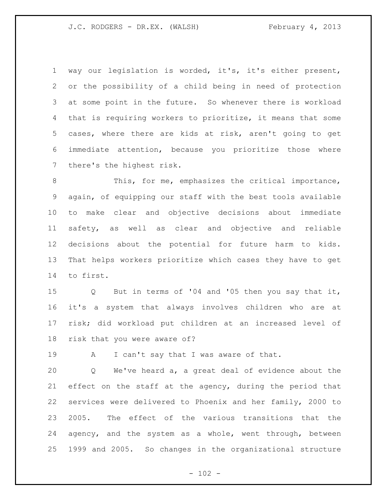way our legislation is worded, it's, it's either present, or the possibility of a child being in need of protection at some point in the future. So whenever there is workload that is requiring workers to prioritize, it means that some cases, where there are kids at risk, aren't going to get immediate attention, because you prioritize those where there's the highest risk.

8 This, for me, emphasizes the critical importance, again, of equipping our staff with the best tools available to make clear and objective decisions about immediate safety, as well as clear and objective and reliable decisions about the potential for future harm to kids. That helps workers prioritize which cases they have to get to first.

 Q But in terms of '04 and '05 then you say that it, it's a system that always involves children who are at risk; did workload put children at an increased level of risk that you were aware of?

19 A I can't say that I was aware of that.

 Q We've heard a, a great deal of evidence about the effect on the staff at the agency, during the period that services were delivered to Phoenix and her family, 2000 to 2005. The effect of the various transitions that the agency, and the system as a whole, went through, between 1999 and 2005. So changes in the organizational structure

 $- 102 -$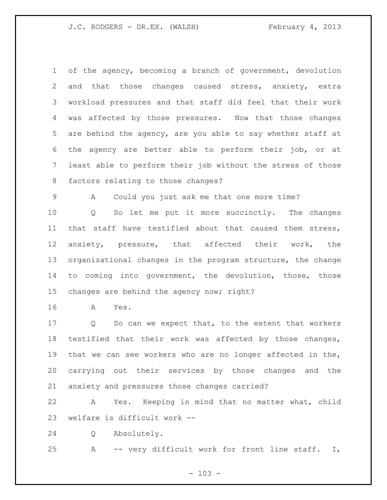of the agency, becoming a branch of government, devolution and that those changes caused stress, anxiety, extra workload pressures and that staff did feel that their work was affected by those pressures. Now that those changes are behind the agency, are you able to say whether staff at the agency are better able to perform their job, or at least able to perform their job without the stress of those factors relating to those changes?

A Could you just ask me that one more time?

 Q So let me put it more succinctly. The changes that staff have testified about that caused them stress, anxiety, pressure, that affected their work, the organizational changes in the program structure, the change to coming into government, the devolution, those, those changes are behind the agency now; right?

A Yes.

 Q So can we expect that, to the extent that workers testified that their work was affected by those changes, that we can see workers who are no longer affected in the, carrying out their services by those changes and the anxiety and pressures those changes carried?

 A Yes. Keeping in mind that no matter what, child welfare is difficult work --

Q Absolutely.

A -- very difficult work for front line staff. I,

 $- 103 -$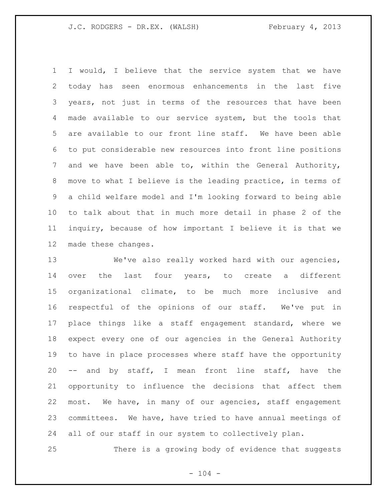I would, I believe that the service system that we have today has seen enormous enhancements in the last five years, not just in terms of the resources that have been made available to our service system, but the tools that are available to our front line staff. We have been able to put considerable new resources into front line positions and we have been able to, within the General Authority, move to what I believe is the leading practice, in terms of a child welfare model and I'm looking forward to being able to talk about that in much more detail in phase 2 of the inquiry, because of how important I believe it is that we made these changes.

 We've also really worked hard with our agencies, over the last four years, to create a different organizational climate, to be much more inclusive and respectful of the opinions of our staff. We've put in place things like a staff engagement standard, where we expect every one of our agencies in the General Authority to have in place processes where staff have the opportunity -- and by staff, I mean front line staff, have the opportunity to influence the decisions that affect them most. We have, in many of our agencies, staff engagement committees. We have, have tried to have annual meetings of all of our staff in our system to collectively plan.

There is a growing body of evidence that suggests

 $- 104 -$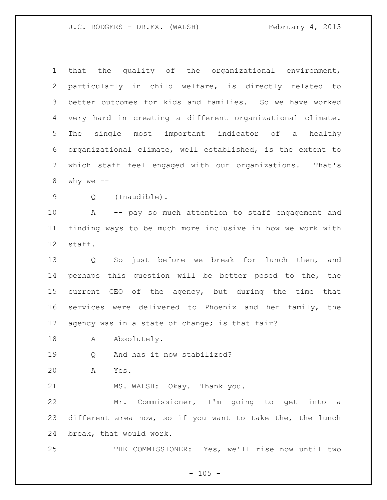that the quality of the organizational environment, particularly in child welfare, is directly related to better outcomes for kids and families. So we have worked very hard in creating a different organizational climate. The single most important indicator of a healthy organizational climate, well established, is the extent to which staff feel engaged with our organizations. That's 8 why we  $--$  Q (Inaudible). A -- pay so much attention to staff engagement and finding ways to be much more inclusive in how we work with staff. Q So just before we break for lunch then, and perhaps this question will be better posed to the, the current CEO of the agency, but during the time that services were delivered to Phoenix and her family, the 17 agency was in a state of change; is that fair? 18 A Absolutely. Q And has it now stabilized? A Yes. MS. WALSH: Okay. Thank you. Mr. Commissioner, I'm going to get into a different area now, so if you want to take the, the lunch

break, that would work.

THE COMMISSIONER: Yes, we'll rise now until two

 $- 105 -$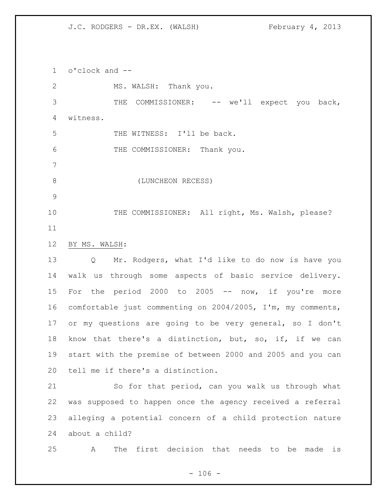o'clock and --

2 MS. WALSH: Thank you. 3 THE COMMISSIONER: -- we'll expect you back, witness. 5 THE WITNESS: I'll be back. 6 THE COMMISSIONER: Thank you. 8 (LUNCHEON RECESS) 10 THE COMMISSIONER: All right, Ms. Walsh, please? BY MS. WALSH: Q Mr. Rodgers, what I'd like to do now is have you walk us through some aspects of basic service delivery. 15 For the period 2000 to 2005 -- now, if you're more comfortable just commenting on 2004/2005, I'm, my comments, or my questions are going to be very general, so I don't know that there's a distinction, but, so, if, if we can start with the premise of between 2000 and 2005 and you can tell me if there's a distinction.

 So for that period, can you walk us through what was supposed to happen once the agency received a referral alleging a potential concern of a child protection nature about a child?

A The first decision that needs to be made is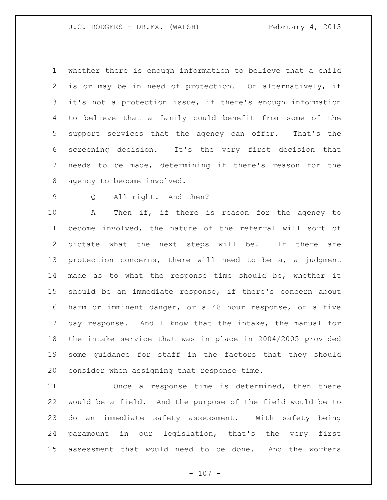whether there is enough information to believe that a child is or may be in need of protection. Or alternatively, if it's not a protection issue, if there's enough information to believe that a family could benefit from some of the support services that the agency can offer. That's the screening decision. It's the very first decision that needs to be made, determining if there's reason for the agency to become involved.

Q All right. And then?

 A Then if, if there is reason for the agency to become involved, the nature of the referral will sort of dictate what the next steps will be. If there are protection concerns, there will need to be a, a judgment made as to what the response time should be, whether it should be an immediate response, if there's concern about harm or imminent danger, or a 48 hour response, or a five day response. And I know that the intake, the manual for the intake service that was in place in 2004/2005 provided some guidance for staff in the factors that they should consider when assigning that response time.

 Once a response time is determined, then there would be a field. And the purpose of the field would be to do an immediate safety assessment. With safety being paramount in our legislation, that's the very first assessment that would need to be done. And the workers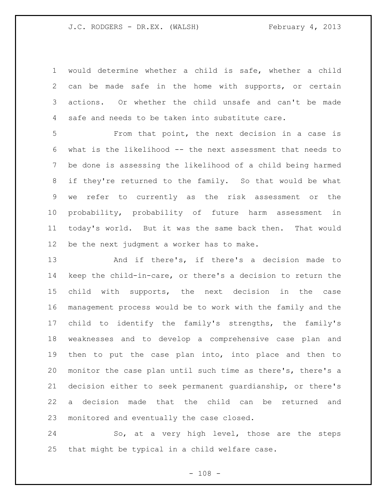would determine whether a child is safe, whether a child can be made safe in the home with supports, or certain actions. Or whether the child unsafe and can't be made safe and needs to be taken into substitute care.

 From that point, the next decision in a case is what is the likelihood -- the next assessment that needs to be done is assessing the likelihood of a child being harmed if they're returned to the family. So that would be what we refer to currently as the risk assessment or the probability, probability of future harm assessment in today's world. But it was the same back then. That would be the next judgment a worker has to make.

 And if there's, if there's a decision made to keep the child-in-care, or there's a decision to return the child with supports, the next decision in the case management process would be to work with the family and the child to identify the family's strengths, the family's weaknesses and to develop a comprehensive case plan and then to put the case plan into, into place and then to monitor the case plan until such time as there's, there's a decision either to seek permanent guardianship, or there's a decision made that the child can be returned and monitored and eventually the case closed.

 So, at a very high level, those are the steps that might be typical in a child welfare case.

 $- 108 -$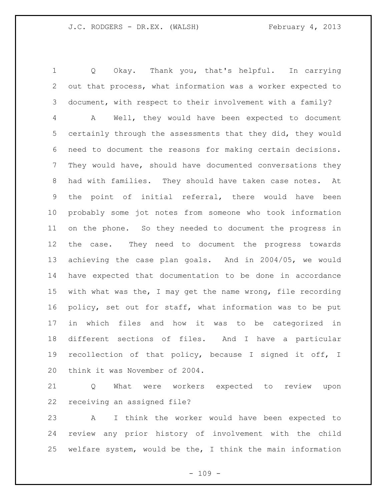Q Okay. Thank you, that's helpful. In carrying out that process, what information was a worker expected to document, with respect to their involvement with a family? A Well, they would have been expected to document certainly through the assessments that they did, they would need to document the reasons for making certain decisions. They would have, should have documented conversations they had with families. They should have taken case notes. At the point of initial referral, there would have been probably some jot notes from someone who took information on the phone. So they needed to document the progress in the case. They need to document the progress towards achieving the case plan goals. And in 2004/05, we would have expected that documentation to be done in accordance with what was the, I may get the name wrong, file recording policy, set out for staff, what information was to be put in which files and how it was to be categorized in different sections of files. And I have a particular recollection of that policy, because I signed it off, I think it was November of 2004.

 Q What were workers expected to review upon receiving an assigned file?

 A I think the worker would have been expected to review any prior history of involvement with the child welfare system, would be the, I think the main information

 $- 109 -$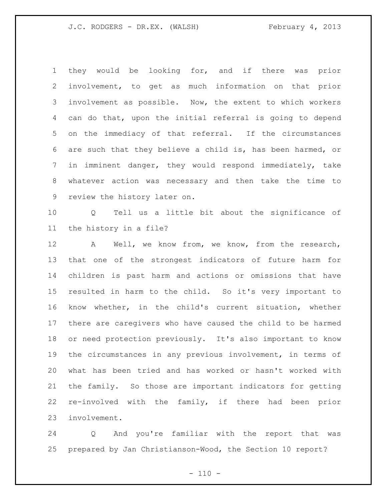they would be looking for, and if there was prior involvement, to get as much information on that prior involvement as possible. Now, the extent to which workers can do that, upon the initial referral is going to depend on the immediacy of that referral. If the circumstances are such that they believe a child is, has been harmed, or in imminent danger, they would respond immediately, take whatever action was necessary and then take the time to review the history later on.

 Q Tell us a little bit about the significance of the history in a file?

 A Well, we know from, we know, from the research, that one of the strongest indicators of future harm for children is past harm and actions or omissions that have resulted in harm to the child. So it's very important to know whether, in the child's current situation, whether there are caregivers who have caused the child to be harmed or need protection previously. It's also important to know the circumstances in any previous involvement, in terms of what has been tried and has worked or hasn't worked with the family. So those are important indicators for getting re-involved with the family, if there had been prior involvement.

 Q And you're familiar with the report that was prepared by Jan Christianson-Wood, the Section 10 report?

 $- 110 -$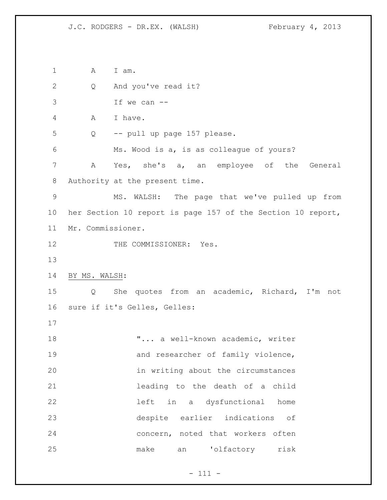1 A I am. 2 Q And you've read it? If we can -- A I have. Q -- pull up page 157 please. Ms. Wood is a, is as colleague of yours? A Yes, she's a, an employee of the General Authority at the present time. MS. WALSH: The page that we've pulled up from her Section 10 report is page 157 of the Section 10 report, Mr. Commissioner. 12 THE COMMISSIONER: Yes. BY MS. WALSH: Q She quotes from an academic, Richard, I'm not sure if it's Gelles, Gelles: **"...** a well-known academic, writer 19 and researcher of family violence, in writing about the circumstances leading to the death of a child left in a dysfunctional home despite earlier indications of concern, noted that workers often make an 'olfactory risk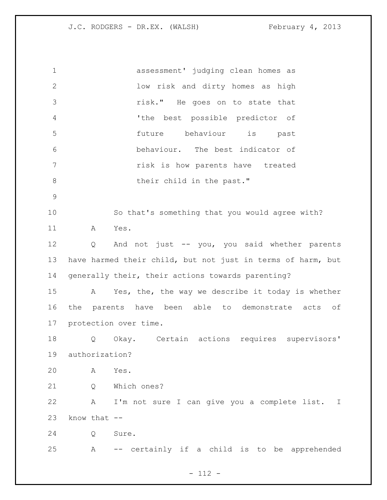assessment' judging clean homes as low risk and dirty homes as high risk." He goes on to state that 'the best possible predictor of future behaviour is past behaviour. The best indicator of risk is how parents have treated 8 their child in the past." So that's something that you would agree with? A Yes. Q And not just -- you, you said whether parents have harmed their child, but not just in terms of harm, but generally their, their actions towards parenting? A Yes, the, the way we describe it today is whether the parents have been able to demonstrate acts of protection over time. Q Okay. Certain actions requires supervisors' authorization? A Yes. Q Which ones? A I'm not sure I can give you a complete list. I know that  $-$  Q Sure. A -- certainly if a child is to be apprehended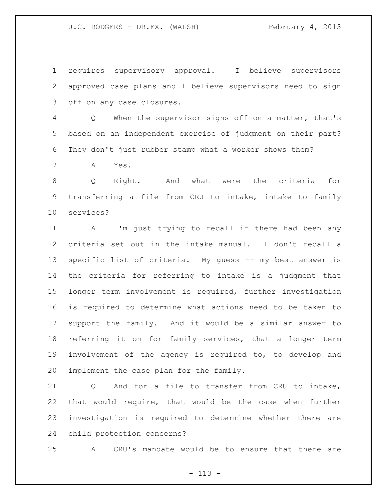requires supervisory approval. I believe supervisors approved case plans and I believe supervisors need to sign off on any case closures.

 Q When the supervisor signs off on a matter, that's based on an independent exercise of judgment on their part? They don't just rubber stamp what a worker shows them?

A Yes.

 Q Right. And what were the criteria for transferring a file from CRU to intake, intake to family services?

 A I'm just trying to recall if there had been any criteria set out in the intake manual. I don't recall a specific list of criteria. My guess -- my best answer is the criteria for referring to intake is a judgment that longer term involvement is required, further investigation is required to determine what actions need to be taken to support the family. And it would be a similar answer to referring it on for family services, that a longer term involvement of the agency is required to, to develop and implement the case plan for the family.

 Q And for a file to transfer from CRU to intake, that would require, that would be the case when further investigation is required to determine whether there are child protection concerns?

A CRU's mandate would be to ensure that there are

- 113 -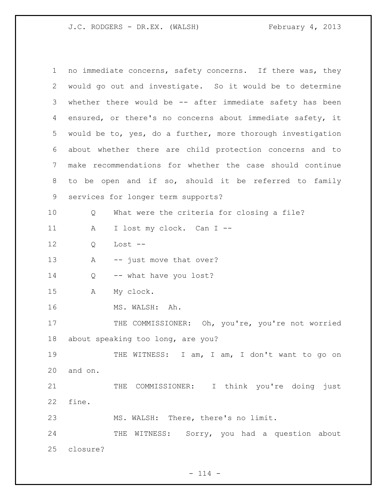| $\mathbf 1$ | no immediate concerns, safety concerns. If there was, they   |
|-------------|--------------------------------------------------------------|
| 2           | would go out and investigate. So it would be to determine    |
| 3           | whether there would be $-$ - after immediate safety has been |
| 4           | ensured, or there's no concerns about immediate safety, it   |
| 5           | would be to, yes, do a further, more thorough investigation  |
| 6           | about whether there are child protection concerns and to     |
| 7           | make recommendations for whether the case should continue    |
| 8           | to be open and if so, should it be referred to family        |
| 9           | services for longer term supports?                           |
| 10          | What were the criteria for closing a file?<br>Q              |
| 11          | I lost my clock. Can I --<br>А                               |
| 12          | Lost $--$<br>Q                                               |
| 13          | -- just move that over?<br>A                                 |
| 14          | -- what have you lost?<br>Q                                  |
| 15          | My clock.<br>Α                                               |
| 16          | MS. WALSH: Ah.                                               |
| 17          | THE COMMISSIONER: Oh, you're, you're not worried             |
| 18          | about speaking too long, are you?                            |
| 19          | THE WITNESS: I am, I am, I don't want to go on               |
| 20          | and on.                                                      |
| 21          | THE COMMISSIONER: I think you're doing just                  |
| 22          | fine.                                                        |
| 23          | MS. WALSH: There, there's no limit.                          |
| 24          | THE WITNESS: Sorry, you had a question about                 |
| 25          | closure?                                                     |

- 114 -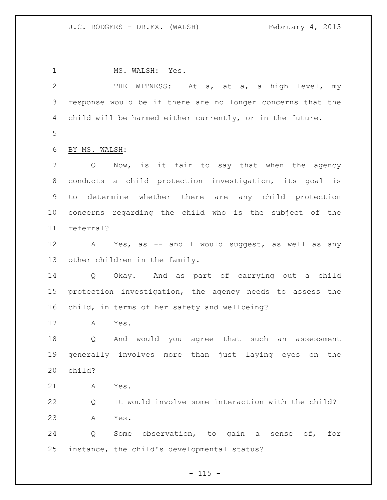1 MS. WALSH: Yes. 2 THE WITNESS: At a, at a, a high level, my response would be if there are no longer concerns that the child will be harmed either currently, or in the future. BY MS. WALSH: Q Now, is it fair to say that when the agency conducts a child protection investigation, its goal is to determine whether there are any child protection concerns regarding the child who is the subject of the referral? A Yes, as -- and I would suggest, as well as any other children in the family. Q Okay. And as part of carrying out a child protection investigation, the agency needs to assess the child, in terms of her safety and wellbeing? A Yes. Q And would you agree that such an assessment generally involves more than just laying eyes on the child? A Yes. Q It would involve some interaction with the child? A Yes. Q Some observation, to gain a sense of, for instance, the child's developmental status?

 $- 115 -$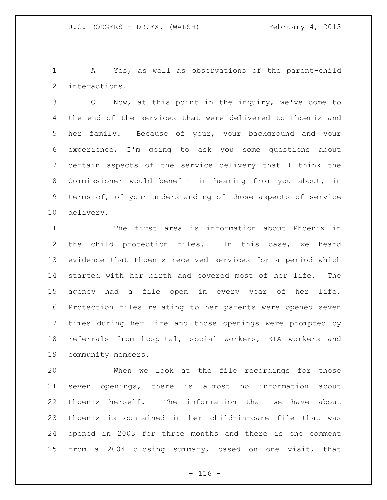A Yes, as well as observations of the parent-child interactions.

 Q Now, at this point in the inquiry, we've come to the end of the services that were delivered to Phoenix and her family. Because of your, your background and your experience, I'm going to ask you some questions about certain aspects of the service delivery that I think the Commissioner would benefit in hearing from you about, in terms of, of your understanding of those aspects of service delivery.

 The first area is information about Phoenix in the child protection files. In this case, we heard evidence that Phoenix received services for a period which started with her birth and covered most of her life. The agency had a file open in every year of her life. Protection files relating to her parents were opened seven times during her life and those openings were prompted by referrals from hospital, social workers, EIA workers and community members.

 When we look at the file recordings for those seven openings, there is almost no information about Phoenix herself. The information that we have about Phoenix is contained in her child-in-care file that was opened in 2003 for three months and there is one comment from a 2004 closing summary, based on one visit, that

 $- 116 -$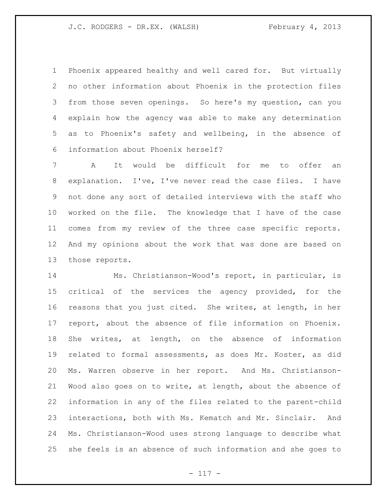Phoenix appeared healthy and well cared for. But virtually no other information about Phoenix in the protection files from those seven openings. So here's my question, can you explain how the agency was able to make any determination as to Phoenix's safety and wellbeing, in the absence of information about Phoenix herself?

 A It would be difficult for me to offer an explanation. I've, I've never read the case files. I have not done any sort of detailed interviews with the staff who worked on the file. The knowledge that I have of the case comes from my review of the three case specific reports. And my opinions about the work that was done are based on those reports.

 Ms. Christianson-Wood's report, in particular, is critical of the services the agency provided, for the reasons that you just cited. She writes, at length, in her report, about the absence of file information on Phoenix. She writes, at length, on the absence of information related to formal assessments, as does Mr. Koster, as did Ms. Warren observe in her report. And Ms. Christianson- Wood also goes on to write, at length, about the absence of information in any of the files related to the parent-child interactions, both with Ms. Kematch and Mr. Sinclair. And Ms. Christianson-Wood uses strong language to describe what she feels is an absence of such information and she goes to

- 117 -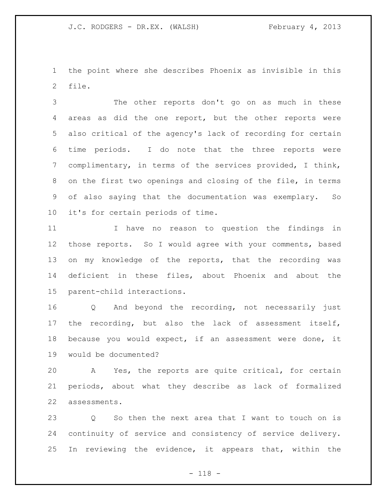the point where she describes Phoenix as invisible in this file.

 The other reports don't go on as much in these areas as did the one report, but the other reports were also critical of the agency's lack of recording for certain time periods. I do note that the three reports were complimentary, in terms of the services provided, I think, on the first two openings and closing of the file, in terms of also saying that the documentation was exemplary. So it's for certain periods of time.

 I have no reason to question the findings in those reports. So I would agree with your comments, based on my knowledge of the reports, that the recording was deficient in these files, about Phoenix and about the parent-child interactions.

 Q And beyond the recording, not necessarily just the recording, but also the lack of assessment itself, because you would expect, if an assessment were done, it would be documented?

 A Yes, the reports are quite critical, for certain periods, about what they describe as lack of formalized assessments.

 Q So then the next area that I want to touch on is continuity of service and consistency of service delivery. In reviewing the evidence, it appears that, within the

- 118 -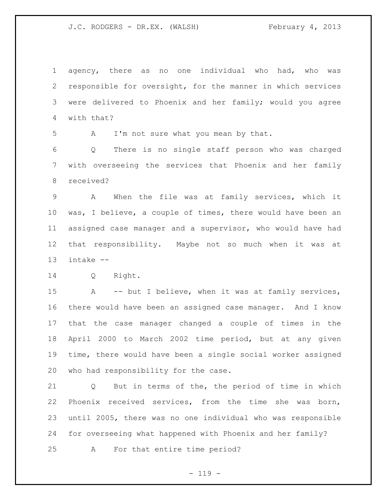agency, there as no one individual who had, who was responsible for oversight, for the manner in which services were delivered to Phoenix and her family; would you agree with that?

A I'm not sure what you mean by that.

 Q There is no single staff person who was charged with overseeing the services that Phoenix and her family received?

 A When the file was at family services, which it was, I believe, a couple of times, there would have been an assigned case manager and a supervisor, who would have had that responsibility. Maybe not so much when it was at intake --

Q Right.

 A -- but I believe, when it was at family services, there would have been an assigned case manager. And I know that the case manager changed a couple of times in the April 2000 to March 2002 time period, but at any given time, there would have been a single social worker assigned who had responsibility for the case.

 Q But in terms of the, the period of time in which Phoenix received services, from the time she was born, until 2005, there was no one individual who was responsible for overseeing what happened with Phoenix and her family?

A For that entire time period?

 $- 119 -$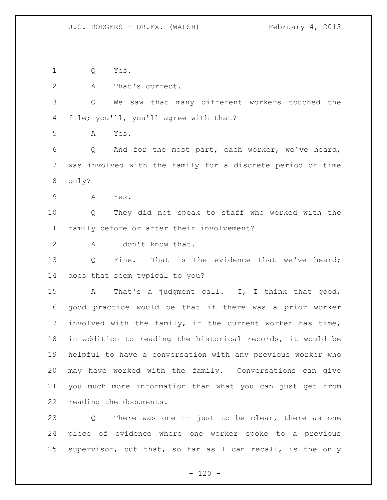Q Yes.

2 A That's correct.

 Q We saw that many different workers touched the file; you'll, you'll agree with that?

A Yes.

 Q And for the most part, each worker, we've heard, was involved with the family for a discrete period of time only?

A Yes.

 Q They did not speak to staff who worked with the family before or after their involvement?

A I don't know that.

13 Q Fine. That is the evidence that we've heard; does that seem typical to you?

 A That's a judgment call. I, I think that good, good practice would be that if there was a prior worker involved with the family, if the current worker has time, in addition to reading the historical records, it would be helpful to have a conversation with any previous worker who may have worked with the family. Conversations can give you much more information than what you can just get from reading the documents.

 Q There was one -- just to be clear, there as one piece of evidence where one worker spoke to a previous supervisor, but that, so far as I can recall, is the only

 $- 120 -$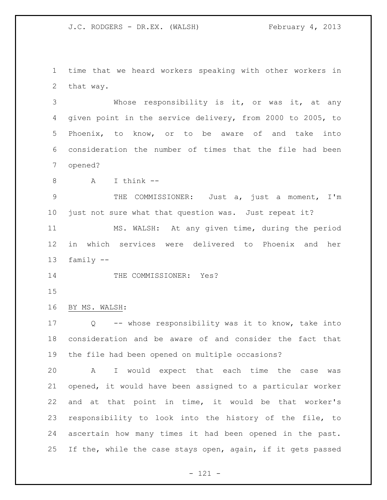time that we heard workers speaking with other workers in that way.

 Whose responsibility is it, or was it, at any given point in the service delivery, from 2000 to 2005, to Phoenix, to know, or to be aware of and take into consideration the number of times that the file had been opened?

A I think --

 THE COMMISSIONER: Just a, just a moment, I'm just not sure what that question was. Just repeat it?

 MS. WALSH: At any given time, during the period in which services were delivered to Phoenix and her family --

14 THE COMMISSIONER: Yes?

## BY MS. WALSH:

 Q -- whose responsibility was it to know, take into consideration and be aware of and consider the fact that the file had been opened on multiple occasions?

 A I would expect that each time the case was opened, it would have been assigned to a particular worker and at that point in time, it would be that worker's responsibility to look into the history of the file, to ascertain how many times it had been opened in the past. If the, while the case stays open, again, if it gets passed

- 121 -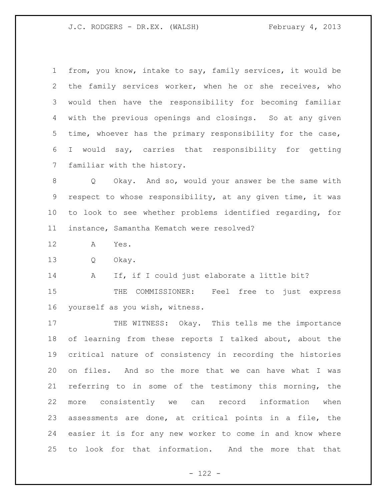from, you know, intake to say, family services, it would be the family services worker, when he or she receives, who would then have the responsibility for becoming familiar with the previous openings and closings. So at any given time, whoever has the primary responsibility for the case, I would say, carries that responsibility for getting familiar with the history.

 Q Okay. And so, would your answer be the same with respect to whose responsibility, at any given time, it was to look to see whether problems identified regarding, for instance, Samantha Kematch were resolved?

A Yes.

Q Okay.

A If, if I could just elaborate a little bit?

15 THE COMMISSIONER: Feel free to just express yourself as you wish, witness.

17 THE WITNESS: Okay. This tells me the importance of learning from these reports I talked about, about the critical nature of consistency in recording the histories on files. And so the more that we can have what I was referring to in some of the testimony this morning, the more consistently we can record information when assessments are done, at critical points in a file, the easier it is for any new worker to come in and know where to look for that information. And the more that that

- 122 -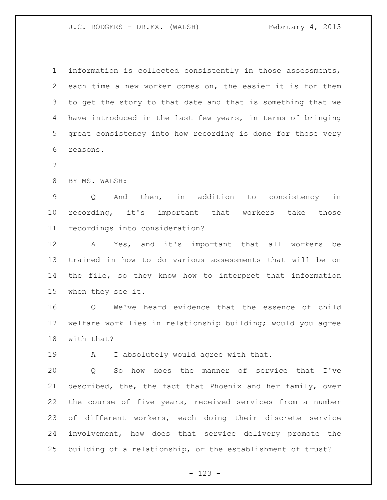information is collected consistently in those assessments, each time a new worker comes on, the easier it is for them to get the story to that date and that is something that we have introduced in the last few years, in terms of bringing great consistency into how recording is done for those very reasons.

## BY MS. WALSH:

 Q And then, in addition to consistency in recording, it's important that workers take those recordings into consideration?

 A Yes, and it's important that all workers be trained in how to do various assessments that will be on the file, so they know how to interpret that information when they see it.

 Q We've heard evidence that the essence of child welfare work lies in relationship building; would you agree with that?

A I absolutely would agree with that.

 Q So how does the manner of service that I've described, the, the fact that Phoenix and her family, over the course of five years, received services from a number of different workers, each doing their discrete service involvement, how does that service delivery promote the building of a relationship, or the establishment of trust?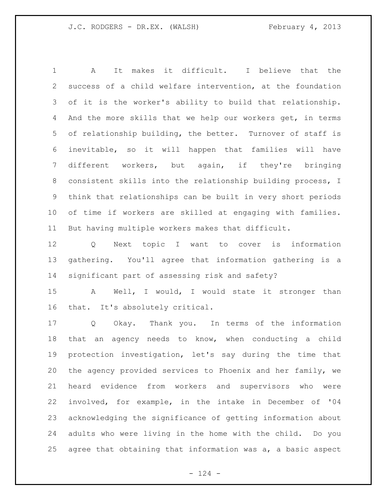A It makes it difficult. I believe that the success of a child welfare intervention, at the foundation of it is the worker's ability to build that relationship. And the more skills that we help our workers get, in terms of relationship building, the better. Turnover of staff is inevitable, so it will happen that families will have different workers, but again, if they're bringing consistent skills into the relationship building process, I think that relationships can be built in very short periods of time if workers are skilled at engaging with families. But having multiple workers makes that difficult.

 Q Next topic I want to cover is information gathering. You'll agree that information gathering is a significant part of assessing risk and safety?

 A Well, I would, I would state it stronger than that. It's absolutely critical.

 Q Okay. Thank you. In terms of the information that an agency needs to know, when conducting a child protection investigation, let's say during the time that the agency provided services to Phoenix and her family, we heard evidence from workers and supervisors who were involved, for example, in the intake in December of '04 acknowledging the significance of getting information about adults who were living in the home with the child. Do you agree that obtaining that information was a, a basic aspect

 $- 124 -$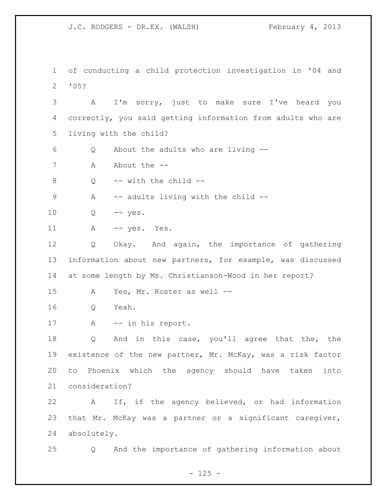of conducting a child protection investigation in '04 and '05? A I'm sorry, just to make sure I've heard you correctly, you said getting information from adults who are living with the child? Q About the adults who are living -- 7 A About the  $-$  Q -- with the child -- A -- adults living with the child -- Q -- yes. 11 A -- yes. Yes. Q Okay. And again, the importance of gathering information about new partners, for example, was discussed at some length by Ms. Christianson-Wood in her report? A Yes, Mr. Koster as well -- Q Yeah. 17 A -- in his report. Q And in this case, you'll agree that the, the existence of the new partner, Mr. McKay, was a risk factor to Phoenix which the agency should have taken into consideration? A If, if the agency believed, or had information that Mr. McKay was a partner or a significant caregiver, absolutely. Q And the importance of gathering information about

 $- 125 -$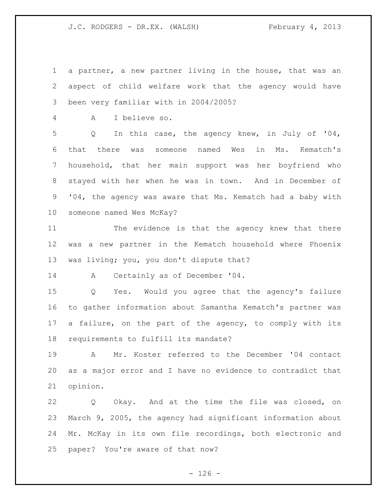a partner, a new partner living in the house, that was an aspect of child welfare work that the agency would have been very familiar with in 2004/2005?

A I believe so.

 Q In this case, the agency knew, in July of '04, that there was someone named Wes in Ms. Kematch's household, that her main support was her boyfriend who stayed with her when he was in town. And in December of '04, the agency was aware that Ms. Kematch had a baby with someone named Wes McKay?

 The evidence is that the agency knew that there was a new partner in the Kematch household where Phoenix was living; you, you don't dispute that?

A Certainly as of December '04.

 Q Yes. Would you agree that the agency's failure to gather information about Samantha Kematch's partner was a failure, on the part of the agency, to comply with its requirements to fulfill its mandate?

 A Mr. Koster referred to the December '04 contact as a major error and I have no evidence to contradict that opinion.

 Q Okay. And at the time the file was closed, on March 9, 2005, the agency had significant information about Mr. McKay in its own file recordings, both electronic and paper? You're aware of that now?

 $- 126 -$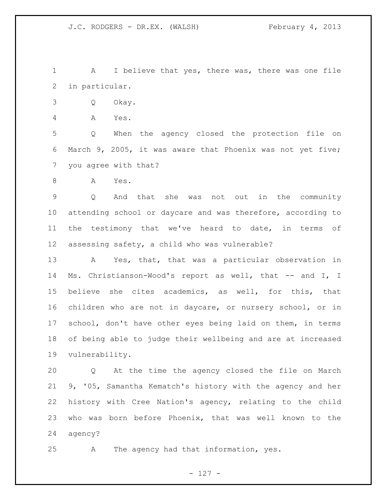A I believe that yes, there was, there was one file in particular.

Q Okay.

A Yes.

 Q When the agency closed the protection file on March 9, 2005, it was aware that Phoenix was not yet five; you agree with that?

A Yes.

 Q And that she was not out in the community attending school or daycare and was therefore, according to the testimony that we've heard to date, in terms of assessing safety, a child who was vulnerable?

 A Yes, that, that was a particular observation in Ms. Christianson-Wood's report as well, that -- and I, I believe she cites academics, as well, for this, that children who are not in daycare, or nursery school, or in school, don't have other eyes being laid on them, in terms of being able to judge their wellbeing and are at increased vulnerability.

 Q At the time the agency closed the file on March 9, '05, Samantha Kematch's history with the agency and her history with Cree Nation's agency, relating to the child who was born before Phoenix, that was well known to the agency?

A The agency had that information, yes.

- 127 -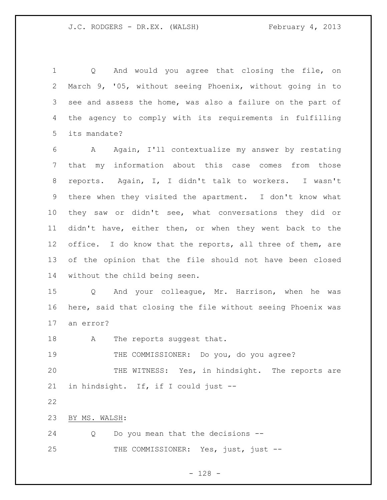1 Q And would you agree that closing the file, on March 9, '05, without seeing Phoenix, without going in to see and assess the home, was also a failure on the part of the agency to comply with its requirements in fulfilling its mandate?

 A Again, I'll contextualize my answer by restating that my information about this case comes from those reports. Again, I, I didn't talk to workers. I wasn't there when they visited the apartment. I don't know what they saw or didn't see, what conversations they did or didn't have, either then, or when they went back to the 12 office. I do know that the reports, all three of them, are of the opinion that the file should not have been closed without the child being seen.

 Q And your colleague, Mr. Harrison, when he was here, said that closing the file without seeing Phoenix was an error?

18 A The reports suggest that.

THE COMMISSIONER: Do you, do you agree?

 THE WITNESS: Yes, in hindsight. The reports are in hindsight. If, if I could just --

BY MS. WALSH:

 Q Do you mean that the decisions -- 25 THE COMMISSIONER: Yes, just, just --

- 128 -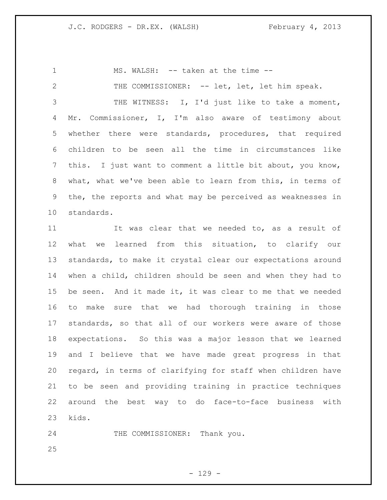1 MS. WALSH: -- taken at the time --

2 THE COMMISSIONER: -- let, let, let him speak.

 THE WITNESS: I, I'd just like to take a moment, Mr. Commissioner, I, I'm also aware of testimony about whether there were standards, procedures, that required children to be seen all the time in circumstances like this. I just want to comment a little bit about, you know, what, what we've been able to learn from this, in terms of the, the reports and what may be perceived as weaknesses in standards.

 It was clear that we needed to, as a result of what we learned from this situation, to clarify our standards, to make it crystal clear our expectations around when a child, children should be seen and when they had to be seen. And it made it, it was clear to me that we needed to make sure that we had thorough training in those standards, so that all of our workers were aware of those expectations. So this was a major lesson that we learned and I believe that we have made great progress in that regard, in terms of clarifying for staff when children have to be seen and providing training in practice techniques around the best way to do face-to-face business with kids.

24 THE COMMISSIONER: Thank you.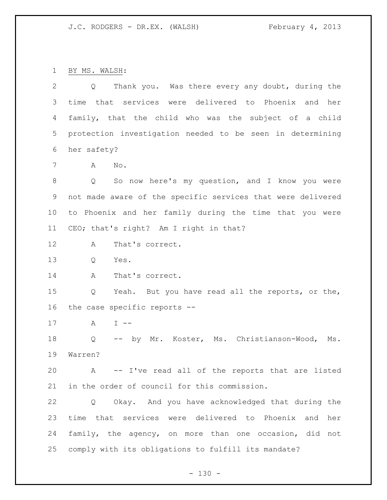BY MS. WALSH:

| $\overline{2}$ | Q Thank you. Was there every any doubt, during the          |
|----------------|-------------------------------------------------------------|
| 3              | time that services were delivered to Phoenix and her        |
| 4              | family, that the child who was the subject of a child       |
| 5              | protection investigation needed to be seen in determining   |
| 6              | her safety?                                                 |
| 7              | Α<br>No.                                                    |
| $8\,$          | So now here's my question, and I know you were<br>Q         |
| 9              | not made aware of the specific services that were delivered |
| 10             | to Phoenix and her family during the time that you were     |
| 11             | CEO; that's right? Am I right in that?                      |
| 12             | That's correct.<br>A                                        |
| 13             | Q<br>Yes.                                                   |
| 14             | Α<br>That's correct.                                        |
| 15             | Yeah. But you have read all the reports, or the,<br>Q       |
| 16             | the case specific reports --                                |
| 17             | $\mathbb A$<br>$I$ $-$                                      |
| 18             | -- by Mr. Koster, Ms. Christianson-Wood,<br>Q<br>Ms.        |
| 19             | Warren?                                                     |
| 20             | A -- I've read all of the reports that are listed           |
| 21             | in the order of council for this commission.                |
| 22             | Okay. And you have acknowledged that during the<br>Q        |
| 23             | time that services were delivered to Phoenix and<br>her     |
| 24             | family, the agency, on more than one occasion, did not      |
| 25             | comply with its obligations to fulfill its mandate?         |

- 130 -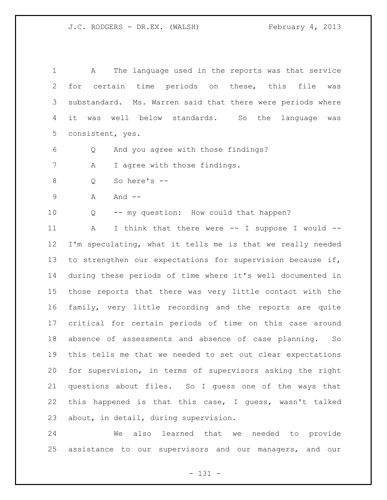| $\mathbf 1$    | The language used in the reports was that service<br>A     |
|----------------|------------------------------------------------------------|
| $\overline{2}$ | for certain time periods on these, this file<br>was        |
| 3              | substandard. Ms. Warren said that there were periods where |
| 4              | it was well below standards. So the language<br>was        |
| 5              | consistent, yes.                                           |
| 6              | And you agree with those findings?<br>Q                    |
| 7              | I agree with those findings.<br>Α                          |
| $\,8\,$        | So here's --<br>Q                                          |
| $\mathcal{G}$  | Α<br>And $--$                                              |
| 10             | -- my question: How could that happen?<br>Q                |
| 11             | I think that there were -- I suppose I would --<br>Α       |
| 12             | I'm speculating, what it tells me is that we really needed |
| 13             | to strengthen our expectations for supervision because if, |
| 14             | during these periods of time where it's well documented in |
| 15             | those reports that there was very little contact with the  |
| 16             | family, very little recording and the reports are quite    |
| 17             | critical for certain periods of time on this case around   |
| 18             | absence of assessments and absence of case planning.<br>So |
| 19             | this tells me that we needed to set out clear expectations |
| 20             | for supervision, in terms of supervisors asking the right  |
| 21             | questions about files. So I guess one of the ways that     |
| 22             | this happened is that this case, I guess, wasn't talked    |
| 23             | about, in detail, during supervision.                      |

 We also learned that we needed to provide assistance to our supervisors and our managers, and our

- 131 -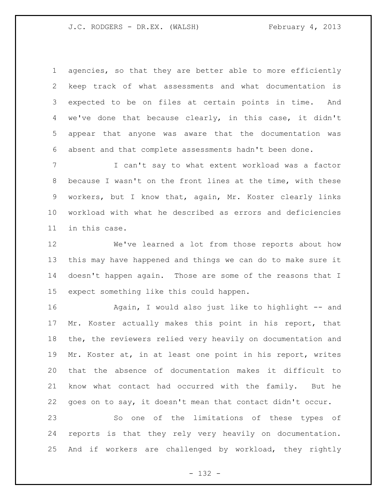agencies, so that they are better able to more efficiently keep track of what assessments and what documentation is expected to be on files at certain points in time. And we've done that because clearly, in this case, it didn't appear that anyone was aware that the documentation was absent and that complete assessments hadn't been done.

 I can't say to what extent workload was a factor because I wasn't on the front lines at the time, with these workers, but I know that, again, Mr. Koster clearly links workload with what he described as errors and deficiencies in this case.

 We've learned a lot from those reports about how this may have happened and things we can do to make sure it doesn't happen again. Those are some of the reasons that I expect something like this could happen.

 Again, I would also just like to highlight -- and Mr. Koster actually makes this point in his report, that the, the reviewers relied very heavily on documentation and Mr. Koster at, in at least one point in his report, writes that the absence of documentation makes it difficult to know what contact had occurred with the family. But he goes on to say, it doesn't mean that contact didn't occur.

 So one of the limitations of these types of reports is that they rely very heavily on documentation. And if workers are challenged by workload, they rightly

- 132 -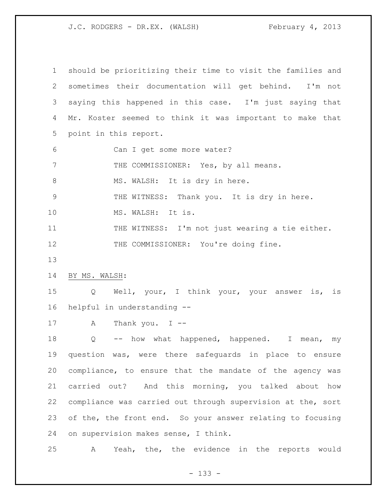| $\mathbf 1$ | should be prioritizing their time to visit the families and |
|-------------|-------------------------------------------------------------|
| 2           | sometimes their documentation will get behind. I'm not      |
| 3           | saying this happened in this case. I'm just saying that     |
| 4           | Mr. Koster seemed to think it was important to make that    |
| 5           | point in this report.                                       |
| 6           | Can I get some more water?                                  |
| 7           | THE COMMISSIONER: Yes, by all means.                        |
| $8\,$       | MS. WALSH: It is dry in here.                               |
| $\mathsf 9$ | THE WITNESS: Thank you. It is dry in here.                  |
| 10          | MS. WALSH: It is.                                           |
| 11          | THE WITNESS: I'm not just wearing a tie either.             |
| 12          | THE COMMISSIONER: You're doing fine.                        |
| 13          |                                                             |
| 14          | BY MS. WALSH:                                               |
| 15          | Q Well, your, I think your, your answer is, is              |
| 16          | helpful in understanding --                                 |
| 17          | Thank you. $I$ --<br>A                                      |
| 18          | -- how what happened, happened. I<br>Q<br>mean,<br>my       |
| 19          | question was, were there safeguards in place to ensure      |
| 20          | compliance, to ensure that the mandate of the agency was    |
| 21          | carried out? And this morning, you talked about how         |
| 22          | compliance was carried out through supervision at the, sort |
| 23          | of the, the front end. So your answer relating to focusing  |
| 24          | on supervision makes sense, I think.                        |
| 25          | Yeah, the, the evidence in the reports would<br>Α           |

- 133 -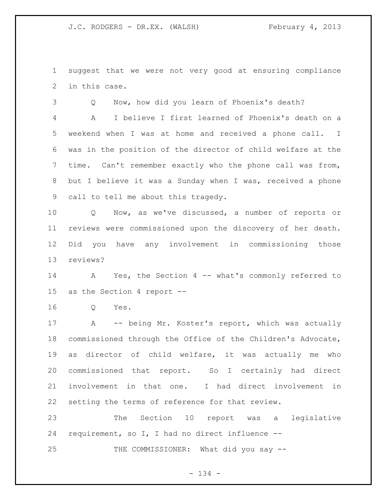suggest that we were not very good at ensuring compliance in this case.

Q Now, how did you learn of Phoenix's death?

 A I believe I first learned of Phoenix's death on a weekend when I was at home and received a phone call. I was in the position of the director of child welfare at the time. Can't remember exactly who the phone call was from, but I believe it was a Sunday when I was, received a phone call to tell me about this tragedy.

 Q Now, as we've discussed, a number of reports or reviews were commissioned upon the discovery of her death. Did you have any involvement in commissioning those reviews?

 A Yes, the Section 4 -- what's commonly referred to as the Section 4 report --

Q Yes.

 A -- being Mr. Koster's report, which was actually commissioned through the Office of the Children's Advocate, as director of child welfare, it was actually me who commissioned that report. So I certainly had direct involvement in that one. I had direct involvement in setting the terms of reference for that review.

 The Section 10 report was a legislative requirement, so I, I had no direct influence --

25 THE COMMISSIONER: What did you say --

- 134 -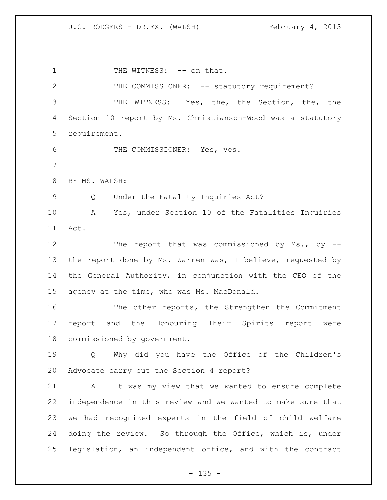1 THE WITNESS: -- on that. 2 THE COMMISSIONER: -- statutory requirement? THE WITNESS: Yes, the, the Section, the, the Section 10 report by Ms. Christianson-Wood was a statutory requirement. THE COMMISSIONER: Yes, yes. BY MS. WALSH: Q Under the Fatality Inquiries Act? A Yes, under Section 10 of the Fatalities Inquiries Act. 12 The report that was commissioned by Ms., by --13 the report done by Ms. Warren was, I believe, requested by the General Authority, in conjunction with the CEO of the agency at the time, who was Ms. MacDonald. The other reports, the Strengthen the Commitment report and the Honouring Their Spirits report were commissioned by government. Q Why did you have the Office of the Children's Advocate carry out the Section 4 report? A It was my view that we wanted to ensure complete independence in this review and we wanted to make sure that we had recognized experts in the field of child welfare doing the review. So through the Office, which is, under legislation, an independent office, and with the contract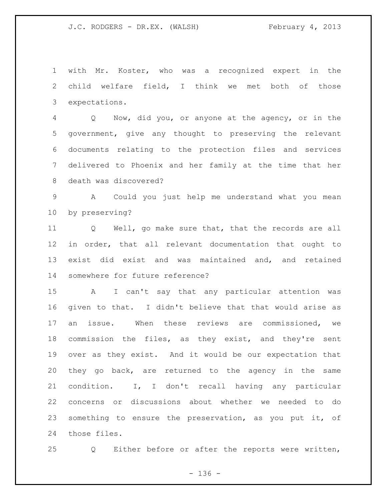with Mr. Koster, who was a recognized expert in the child welfare field, I think we met both of those expectations.

 Q Now, did you, or anyone at the agency, or in the government, give any thought to preserving the relevant documents relating to the protection files and services delivered to Phoenix and her family at the time that her death was discovered?

 A Could you just help me understand what you mean by preserving?

 Q Well, go make sure that, that the records are all in order, that all relevant documentation that ought to exist did exist and was maintained and, and retained somewhere for future reference?

 A I can't say that any particular attention was given to that. I didn't believe that that would arise as an issue. When these reviews are commissioned, we commission the files, as they exist, and they're sent over as they exist. And it would be our expectation that they go back, are returned to the agency in the same condition. I, I don't recall having any particular concerns or discussions about whether we needed to do something to ensure the preservation, as you put it, of those files.

Q Either before or after the reports were written,

 $- 136 -$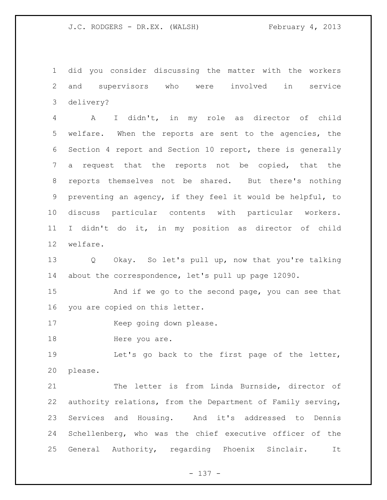did you consider discussing the matter with the workers and supervisors who were involved in service delivery?

 A I didn't, in my role as director of child welfare. When the reports are sent to the agencies, the Section 4 report and Section 10 report, there is generally a request that the reports not be copied, that the reports themselves not be shared. But there's nothing preventing an agency, if they feel it would be helpful, to discuss particular contents with particular workers. I didn't do it, in my position as director of child welfare.

 Q Okay. So let's pull up, now that you're talking about the correspondence, let's pull up page 12090.

 And if we go to the second page, you can see that you are copied on this letter.

Keep going down please.

18 Here you are.

 Let's go back to the first page of the letter, please.

 The letter is from Linda Burnside, director of authority relations, from the Department of Family serving, Services and Housing. And it's addressed to Dennis Schellenberg, who was the chief executive officer of the General Authority, regarding Phoenix Sinclair. It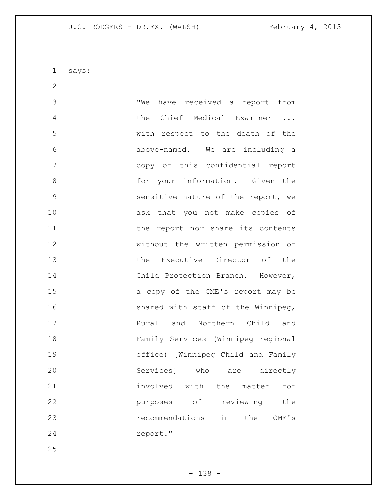says:

 "We have received a report from the Chief Medical Examiner ... with respect to the death of the above-named. We are including a copy of this confidential report 8 6 6 for your information. Given the sensitive nature of the report, we ask that you not make copies of 11 the report nor share its contents without the written permission of the Executive Director of the 14 Child Protection Branch. However, a copy of the CME's report may be 16 shared with staff of the Winnipeg, Rural and Northern Child and Family Services (Winnipeg regional office) [Winnipeg Child and Family Services] who are directly involved with the matter for **purposes** of reviewing the recommendations in the CME's report."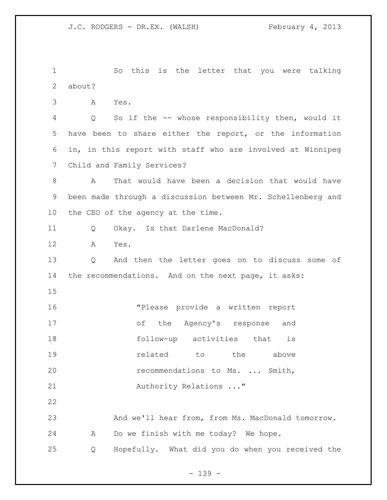So this is the letter that you were talking about? A Yes. Q So if the -- whose responsibility then, would it have been to share either the report, or the information in, in this report with staff who are involved at Winnipeg Child and Family Services? A That would have been a decision that would have been made through a discussion between Mr. Schellenberg and the CEO of the agency at the time. Q Okay. Is that Darlene MacDonald? A Yes. Q And then the letter goes on to discuss some of the recommendations. And on the next page, it asks: "Please provide a written report of the Agency's response and follow-up activities that is **19 related** to the above recommendations to Ms. ... Smith, 21 Authority Relations ..." And we'll hear from, from Ms. MacDonald tomorrow. A Do we finish with me today? We hope. Q Hopefully. What did you do when you received the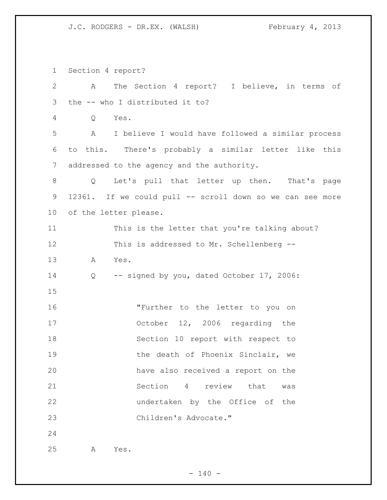Section 4 report?

| $\overline{2}$ | A                               | The Section 4 report? I believe, in terms of              |
|----------------|---------------------------------|-----------------------------------------------------------|
| 3              | the -- who I distributed it to? |                                                           |
| 4              | Q<br>Yes.                       |                                                           |
| 5              | A                               | I believe I would have followed a similar process         |
| 6              |                                 | to this. There's probably a similar letter like this      |
| $7\phantom{.}$ |                                 | addressed to the agency and the authority.                |
| 8              | Q                               | Let's pull that letter up then. That's page               |
| 9              |                                 | 12361. If we could pull -- scroll down so we can see more |
| 10             | of the letter please.           |                                                           |
| 11             |                                 | This is the letter that you're talking about?             |
| 12             |                                 | This is addressed to Mr. Schellenberg --                  |
| 13             | Yes.<br>A                       |                                                           |
| 14             | Q                               | -- signed by you, dated October 17, 2006:                 |
| 15             |                                 |                                                           |
| 16             |                                 | "Further to the letter to you on                          |
| 17             |                                 | October 12, 2006 regarding the                            |
| 18             |                                 | Section 10 report with respect to                         |
| 19             |                                 | the death of Phoenix Sinclair, we                         |
| 20             |                                 | have also received a report on the                        |
| 21             |                                 | Section 4 review<br>that<br>was                           |
| 22             |                                 | undertaken by the Office of the                           |
| 23             |                                 | Children's Advocate."                                     |
| 24             |                                 |                                                           |
| 25             | Yes.<br>Α                       |                                                           |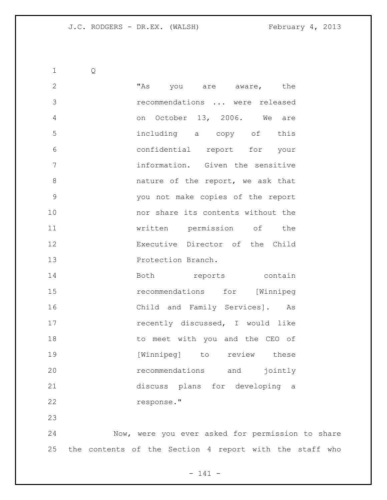Q 2 This you are aware, the recommendations ... were released on October 13, 2006. We are including a copy of this confidential report for your information. Given the sensitive 8 and the report, we ask that you not make copies of the report nor share its contents without the written permission of the Executive Director of the Child **Protection Branch.** 14 Both reports contain recommendations for [Winnipeg Child and Family Services]. As **recently discussed**, I would like 18 to meet with you and the CEO of **[Winnipeg]** to review these recommendations and jointly discuss plans for developing a response."

 Now, were you ever asked for permission to share the contents of the Section 4 report with the staff who

- 141 -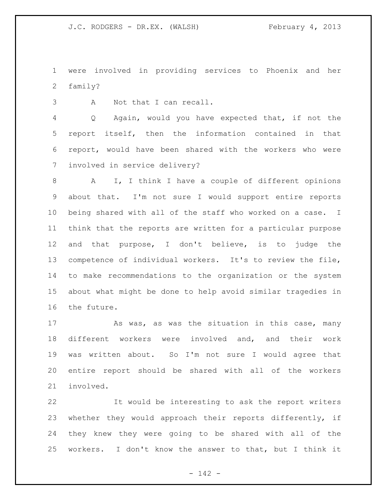were involved in providing services to Phoenix and her family?

A Not that I can recall.

 Q Again, would you have expected that, if not the report itself, then the information contained in that report, would have been shared with the workers who were involved in service delivery?

 A I, I think I have a couple of different opinions about that. I'm not sure I would support entire reports being shared with all of the staff who worked on a case. I think that the reports are written for a particular purpose and that purpose, I don't believe, is to judge the competence of individual workers. It's to review the file, to make recommendations to the organization or the system about what might be done to help avoid similar tragedies in the future.

17 As was, as was the situation in this case, many different workers were involved and, and their work was written about. So I'm not sure I would agree that entire report should be shared with all of the workers involved.

 It would be interesting to ask the report writers whether they would approach their reports differently, if they knew they were going to be shared with all of the workers. I don't know the answer to that, but I think it

- 142 -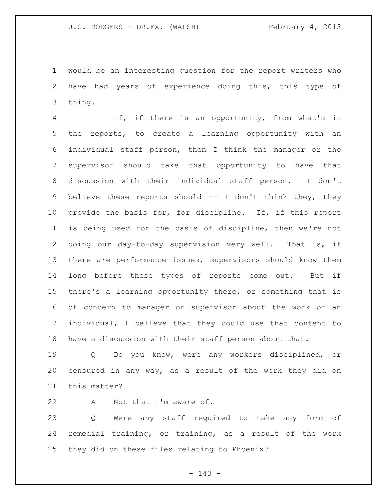would be an interesting question for the report writers who have had years of experience doing this, this type of thing.

 If, if there is an opportunity, from what's in the reports, to create a learning opportunity with an individual staff person, then I think the manager or the supervisor should take that opportunity to have that discussion with their individual staff person. I don't believe these reports should -- I don't think they, they provide the basis for, for discipline. If, if this report is being used for the basis of discipline, then we're not doing our day-to-day supervision very well. That is, if there are performance issues, supervisors should know them long before these types of reports come out. But if there's a learning opportunity there, or something that is of concern to manager or supervisor about the work of an individual, I believe that they could use that content to have a discussion with their staff person about that.

 Q Do you know, were any workers disciplined, or censured in any way, as a result of the work they did on this matter?

22 A Not that I'm aware of.

 Q Were any staff required to take any form of remedial training, or training, as a result of the work they did on these files relating to Phoenix?

- 143 -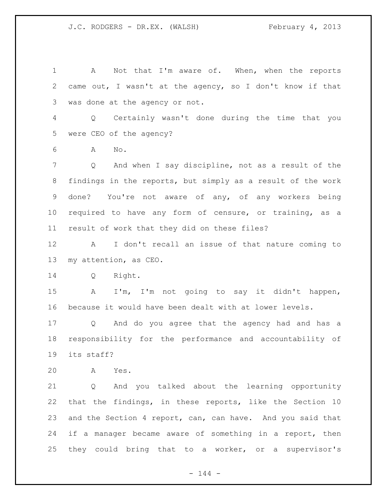A Not that I'm aware of. When, when the reports came out, I wasn't at the agency, so I don't know if that was done at the agency or not. Q Certainly wasn't done during the time that you were CEO of the agency? A No. Q And when I say discipline, not as a result of the findings in the reports, but simply as a result of the work done? You're not aware of any, of any workers being required to have any form of censure, or training, as a result of work that they did on these files? A I don't recall an issue of that nature coming to my attention, as CEO. Q Right. A I'm, I'm not going to say it didn't happen, because it would have been dealt with at lower levels. Q And do you agree that the agency had and has a responsibility for the performance and accountability of its staff? A Yes. Q And you talked about the learning opportunity that the findings, in these reports, like the Section 10 and the Section 4 report, can, can have. And you said that if a manager became aware of something in a report, then they could bring that to a worker, or a supervisor's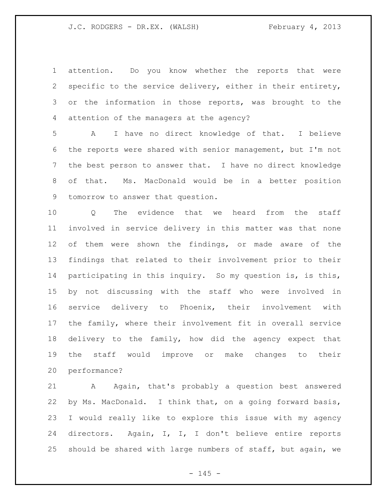attention. Do you know whether the reports that were specific to the service delivery, either in their entirety, or the information in those reports, was brought to the attention of the managers at the agency?

 A I have no direct knowledge of that. I believe the reports were shared with senior management, but I'm not the best person to answer that. I have no direct knowledge of that. Ms. MacDonald would be in a better position tomorrow to answer that question.

10 0 The evidence that we heard from the staff involved in service delivery in this matter was that none of them were shown the findings, or made aware of the findings that related to their involvement prior to their participating in this inquiry. So my question is, is this, by not discussing with the staff who were involved in service delivery to Phoenix, their involvement with the family, where their involvement fit in overall service delivery to the family, how did the agency expect that the staff would improve or make changes to their performance?

 A Again, that's probably a question best answered by Ms. MacDonald. I think that, on a going forward basis, I would really like to explore this issue with my agency directors. Again, I, I, I don't believe entire reports should be shared with large numbers of staff, but again, we

 $- 145 -$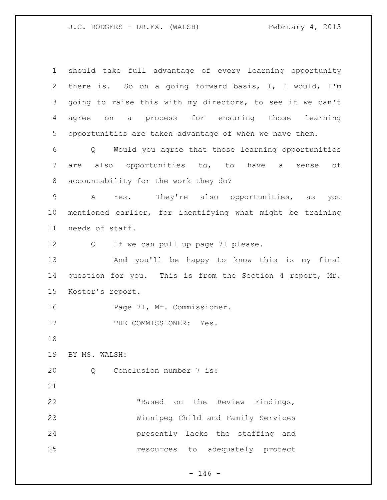J.C. RODGERS - DR.EX. (WALSH) February 4, 2013

| $\mathbf 1$    | should take full advantage of every learning opportunity  |  |  |
|----------------|-----------------------------------------------------------|--|--|
| 2              | there is. So on a going forward basis, I, I would, I'm    |  |  |
| 3              | going to raise this with my directors, to see if we can't |  |  |
|                |                                                           |  |  |
| 4              | on a process for ensuring those learning<br>agree         |  |  |
| 5              | opportunities are taken advantage of when we have them.   |  |  |
| 6              | Q Would you agree that those learning opportunities       |  |  |
| $\overline{7}$ | are also opportunities to, to have a sense of             |  |  |
| 8              | accountability for the work they do?                      |  |  |
| $\mathsf 9$    | Yes. They're also opportunities, as<br>A<br>you           |  |  |
| 10             | mentioned earlier, for identifying what might be training |  |  |
| 11             | needs of staff.                                           |  |  |
| 12             | If we can pull up page 71 please.<br>$Q \qquad \qquad$    |  |  |
| 13             | And you'll be happy to know this is my final              |  |  |
| 14             | question for you. This is from the Section 4 report, Mr.  |  |  |
| 15             | Koster's report.                                          |  |  |
| 16             | Page 71, Mr. Commissioner.                                |  |  |
| 17             | THE COMMISSIONER: Yes.                                    |  |  |
| 18             |                                                           |  |  |
| 19             | BY MS. WALSH:                                             |  |  |
| 20             | Conclusion number 7 is:<br>Q                              |  |  |
| 21             |                                                           |  |  |
| 22             | "Based on the Review Findings,                            |  |  |
| 23             | Winnipeg Child and Family Services                        |  |  |
| 24             | presently lacks the staffing and                          |  |  |
| 25             | resources to adequately protect                           |  |  |
|                |                                                           |  |  |

- 146 -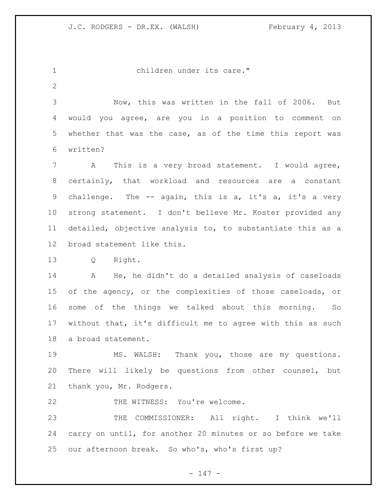children under its care."

 Now, this was written in the fall of 2006. But would you agree, are you in a position to comment on whether that was the case, as of the time this report was written?

 A This is a very broad statement. I would agree, certainly, that workload and resources are a constant 9 challenge. The -- again, this is a, it's a, it's a very strong statement. I don't believe Mr. Koster provided any detailed, objective analysis to, to substantiate this as a broad statement like this.

Q Right.

 A He, he didn't do a detailed analysis of caseloads of the agency, or the complexities of those caseloads, or some of the things we talked about this morning. So without that, it's difficult me to agree with this as such a broad statement.

 MS. WALSH: Thank you, those are my questions. There will likely be questions from other counsel, but thank you, Mr. Rodgers.

22 THE WITNESS: You're welcome.

 THE COMMISSIONER: All right. I think we'll carry on until, for another 20 minutes or so before we take our afternoon break. So who's, who's first up?

- 147 -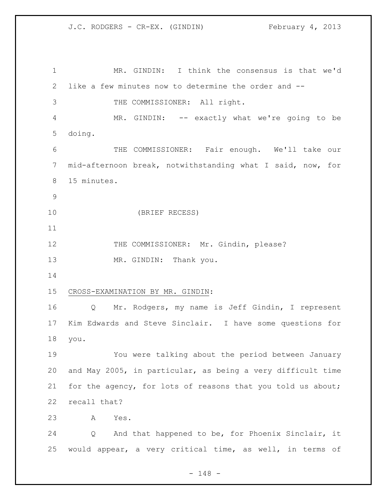MR. GINDIN: I think the consensus is that we'd like a few minutes now to determine the order and -- THE COMMISSIONER: All right. MR. GINDIN: -- exactly what we're going to be doing. THE COMMISSIONER: Fair enough. We'll take our mid-afternoon break, notwithstanding what I said, now, for 15 minutes. (BRIEF RECESS) 12 THE COMMISSIONER: Mr. Gindin, please? 13 MR. GINDIN: Thank you. CROSS-EXAMINATION BY MR. GINDIN: Q Mr. Rodgers, my name is Jeff Gindin, I represent Kim Edwards and Steve Sinclair. I have some questions for you. You were talking about the period between January and May 2005, in particular, as being a very difficult time for the agency, for lots of reasons that you told us about; recall that? A Yes. Q And that happened to be, for Phoenix Sinclair, it would appear, a very critical time, as well, in terms of

- 148 -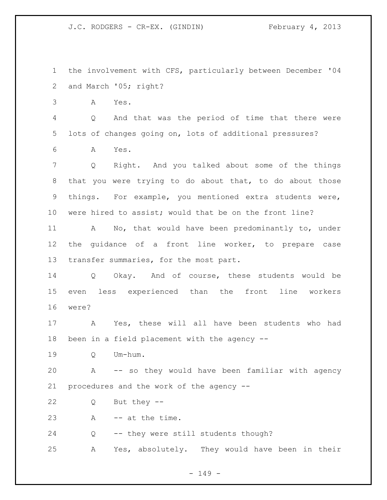the involvement with CFS, particularly between December '04 and March '05; right?

A Yes.

 Q And that was the period of time that there were lots of changes going on, lots of additional pressures?

A Yes.

 Q Right. And you talked about some of the things that you were trying to do about that, to do about those things. For example, you mentioned extra students were, were hired to assist; would that be on the front line?

 A No, that would have been predominantly to, under the guidance of a front line worker, to prepare case 13 transfer summaries, for the most part.

 Q Okay. And of course, these students would be even less experienced than the front line workers were?

 A Yes, these will all have been students who had been in a field placement with the agency --

Q Um-hum.

 A -- so they would have been familiar with agency procedures and the work of the agency --

Q But they --

A -- at the time.

Q -- they were still students though?

A Yes, absolutely. They would have been in their

- 149 -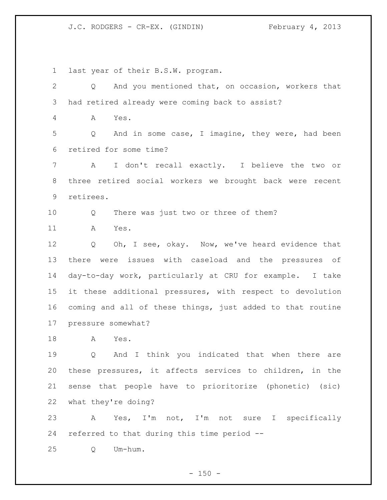last year of their B.S.W. program.

 Q And you mentioned that, on occasion, workers that had retired already were coming back to assist? A Yes. Q And in some case, I imagine, they were, had been retired for some time? A I don't recall exactly. I believe the two or three retired social workers we brought back were recent retirees. Q There was just two or three of them? A Yes. Q Oh, I see, okay. Now, we've heard evidence that there were issues with caseload and the pressures of day-to-day work, particularly at CRU for example. I take it these additional pressures, with respect to devolution coming and all of these things, just added to that routine pressure somewhat? A Yes. Q And I think you indicated that when there are these pressures, it affects services to children, in the sense that people have to prioritorize (phonetic) (sic) what they're doing? A Yes, I'm not, I'm not sure I specifically referred to that during this time period -- Q Um-hum.

 $- 150 -$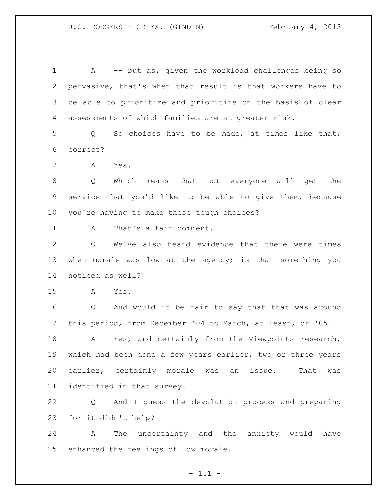A -- but as, given the workload challenges being so pervasive, that's when that result is that workers have to be able to prioritize and prioritize on the basis of clear assessments of which families are at greater risk.

 Q So choices have to be made, at times like that; correct?

A Yes.

 Q Which means that not everyone will get the service that you'd like to be able to give them, because you're having to make these tough choices?

A That's a fair comment.

 Q We've also heard evidence that there were times 13 when morale was low at the agency; is that something you noticed as well?

A Yes.

 Q And would it be fair to say that that was around this period, from December '04 to March, at least, of '05?

 A Yes, and certainly from the Viewpoints research, which had been done a few years earlier, two or three years earlier, certainly morale was an issue. That was identified in that survey.

 Q And I guess the devolution process and preparing for it didn't help?

 A The uncertainty and the anxiety would have enhanced the feelings of low morale.

 $- 151 -$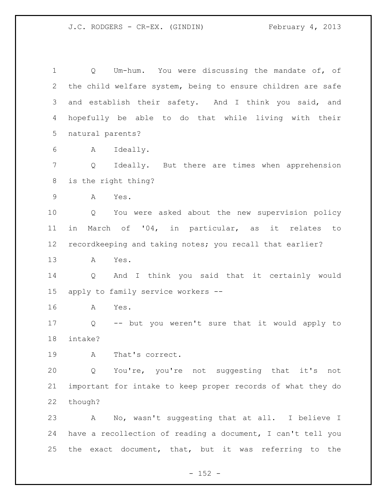Q Um-hum. You were discussing the mandate of, of the child welfare system, being to ensure children are safe and establish their safety. And I think you said, and hopefully be able to do that while living with their natural parents?

A Ideally.

 Q Ideally. But there are times when apprehension is the right thing?

A Yes.

 Q You were asked about the new supervision policy in March of '04, in particular, as it relates to recordkeeping and taking notes; you recall that earlier?

A Yes.

 Q And I think you said that it certainly would apply to family service workers --

A Yes.

 Q -- but you weren't sure that it would apply to intake?

A That's correct.

 Q You're, you're not suggesting that it's not important for intake to keep proper records of what they do though?

 A No, wasn't suggesting that at all. I believe I have a recollection of reading a document, I can't tell you the exact document, that, but it was referring to the

 $- 152 -$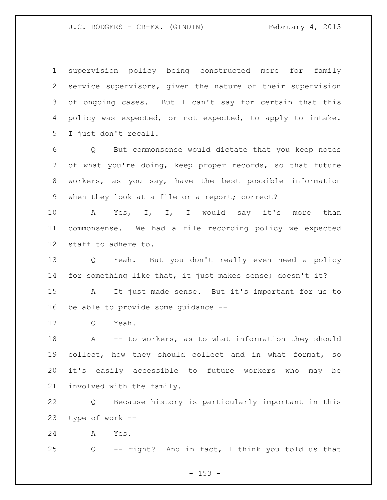supervision policy being constructed more for family service supervisors, given the nature of their supervision of ongoing cases. But I can't say for certain that this policy was expected, or not expected, to apply to intake. I just don't recall.

 Q But commonsense would dictate that you keep notes of what you're doing, keep proper records, so that future workers, as you say, have the best possible information when they look at a file or a report; correct?

10 A Yes, I, I, I would say it's more than commonsense. We had a file recording policy we expected staff to adhere to.

 Q Yeah. But you don't really even need a policy for something like that, it just makes sense; doesn't it?

 A It just made sense. But it's important for us to be able to provide some guidance --

Q Yeah.

18 A -- to workers, as to what information they should collect, how they should collect and in what format, so it's easily accessible to future workers who may be involved with the family.

 Q Because history is particularly important in this type of work --

A Yes.

Q -- right? And in fact, I think you told us that

 $- 153 -$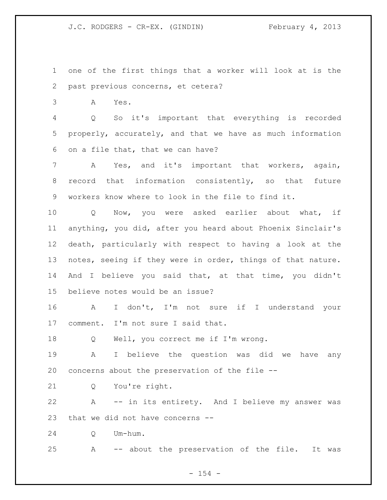one of the first things that a worker will look at is the past previous concerns, et cetera?

A Yes.

 Q So it's important that everything is recorded properly, accurately, and that we have as much information on a file that, that we can have?

 A Yes, and it's important that workers, again, record that information consistently, so that future workers know where to look in the file to find it.

 Q Now, you were asked earlier about what, if anything, you did, after you heard about Phoenix Sinclair's death, particularly with respect to having a look at the notes, seeing if they were in order, things of that nature. And I believe you said that, at that time, you didn't believe notes would be an issue?

 A I don't, I'm not sure if I understand your comment. I'm not sure I said that.

Q Well, you correct me if I'm wrong.

 A I believe the question was did we have any concerns about the preservation of the file --

Q You're right.

 A -- in its entirety. And I believe my answer was that we did not have concerns --

Q Um-hum.

A -- about the preservation of the file. It was

 $- 154 -$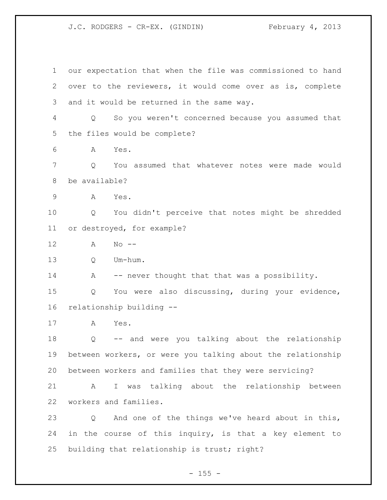our expectation that when the file was commissioned to hand over to the reviewers, it would come over as is, complete and it would be returned in the same way. Q So you weren't concerned because you assumed that the files would be complete? A Yes. Q You assumed that whatever notes were made would be available? A Yes. Q You didn't perceive that notes might be shredded or destroyed, for example? A No -- Q Um-hum. 14 A -- never thought that that was a possibility. Q You were also discussing, during your evidence, relationship building -- A Yes. Q -- and were you talking about the relationship between workers, or were you talking about the relationship between workers and families that they were servicing? A I was talking about the relationship between workers and families. Q And one of the things we've heard about in this, in the course of this inquiry, is that a key element to building that relationship is trust; right?

 $- 155 -$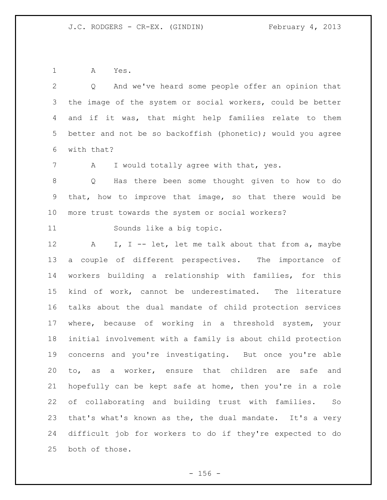A Yes.

| $\overline{2}$ | And we've heard some people offer an opinion that<br>$\circ$ |
|----------------|--------------------------------------------------------------|
| 3              | the image of the system or social workers, could be better   |
| 4              | and if it was, that might help families relate to them       |
| 5              | better and not be so backoffish (phonetic); would you agree  |
| 6              | with that?                                                   |
| 7              | I would totally agree with that, yes.<br>A                   |
| $\,8\,$        | Has there been some thought given to how to do<br>Q          |
| $\mathsf 9$    | that, how to improve that image, so that there would be      |
| 10             | more trust towards the system or social workers?             |
| 11             | Sounds like a big topic.                                     |
| 12             | I, I -- let, let me talk about that from a, maybe<br>A       |
| 13             | a couple of different perspectives. The importance of        |
| 14             | workers building a relationship with families, for this      |
| 15             | kind of work, cannot be underestimated. The literature       |
| 16             | talks about the dual mandate of child protection services    |
| 17             | where, because of working in a threshold system, your        |
| 18             | initial involvement with a family is about child protection  |
| 19             | concerns and you're investigating. But once you're able      |
| 20             | to, as a worker, ensure that children are<br>safe and        |
| 21             | hopefully can be kept safe at home, then you're in a role    |
| 22             | of collaborating and building trust with families.<br>So     |
| 23             | that's what's known as the, the dual mandate. It's a very    |
| 24             | difficult job for workers to do if they're expected to do    |
| 25             | both of those.                                               |

- 156 -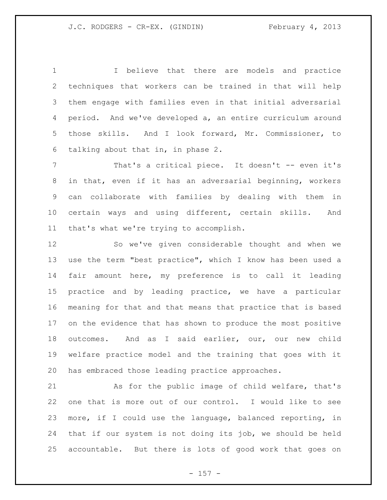I believe that there are models and practice techniques that workers can be trained in that will help them engage with families even in that initial adversarial period. And we've developed a, an entire curriculum around those skills. And I look forward, Mr. Commissioner, to talking about that in, in phase 2.

7 That's a critical piece. It doesn't -- even it's in that, even if it has an adversarial beginning, workers can collaborate with families by dealing with them in certain ways and using different, certain skills. And that's what we're trying to accomplish.

 So we've given considerable thought and when we use the term "best practice", which I know has been used a fair amount here, my preference is to call it leading practice and by leading practice, we have a particular meaning for that and that means that practice that is based on the evidence that has shown to produce the most positive outcomes. And as I said earlier, our, our new child welfare practice model and the training that goes with it has embraced those leading practice approaches.

 As for the public image of child welfare, that's one that is more out of our control. I would like to see more, if I could use the language, balanced reporting, in that if our system is not doing its job, we should be held accountable. But there is lots of good work that goes on

- 157 -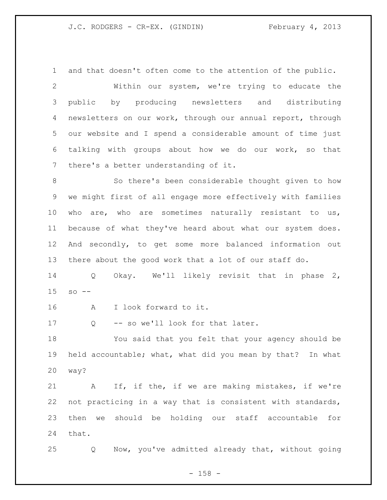and that doesn't often come to the attention of the public. Within our system, we're trying to educate the public by producing newsletters and distributing newsletters on our work, through our annual report, through our website and I spend a considerable amount of time just talking with groups about how we do our work, so that there's a better understanding of it.

 So there's been considerable thought given to how we might first of all engage more effectively with families 10 who are, who are sometimes naturally resistant to us, because of what they've heard about what our system does. And secondly, to get some more balanced information out there about the good work that a lot of our staff do.

 Q Okay. We'll likely revisit that in phase 2, so  $-$ 

A I look forward to it.

17 Q -- so we'll look for that later.

 You said that you felt that your agency should be held accountable; what, what did you mean by that? In what way?

 A If, if the, if we are making mistakes, if we're not practicing in a way that is consistent with standards, then we should be holding our staff accountable for that.

Q Now, you've admitted already that, without going

- 158 -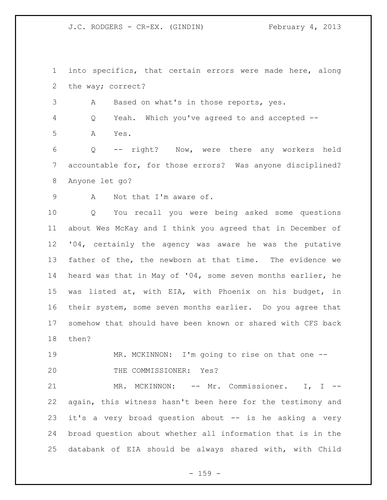into specifics, that certain errors were made here, along the way; correct?

A Based on what's in those reports, yes.

Q Yeah. Which you've agreed to and accepted --

A Yes.

 Q -- right? Now, were there any workers held accountable for, for those errors? Was anyone disciplined? Anyone let go?

A Not that I'm aware of.

 Q You recall you were being asked some questions about Wes McKay and I think you agreed that in December of '04, certainly the agency was aware he was the putative father of the, the newborn at that time. The evidence we heard was that in May of '04, some seven months earlier, he was listed at, with EIA, with Phoenix on his budget, in their system, some seven months earlier. Do you agree that somehow that should have been known or shared with CFS back then?

 MR. MCKINNON: I'm going to rise on that one -- THE COMMISSIONER: Yes?

21 MR. MCKINNON: -- Mr. Commissioner. I, I -- again, this witness hasn't been here for the testimony and it's a very broad question about -- is he asking a very broad question about whether all information that is in the databank of EIA should be always shared with, with Child

 $- 159 -$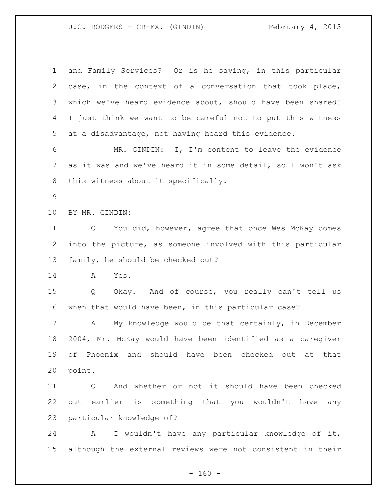| $\mathbf 1$ | and Family Services? Or is he saying, in this particular    |  |  |
|-------------|-------------------------------------------------------------|--|--|
| 2           | case, in the context of a conversation that took place,     |  |  |
| 3           | which we've heard evidence about, should have been shared?  |  |  |
| 4           | I just think we want to be careful not to put this witness  |  |  |
| 5           | at a disadvantage, not having heard this evidence.          |  |  |
| 6           | MR. GINDIN: I, I'm content to leave the evidence            |  |  |
| 7           | as it was and we've heard it in some detail, so I won't ask |  |  |
| 8           | this witness about it specifically.                         |  |  |
| $\mathsf 9$ |                                                             |  |  |
| 10          | BY MR. GINDIN:                                              |  |  |
| 11          | You did, however, agree that once Wes McKay comes<br>Q      |  |  |
| 12          | into the picture, as someone involved with this particular  |  |  |
| 13          | family, he should be checked out?                           |  |  |
| 14          | Yes.<br>A                                                   |  |  |
| 15          | Okay. And of course, you really can't tell us<br>Q          |  |  |
| 16          | when that would have been, in this particular case?         |  |  |
| 17          | My knowledge would be that certainly, in December<br>A      |  |  |
| 18          | 2004, Mr. McKay would have been identified as a caregiver   |  |  |
| 19          | of Phoenix and should have been checked out at that         |  |  |
| 20          | point.                                                      |  |  |
| 21          | And whether or not it should have been checked<br>Q         |  |  |
| 22          | out earlier is something that you wouldn't have any         |  |  |
| 23          | particular knowledge of?                                    |  |  |
| 24          | I wouldn't have any particular knowledge of it,<br>A        |  |  |
| 25          | although the external reviews were not consistent in their  |  |  |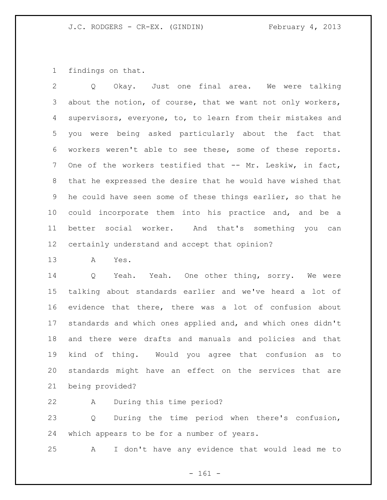findings on that.

 Q Okay. Just one final area. We were talking about the notion, of course, that we want not only workers, supervisors, everyone, to, to learn from their mistakes and you were being asked particularly about the fact that workers weren't able to see these, some of these reports. One of the workers testified that -- Mr. Leskiw, in fact, that he expressed the desire that he would have wished that he could have seen some of these things earlier, so that he could incorporate them into his practice and, and be a better social worker. And that's something you can certainly understand and accept that opinion?

A Yes.

 Q Yeah. Yeah. One other thing, sorry. We were talking about standards earlier and we've heard a lot of evidence that there, there was a lot of confusion about standards and which ones applied and, and which ones didn't and there were drafts and manuals and policies and that kind of thing. Would you agree that confusion as to standards might have an effect on the services that are being provided?

A During this time period?

 Q During the time period when there's confusion, which appears to be for a number of years.

A I don't have any evidence that would lead me to

- 161 -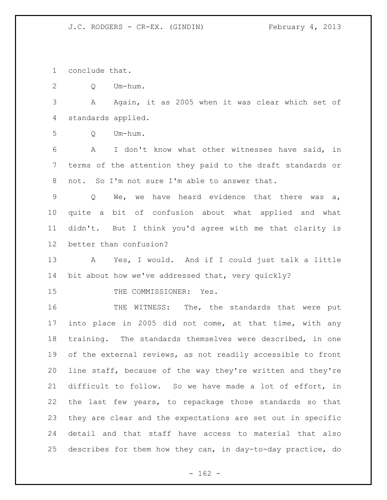conclude that.

Q Um-hum.

 A Again, it as 2005 when it was clear which set of standards applied.

Q Um-hum.

 A I don't know what other witnesses have said, in terms of the attention they paid to the draft standards or not. So I'm not sure I'm able to answer that.

 Q We, we have heard evidence that there was a, quite a bit of confusion about what applied and what didn't. But I think you'd agree with me that clarity is better than confusion?

 A Yes, I would. And if I could just talk a little 14 bit about how we've addressed that, very quickly?

15 THE COMMISSIONER: Yes.

 THE WITNESS: The, the standards that were put into place in 2005 did not come, at that time, with any training. The standards themselves were described, in one of the external reviews, as not readily accessible to front line staff, because of the way they're written and they're difficult to follow. So we have made a lot of effort, in the last few years, to repackage those standards so that they are clear and the expectations are set out in specific detail and that staff have access to material that also describes for them how they can, in day-to-day practice, do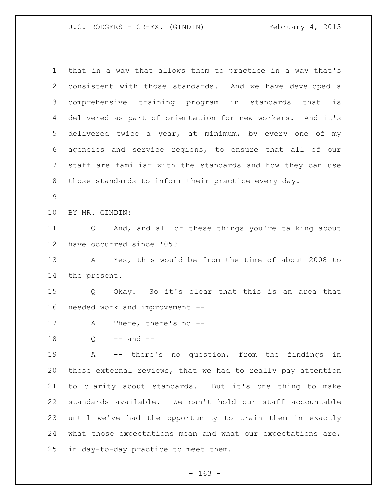that in a way that allows them to practice in a way that's consistent with those standards. And we have developed a comprehensive training program in standards that is delivered as part of orientation for new workers. And it's delivered twice a year, at minimum, by every one of my agencies and service regions, to ensure that all of our staff are familiar with the standards and how they can use those standards to inform their practice every day. BY MR. GINDIN: Q And, and all of these things you're talking about have occurred since '05? A Yes, this would be from the time of about 2008 to the present. Q Okay. So it's clear that this is an area that needed work and improvement -- A There, there's no -- Q  $-$  and  $-$  A -- there's no question, from the findings in those external reviews, that we had to really pay attention to clarity about standards. But it's one thing to make standards available. We can't hold our staff accountable until we've had the opportunity to train them in exactly what those expectations mean and what our expectations are, in day-to-day practice to meet them.

 $- 163 -$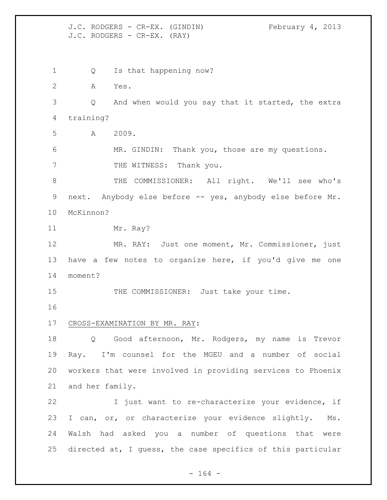J.C. RODGERS - CR-EX. (GINDIN) February 4, 2013 J.C. RODGERS - CR-EX. (RAY) 1 Q Is that happening now? A Yes. Q And when would you say that it started, the extra training? A 2009. MR. GINDIN: Thank you, those are my questions. 7 THE WITNESS: Thank you. THE COMMISSIONER: All right. We'll see who's next. Anybody else before -- yes, anybody else before Mr. McKinnon? 11 Mr. Ray? MR. RAY: Just one moment, Mr. Commissioner, just have a few notes to organize here, if you'd give me one moment? 15 THE COMMISSIONER: Just take your time. CROSS-EXAMINATION BY MR. RAY: Q Good afternoon, Mr. Rodgers, my name is Trevor Ray. I'm counsel for the MGEU and a number of social workers that were involved in providing services to Phoenix and her family. I just want to re-characterize your evidence, if I can, or, or characterize your evidence slightly. Ms. Walsh had asked you a number of questions that were directed at, I guess, the case specifics of this particular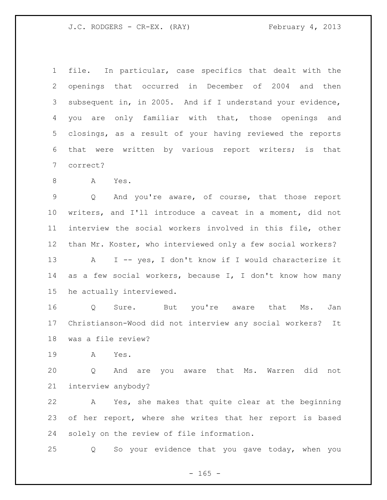J.C. RODGERS - CR-EX. (RAY) February 4, 2013

 file. In particular, case specifics that dealt with the openings that occurred in December of 2004 and then subsequent in, in 2005. And if I understand your evidence, you are only familiar with that, those openings and closings, as a result of your having reviewed the reports that were written by various report writers; is that correct?

A Yes.

 Q And you're aware, of course, that those report writers, and I'll introduce a caveat in a moment, did not interview the social workers involved in this file, other than Mr. Koster, who interviewed only a few social workers? 13 A I -- yes, I don't know if I would characterize it as a few social workers, because I, I don't know how many he actually interviewed.

16 Q Sure. But you're aware that Ms. Jan Christianson-Wood did not interview any social workers? It was a file review?

A Yes.

 Q And are you aware that Ms. Warren did not interview anybody?

 A Yes, she makes that quite clear at the beginning of her report, where she writes that her report is based solely on the review of file information.

Q So your evidence that you gave today, when you

 $- 165 -$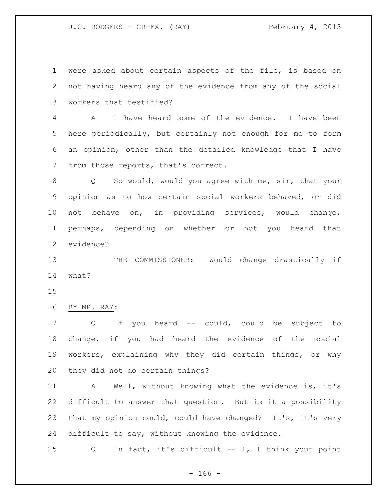J.C. RODGERS - CR-EX. (RAY) February 4, 2013

 were asked about certain aspects of the file, is based on not having heard any of the evidence from any of the social workers that testified?

 A I have heard some of the evidence. I have been here periodically, but certainly not enough for me to form an opinion, other than the detailed knowledge that I have from those reports, that's correct.

 Q So would, would you agree with me, sir, that your opinion as to how certain social workers behaved, or did not behave on, in providing services, would change, perhaps, depending on whether or not you heard that evidence?

 THE COMMISSIONER: Would change drastically if what?

BY MR. RAY:

 Q If you heard -- could, could be subject to change, if you had heard the evidence of the social workers, explaining why they did certain things, or why they did not do certain things?

 A Well, without knowing what the evidence is, it's difficult to answer that question. But is it a possibility that my opinion could, could have changed? It's, it's very difficult to say, without knowing the evidence.

Q In fact, it's difficult -- I, I think your point

- 166 -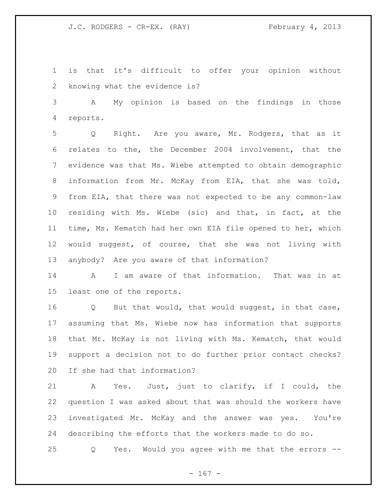is that it's difficult to offer your opinion without knowing what the evidence is?

 A My opinion is based on the findings in those reports.

 Q Right. Are you aware, Mr. Rodgers, that as it relates to the, the December 2004 involvement, that the evidence was that Ms. Wiebe attempted to obtain demographic information from Mr. McKay from EIA, that she was told, from EIA, that there was not expected to be any common-law residing with Ms. Wiebe (sic) and that, in fact, at the time, Ms. Kematch had her own EIA file opened to her, which would suggest, of course, that she was not living with anybody? Are you aware of that information?

 A I am aware of that information. That was in at least one of the reports.

 Q But that would, that would suggest, in that case, assuming that Ms. Wiebe now has information that supports that Mr. McKay is not living with Ms. Kematch, that would support a decision not to do further prior contact checks? If she had that information?

 A Yes. Just, just to clarify, if I could, the question I was asked about that was should the workers have investigated Mr. McKay and the answer was yes. You're describing the efforts that the workers made to do so.

Q Yes. Would you agree with me that the errors --

 $- 167 -$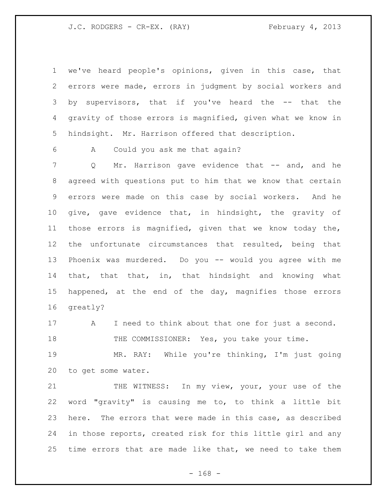J.C. RODGERS - CR-EX. (RAY) February 4, 2013

 we've heard people's opinions, given in this case, that errors were made, errors in judgment by social workers and by supervisors, that if you've heard the -- that the gravity of those errors is magnified, given what we know in hindsight. Mr. Harrison offered that description.

A Could you ask me that again?

7 Q Mr. Harrison gave evidence that -- and, and he agreed with questions put to him that we know that certain errors were made on this case by social workers. And he give, gave evidence that, in hindsight, the gravity of those errors is magnified, given that we know today the, the unfortunate circumstances that resulted, being that Phoenix was murdered. Do you -- would you agree with me that, that that, in, that hindsight and knowing what happened, at the end of the day, magnifies those errors greatly?

 A I need to think about that one for just a second. 18 THE COMMISSIONER: Yes, you take your time.

 MR. RAY: While you're thinking, I'm just going to get some water.

21 THE WITNESS: In my view, your, your use of the word "gravity" is causing me to, to think a little bit here. The errors that were made in this case, as described in those reports, created risk for this little girl and any time errors that are made like that, we need to take them

- 168 -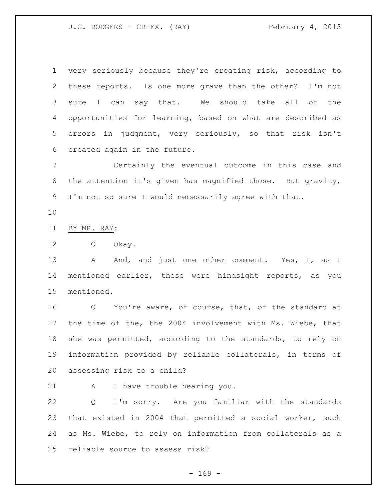J.C. RODGERS - CR-EX. (RAY) February 4, 2013

 very seriously because they're creating risk, according to these reports. Is one more grave than the other? I'm not sure I can say that. We should take all of the opportunities for learning, based on what are described as errors in judgment, very seriously, so that risk isn't created again in the future.

 Certainly the eventual outcome in this case and the attention it's given has magnified those. But gravity, I'm not so sure I would necessarily agree with that.

BY MR. RAY:

Q Okay.

13 A And, and just one other comment. Yes, I, as I mentioned earlier, these were hindsight reports, as you mentioned.

 Q You're aware, of course, that, of the standard at the time of the, the 2004 involvement with Ms. Wiebe, that she was permitted, according to the standards, to rely on information provided by reliable collaterals, in terms of assessing risk to a child?

A I have trouble hearing you.

 Q I'm sorry. Are you familiar with the standards that existed in 2004 that permitted a social worker, such as Ms. Wiebe, to rely on information from collaterals as a reliable source to assess risk?

 $- 169 -$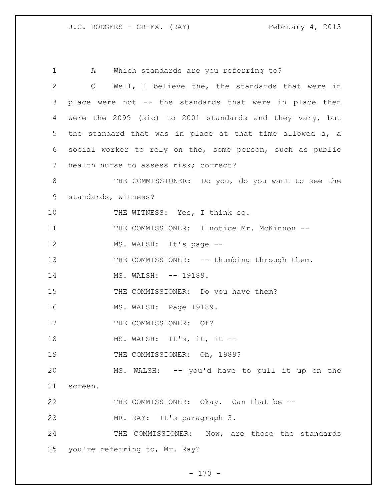1 A Which standards are you referring to? 2 Q Well, I believe the, the standards that were in 3 place were not -- the standards that were in place then 4 were the 2099 (sic) to 2001 standards and they vary, but 5 the standard that was in place at that time allowed a, a 6 social worker to rely on the, some person, such as public 7 health nurse to assess risk; correct? 8 THE COMMISSIONER: Do you, do you want to see the 9 standards, witness? 10 THE WITNESS: Yes, I think so. 11 THE COMMISSIONER: I notice Mr. McKinnon --12 MS. WALSH: It's page --13 THE COMMISSIONER: -- thumbing through them. 14 MS. WALSH:  $-- 19189$ . 15 THE COMMISSIONER: Do you have them? 16 MS. WALSH: Page 19189. 17 THE COMMISSIONER: Of? 18 MS. WALSH: It's, it, it --19 THE COMMISSIONER: Oh, 1989? 20 MS. WALSH: -- you'd have to pull it up on the 21 screen. 22 THE COMMISSIONER: Okay. Can that be --23 MR. RAY: It's paragraph 3. 24 THE COMMISSIONER: Now, are those the standards 25 you're referring to, Mr. Ray?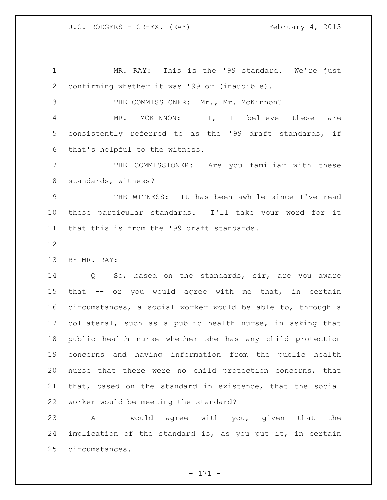MR. RAY: This is the '99 standard. We're just confirming whether it was '99 or (inaudible).

THE COMMISSIONER: Mr., Mr. McKinnon?

 MR. MCKINNON: I, I believe these are consistently referred to as the '99 draft standards, if that's helpful to the witness.

 THE COMMISSIONER: Are you familiar with these standards, witness?

 THE WITNESS: It has been awhile since I've read these particular standards. I'll take your word for it that this is from the '99 draft standards.

BY MR. RAY:

 Q So, based on the standards, sir, are you aware that -- or you would agree with me that, in certain circumstances, a social worker would be able to, through a collateral, such as a public health nurse, in asking that public health nurse whether she has any child protection concerns and having information from the public health nurse that there were no child protection concerns, that that, based on the standard in existence, that the social worker would be meeting the standard?

 A I would agree with you, given that the implication of the standard is, as you put it, in certain circumstances.

- 171 -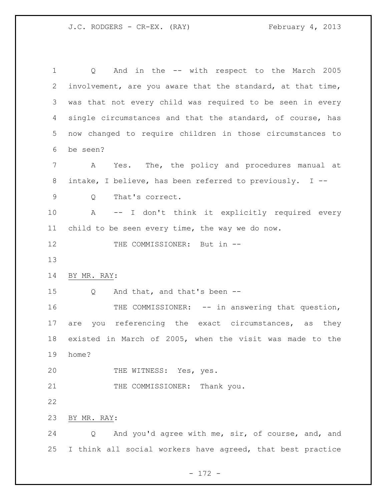J.C. RODGERS - CR-EX. (RAY) February 4, 2013

 Q And in the -- with respect to the March 2005 involvement, are you aware that the standard, at that time, was that not every child was required to be seen in every single circumstances and that the standard, of course, has now changed to require children in those circumstances to be seen? A Yes. The, the policy and procedures manual at intake, I believe, has been referred to previously. I -- Q That's correct. A -- I don't think it explicitly required every child to be seen every time, the way we do now. 12 THE COMMISSIONER: But in -- BY MR. RAY: Q And that, and that's been -- 16 THE COMMISSIONER: -- in answering that question, 17 are you referencing the exact circumstances, as they existed in March of 2005, when the visit was made to the home? 20 THE WITNESS: Yes, yes. 21 THE COMMISSIONER: Thank you. BY MR. RAY: Q And you'd agree with me, sir, of course, and, and I think all social workers have agreed, that best practice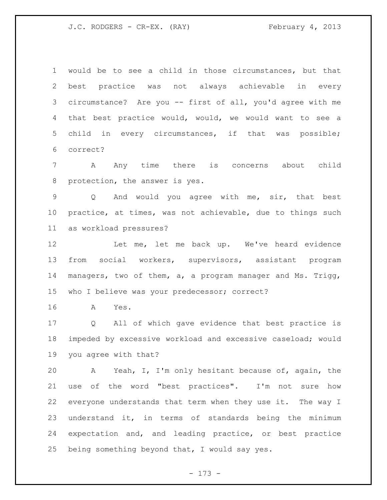J.C. RODGERS - CR-EX. (RAY) February 4, 2013

 would be to see a child in those circumstances, but that best practice was not always achievable in every circumstance? Are you -- first of all, you'd agree with me that best practice would, would, we would want to see a child in every circumstances, if that was possible; correct?

 A Any time there is concerns about child protection, the answer is yes.

 Q And would you agree with me, sir, that best practice, at times, was not achievable, due to things such as workload pressures?

12 Let me, let me back up. We've heard evidence from social workers, supervisors, assistant program managers, two of them, a, a program manager and Ms. Trigg, who I believe was your predecessor; correct?

A Yes.

 Q All of which gave evidence that best practice is impeded by excessive workload and excessive caseload; would you agree with that?

 A Yeah, I, I'm only hesitant because of, again, the use of the word "best practices". I'm not sure how everyone understands that term when they use it. The way I understand it, in terms of standards being the minimum expectation and, and leading practice, or best practice being something beyond that, I would say yes.

- 173 -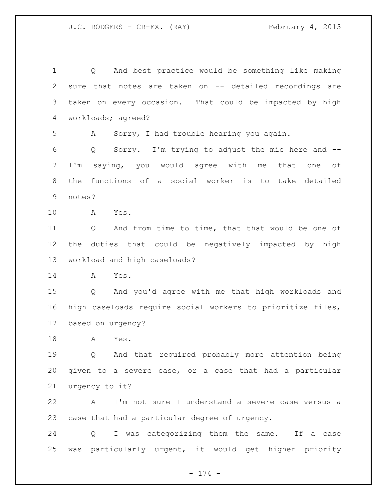Q And best practice would be something like making sure that notes are taken on -- detailed recordings are taken on every occasion. That could be impacted by high workloads; agreed? A Sorry, I had trouble hearing you again. Q Sorry. I'm trying to adjust the mic here and -- I'm saying, you would agree with me that one of the functions of a social worker is to take detailed notes? A Yes. Q And from time to time, that that would be one of the duties that could be negatively impacted by high workload and high caseloads? A Yes. Q And you'd agree with me that high workloads and high caseloads require social workers to prioritize files, based on urgency? A Yes. Q And that required probably more attention being given to a severe case, or a case that had a particular urgency to it? A I'm not sure I understand a severe case versus a case that had a particular degree of urgency. Q I was categorizing them the same. If a case was particularly urgent, it would get higher priority

- 174 -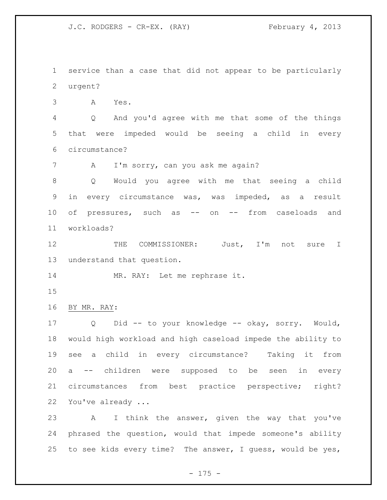J.C. RODGERS - CR-EX. (RAY) February 4, 2013

 service than a case that did not appear to be particularly urgent?

A Yes.

 Q And you'd agree with me that some of the things that were impeded would be seeing a child in every circumstance?

7 A I'm sorry, can you ask me again?

 Q Would you agree with me that seeing a child in every circumstance was, was impeded, as a result of pressures, such as -- on -- from caseloads and workloads?

12 THE COMMISSIONER: Just, I'm not sure I understand that question.

14 MR. RAY: Let me rephrase it.

BY MR. RAY:

 Q Did -- to your knowledge -- okay, sorry. Would, would high workload and high caseload impede the ability to see a child in every circumstance? Taking it from a -- children were supposed to be seen in every circumstances from best practice perspective; right? You've already ...

 A I think the answer, given the way that you've phrased the question, would that impede someone's ability to see kids every time? The answer, I guess, would be yes,

- 175 -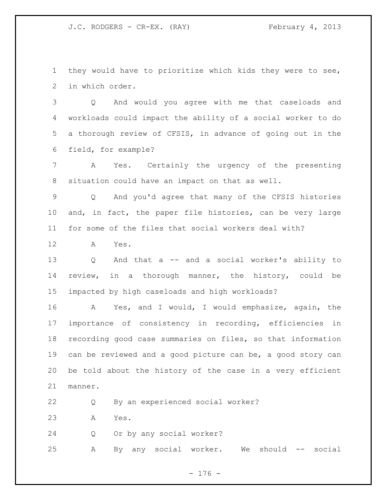they would have to prioritize which kids they were to see, in which order.

 Q And would you agree with me that caseloads and workloads could impact the ability of a social worker to do a thorough review of CFSIS, in advance of going out in the field, for example?

 A Yes. Certainly the urgency of the presenting situation could have an impact on that as well.

 Q And you'd agree that many of the CFSIS histories and, in fact, the paper file histories, can be very large for some of the files that social workers deal with?

A Yes.

 Q And that a -- and a social worker's ability to review, in a thorough manner, the history, could be impacted by high caseloads and high workloads?

 A Yes, and I would, I would emphasize, again, the importance of consistency in recording, efficiencies in recording good case summaries on files, so that information can be reviewed and a good picture can be, a good story can be told about the history of the case in a very efficient manner.

Q By an experienced social worker?

A Yes.

Q Or by any social worker?

A By any social worker. We should -- social

- 176 -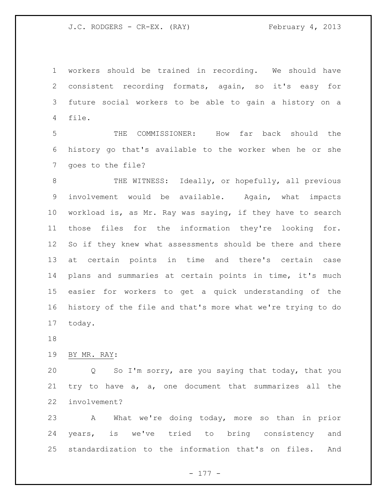workers should be trained in recording. We should have consistent recording formats, again, so it's easy for future social workers to be able to gain a history on a file.

 THE COMMISSIONER: How far back should the history go that's available to the worker when he or she goes to the file?

8 THE WITNESS: Ideally, or hopefully, all previous involvement would be available. Again, what impacts workload is, as Mr. Ray was saying, if they have to search those files for the information they're looking for. So if they knew what assessments should be there and there at certain points in time and there's certain case plans and summaries at certain points in time, it's much easier for workers to get a quick understanding of the history of the file and that's more what we're trying to do today.

BY MR. RAY:

 Q So I'm sorry, are you saying that today, that you try to have a, a, one document that summarizes all the involvement?

 A What we're doing today, more so than in prior years, is we've tried to bring consistency and standardization to the information that's on files. And

- 177 -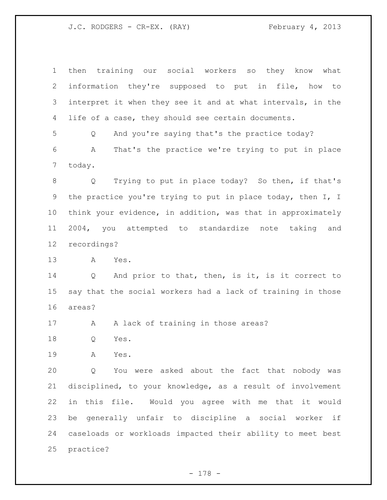then training our social workers so they know what information they're supposed to put in file, how to interpret it when they see it and at what intervals, in the life of a case, they should see certain documents. Q And you're saying that's the practice today? A That's the practice we're trying to put in place today. Q Trying to put in place today? So then, if that's the practice you're trying to put in place today, then I, I think your evidence, in addition, was that in approximately 2004, you attempted to standardize note taking and recordings? A Yes. 14 Q And prior to that, then, is it, is it correct to say that the social workers had a lack of training in those areas? 17 A A lack of training in those areas? Q Yes. A Yes.

 Q You were asked about the fact that nobody was disciplined, to your knowledge, as a result of involvement in this file. Would you agree with me that it would be generally unfair to discipline a social worker if caseloads or workloads impacted their ability to meet best practice?

- 178 -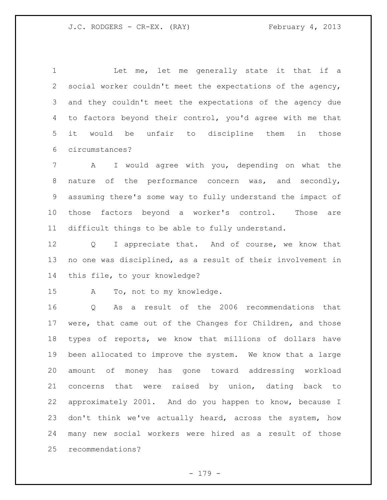1 Let me, let me generally state it that if a social worker couldn't meet the expectations of the agency, and they couldn't meet the expectations of the agency due to factors beyond their control, you'd agree with me that it would be unfair to discipline them in those circumstances?

 A I would agree with you, depending on what the nature of the performance concern was, and secondly, assuming there's some way to fully understand the impact of those factors beyond a worker's control. Those are difficult things to be able to fully understand.

12 Q I appreciate that. And of course, we know that no one was disciplined, as a result of their involvement in this file, to your knowledge?

A To, not to my knowledge.

 Q As a result of the 2006 recommendations that were, that came out of the Changes for Children, and those types of reports, we know that millions of dollars have been allocated to improve the system. We know that a large amount of money has gone toward addressing workload concerns that were raised by union, dating back to approximately 2001. And do you happen to know, because I don't think we've actually heard, across the system, how many new social workers were hired as a result of those recommendations?

- 179 -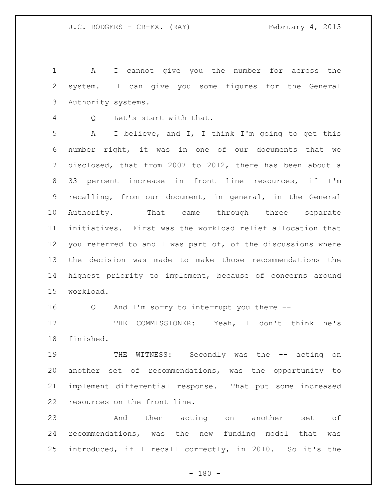A I cannot give you the number for across the system. I can give you some figures for the General Authority systems.

Q Let's start with that.

 A I believe, and I, I think I'm going to get this number right, it was in one of our documents that we disclosed, that from 2007 to 2012, there has been about a 33 percent increase in front line resources, if I'm recalling, from our document, in general, in the General Authority. That came through three separate initiatives. First was the workload relief allocation that 12 you referred to and I was part of, of the discussions where the decision was made to make those recommendations the highest priority to implement, because of concerns around workload.

Q And I'm sorry to interrupt you there --

17 THE COMMISSIONER: Yeah, I don't think he's finished.

19 THE WITNESS: Secondly was the -- acting on another set of recommendations, was the opportunity to implement differential response. That put some increased resources on the front line.

 And then acting on another set of recommendations, was the new funding model that was introduced, if I recall correctly, in 2010. So it's the

 $- 180 -$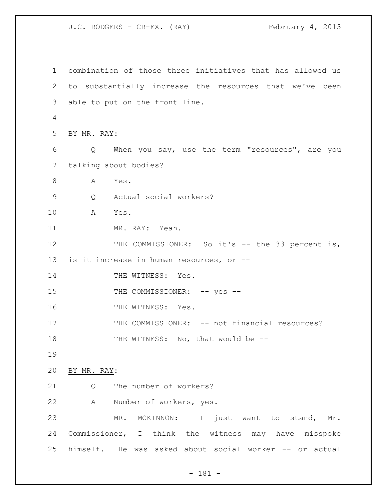combination of those three initiatives that has allowed us to substantially increase the resources that we've been able to put on the front line. BY MR. RAY: Q When you say, use the term "resources", are you talking about bodies? 8 A Yes. Q Actual social workers? A Yes. MR. RAY: Yeah. 12 THE COMMISSIONER: So it's -- the 33 percent is, is it increase in human resources, or -- 14 THE WITNESS: Yes. 15 THE COMMISSIONER:  $--$  yes  $--$ 16 THE WITNESS: Yes. 17 THE COMMISSIONER: -- not financial resources? 18 THE WITNESS: No, that would be -- BY MR. RAY: 21 O The number of workers? A Number of workers, yes. MR. MCKINNON: I just want to stand, Mr. Commissioner, I think the witness may have misspoke himself. He was asked about social worker -- or actual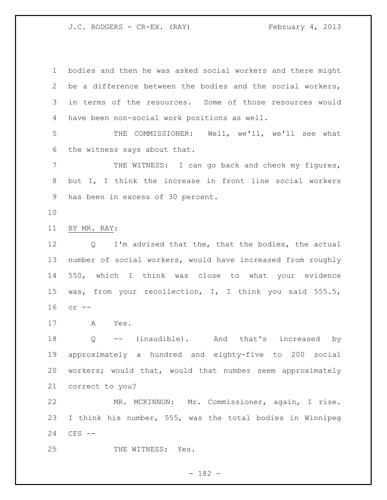bodies and then he was asked social workers and there might be a difference between the bodies and the social workers, in terms of the resources. Some of those resources would have been non-social work positions as well.

 THE COMMISSIONER: Well, we'll, we'll see what the witness says about that.

 THE WITNESS: I can go back and check my figures, but I, I think the increase in front line social workers has been in excess of 30 percent.

BY MR. RAY:

 Q I'm advised that the, that the bodies, the actual number of social workers, would have increased from roughly 550, which I think was close to what your evidence was, from your recollection, I, I think you said 555.5, or --

A Yes.

 Q -- (inaudible). And that's increased by approximately a hundred and eighty-five to 200 social workers; would that, would that number seem approximately correct to you?

 MR. MCKINNON: Mr. Commissioner, again, I rise. I think his number, 555, was the total bodies in Winnipeg CFS --

25 THE WITNESS: Yes.

- 182 -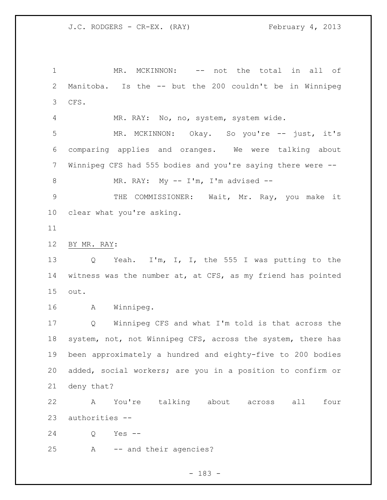1 MR. MCKINNON: -- not the total in all of Manitoba. Is the -- but the 200 couldn't be in Winnipeg CFS.

MR. RAY: No, no, system, system wide.

 MR. MCKINNON: Okay. So you're -- just, it's comparing applies and oranges. We were talking about Winnipeg CFS had 555 bodies and you're saying there were --

8 MR. RAY: My -- I'm, I'm advised --

 THE COMMISSIONER: Wait, Mr. Ray, you make it clear what you're asking.

BY MR. RAY:

 Q Yeah. I'm, I, I, the 555 I was putting to the witness was the number at, at CFS, as my friend has pointed out.

A Winnipeg.

 Q Winnipeg CFS and what I'm told is that across the system, not, not Winnipeg CFS, across the system, there has been approximately a hundred and eighty-five to 200 bodies added, social workers; are you in a position to confirm or deny that?

 A You're talking about across all four authorities --

Q Yes --

A -- and their agencies?

- 183 -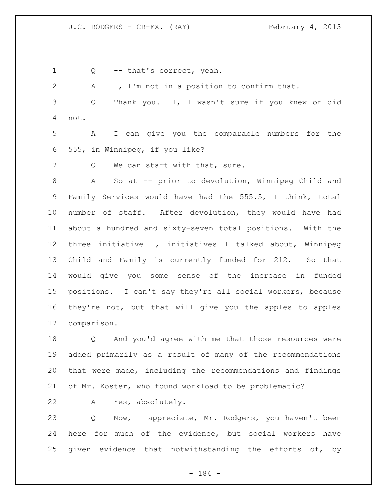Q -- that's correct, yeah.

A I, I'm not in a position to confirm that.

 Q Thank you. I, I wasn't sure if you knew or did not.

 A I can give you the comparable numbers for the 555, in Winnipeg, if you like?

7 Q We can start with that, sure.

 A So at -- prior to devolution, Winnipeg Child and Family Services would have had the 555.5, I think, total number of staff. After devolution, they would have had about a hundred and sixty-seven total positions. With the three initiative I, initiatives I talked about, Winnipeg Child and Family is currently funded for 212. So that would give you some sense of the increase in funded positions. I can't say they're all social workers, because they're not, but that will give you the apples to apples comparison.

 Q And you'd agree with me that those resources were added primarily as a result of many of the recommendations that were made, including the recommendations and findings of Mr. Koster, who found workload to be problematic?

A Yes, absolutely.

 Q Now, I appreciate, Mr. Rodgers, you haven't been here for much of the evidence, but social workers have given evidence that notwithstanding the efforts of, by

- 184 -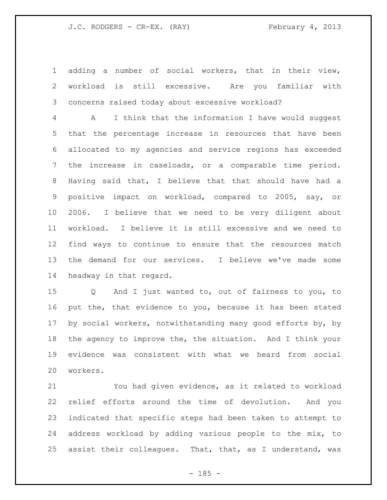adding a number of social workers, that in their view, workload is still excessive. Are you familiar with concerns raised today about excessive workload?

 A I think that the information I have would suggest that the percentage increase in resources that have been allocated to my agencies and service regions has exceeded the increase in caseloads, or a comparable time period. Having said that, I believe that that should have had a positive impact on workload, compared to 2005, say, or 2006. I believe that we need to be very diligent about workload. I believe it is still excessive and we need to find ways to continue to ensure that the resources match the demand for our services. I believe we've made some headway in that regard.

 Q And I just wanted to, out of fairness to you, to put the, that evidence to you, because it has been stated by social workers, notwithstanding many good efforts by, by 18 the agency to improve the, the situation. And I think your evidence was consistent with what we heard from social workers.

 You had given evidence, as it related to workload relief efforts around the time of devolution. And you indicated that specific steps had been taken to attempt to address workload by adding various people to the mix, to assist their colleagues. That, that, as I understand, was

 $- 185 -$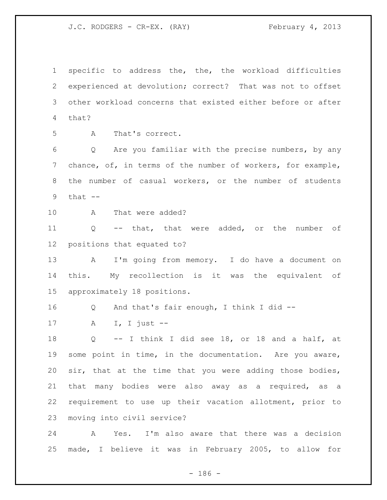specific to address the, the, the workload difficulties experienced at devolution; correct? That was not to offset other workload concerns that existed either before or after that?

A That's correct.

 Q Are you familiar with the precise numbers, by any chance, of, in terms of the number of workers, for example, the number of casual workers, or the number of students that  $--$ 

A That were added?

 Q -- that, that were added, or the number of positions that equated to?

 A I'm going from memory. I do have a document on this. My recollection is it was the equivalent of approximately 18 positions.

- Q And that's fair enough, I think I did --
- A I, I just --

 Q -- I think I did see 18, or 18 and a half, at some point in time, in the documentation. Are you aware, sir, that at the time that you were adding those bodies, that many bodies were also away as a required, as a requirement to use up their vacation allotment, prior to moving into civil service?

 A Yes. I'm also aware that there was a decision made, I believe it was in February 2005, to allow for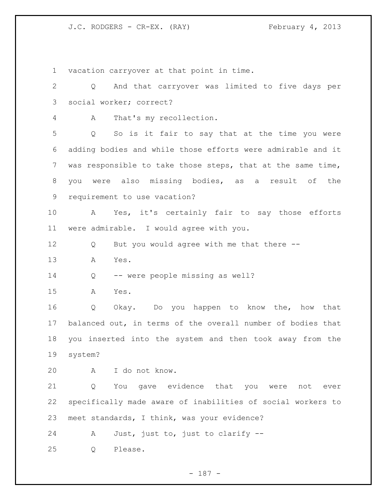vacation carryover at that point in time.

 Q And that carryover was limited to five days per social worker; correct? A That's my recollection. Q So is it fair to say that at the time you were adding bodies and while those efforts were admirable and it was responsible to take those steps, that at the same time, you were also missing bodies, as a result of the requirement to use vacation? A Yes, it's certainly fair to say those efforts were admirable. I would agree with you. Q But you would agree with me that there -- A Yes. Q -- were people missing as well? A Yes. Q Okay. Do you happen to know the, how that balanced out, in terms of the overall number of bodies that you inserted into the system and then took away from the system? A I do not know. Q You gave evidence that you were not ever specifically made aware of inabilities of social workers to meet standards, I think, was your evidence? A Just, just to, just to clarify --

Q Please.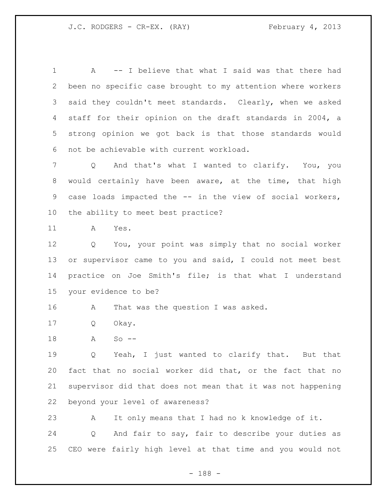A -- I believe that what I said was that there had been no specific case brought to my attention where workers said they couldn't meet standards. Clearly, when we asked staff for their opinion on the draft standards in 2004, a strong opinion we got back is that those standards would not be achievable with current workload.

 Q And that's what I wanted to clarify. You, you would certainly have been aware, at the time, that high case loads impacted the -- in the view of social workers, the ability to meet best practice?

A Yes.

 Q You, your point was simply that no social worker 13 or supervisor came to you and said, I could not meet best practice on Joe Smith's file; is that what I understand your evidence to be?

16 A That was the question I was asked.

Q Okay.

A So --

 Q Yeah, I just wanted to clarify that. But that fact that no social worker did that, or the fact that no supervisor did that does not mean that it was not happening beyond your level of awareness?

 A It only means that I had no k knowledge of it. Q And fair to say, fair to describe your duties as CEO were fairly high level at that time and you would not

- 188 -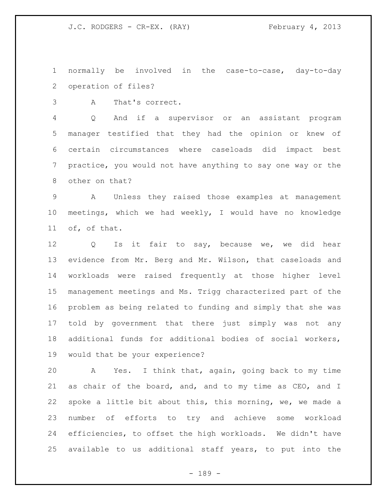normally be involved in the case-to-case, day-to-day operation of files?

A That's correct.

 Q And if a supervisor or an assistant program manager testified that they had the opinion or knew of certain circumstances where caseloads did impact best practice, you would not have anything to say one way or the other on that?

 A Unless they raised those examples at management meetings, which we had weekly, I would have no knowledge of, of that.

 Q Is it fair to say, because we, we did hear evidence from Mr. Berg and Mr. Wilson, that caseloads and workloads were raised frequently at those higher level management meetings and Ms. Trigg characterized part of the problem as being related to funding and simply that she was told by government that there just simply was not any additional funds for additional bodies of social workers, would that be your experience?

 A Yes. I think that, again, going back to my time as chair of the board, and, and to my time as CEO, and I spoke a little bit about this, this morning, we, we made a number of efforts to try and achieve some workload efficiencies, to offset the high workloads. We didn't have available to us additional staff years, to put into the

- 189 -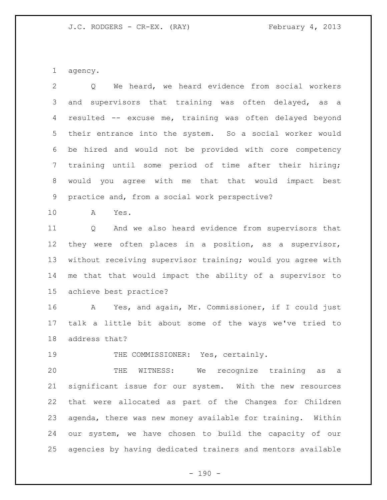agency.

 Q We heard, we heard evidence from social workers and supervisors that training was often delayed, as a resulted -- excuse me, training was often delayed beyond their entrance into the system. So a social worker would be hired and would not be provided with core competency training until some period of time after their hiring; would you agree with me that that would impact best practice and, from a social work perspective?

A Yes.

 Q And we also heard evidence from supervisors that they were often places in a position, as a supervisor, without receiving supervisor training; would you agree with me that that would impact the ability of a supervisor to achieve best practice?

 A Yes, and again, Mr. Commissioner, if I could just talk a little bit about some of the ways we've tried to address that?

19 THE COMMISSIONER: Yes, certainly.

 THE WITNESS: We recognize training as a significant issue for our system. With the new resources that were allocated as part of the Changes for Children agenda, there was new money available for training. Within our system, we have chosen to build the capacity of our agencies by having dedicated trainers and mentors available

 $- 190 -$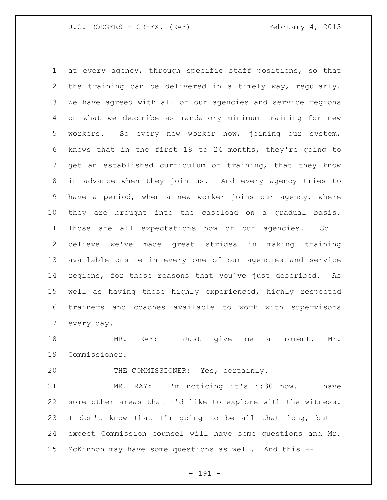at every agency, through specific staff positions, so that the training can be delivered in a timely way, regularly. We have agreed with all of our agencies and service regions on what we describe as mandatory minimum training for new workers. So every new worker now, joining our system, knows that in the first 18 to 24 months, they're going to get an established curriculum of training, that they know in advance when they join us. And every agency tries to have a period, when a new worker joins our agency, where they are brought into the caseload on a gradual basis. Those are all expectations now of our agencies. So I believe we've made great strides in making training available onsite in every one of our agencies and service regions, for those reasons that you've just described. As well as having those highly experienced, highly respected trainers and coaches available to work with supervisors every day.

18 MR. RAY: Just give me a moment, Mr. Commissioner.

THE COMMISSIONER: Yes, certainly.

 MR. RAY: I'm noticing it's 4:30 now. I have some other areas that I'd like to explore with the witness. I don't know that I'm going to be all that long, but I expect Commission counsel will have some questions and Mr. McKinnon may have some questions as well. And this --

- 191 -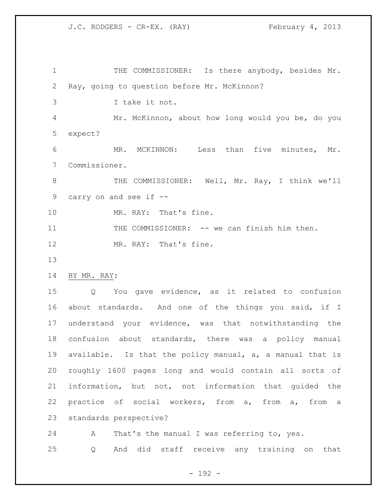1 THE COMMISSIONER: Is there anybody, besides Mr. Ray, going to question before Mr. McKinnon? I take it not. Mr. McKinnon, about how long would you be, do you expect? MR. MCKINNON: Less than five minutes, Mr. Commissioner. THE COMMISSIONER: Well, Mr. Ray, I think we'll carry on and see if -- 10 MR. RAY: That's fine. 11 THE COMMISSIONER: -- we can finish him then. 12 MR. RAY: That's fine. BY MR. RAY: Q You gave evidence, as it related to confusion about standards. And one of the things you said, if I understand your evidence, was that notwithstanding the confusion about standards, there was a policy manual available. Is that the policy manual, a, a manual that is roughly 1600 pages long and would contain all sorts of information, but not, not information that guided the practice of social workers, from a, from a, from a standards perspective? A That's the manual I was referring to, yes.

Q And did staff receive any training on that

- 192 -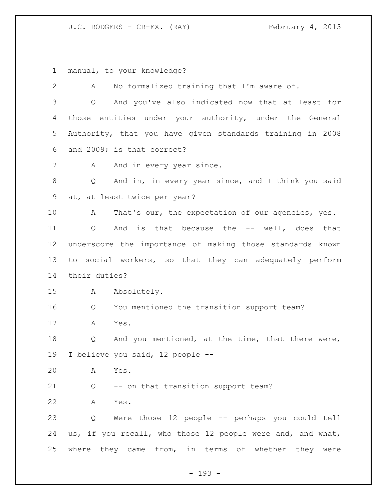manual, to your knowledge?

 A No formalized training that I'm aware of. Q And you've also indicated now that at least for those entities under your authority, under the General Authority, that you have given standards training in 2008 and 2009; is that correct? 7 A And in every year since. Q And in, in every year since, and I think you said at, at least twice per year? 10 A That's our, the expectation of our agencies, yes. Q And is that because the -- well, does that underscore the importance of making those standards known to social workers, so that they can adequately perform their duties? A Absolutely. Q You mentioned the transition support team? A Yes. Q And you mentioned, at the time, that there were, I believe you said, 12 people -- A Yes. Q -- on that transition support team? A Yes. Q Were those 12 people -- perhaps you could tell us, if you recall, who those 12 people were and, and what, where they came from, in terms of whether they were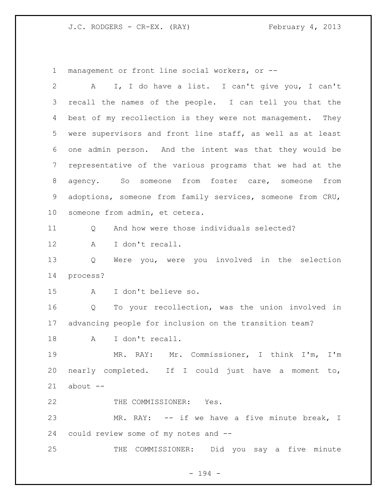management or front line social workers, or --

| $\overline{2}$ | I, I do have a list. I can't give you, I can't<br>A        |
|----------------|------------------------------------------------------------|
| 3              | recall the names of the people. I can tell you that the    |
| 4              | best of my recollection is they were not management. They  |
| 5              | were supervisors and front line staff, as well as at least |
| 6              | one admin person. And the intent was that they would be    |
| 7              | representative of the various programs that we had at the  |
| 8              | agency. So someone from foster care, someone from          |
| 9              | adoptions, someone from family services, someone from CRU, |
| 10             | someone from admin, et cetera.                             |
| 11             | And how were those individuals selected?<br>Q              |
| 12             | I don't recall.<br>Α                                       |
| 13             | Were you, were you involved in the selection<br>Q          |
| 14             | process?                                                   |
| 15             | I don't believe so.<br>A                                   |
| 16             | To your recollection, was the union involved in<br>Q       |
| 17             | advancing people for inclusion on the transition team?     |
| 18             | I don't recall.<br>A                                       |
| 19             | MR. RAY: Mr. Commissioner, I think I'm, I'm                |
|                | 20 nearly completed. If I could just have a moment to,     |
| 21             | about --                                                   |
| 22             | THE COMMISSIONER: Yes.                                     |
| 23             | MR. RAY: -- if we have a five minute break, I              |
| 24             | could review some of my notes and --                       |
| 25             | THE COMMISSIONER: Did you say a five minute                |

- 194 -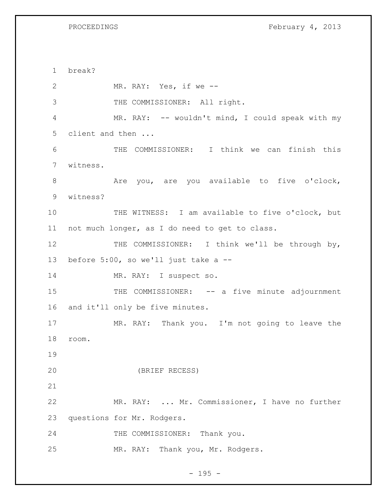PROCEEDINGS February 4, 2013

 break? MR. RAY: Yes, if we -- THE COMMISSIONER: All right. MR. RAY: -- wouldn't mind, I could speak with my client and then ... THE COMMISSIONER: I think we can finish this witness. 8 Are you, are you available to five o'clock, witness? THE WITNESS: I am available to five o'clock, but not much longer, as I do need to get to class. 12 THE COMMISSIONER: I think we'll be through by, before 5:00, so we'll just take a -- 14 MR. RAY: I suspect so. 15 THE COMMISSIONER: -- a five minute adjournment and it'll only be five minutes. MR. RAY: Thank you. I'm not going to leave the room. (BRIEF RECESS) MR. RAY: ... Mr. Commissioner, I have no further questions for Mr. Rodgers. 24 THE COMMISSIONER: Thank you. 25 MR. RAY: Thank you, Mr. Rodgers.

- 195 -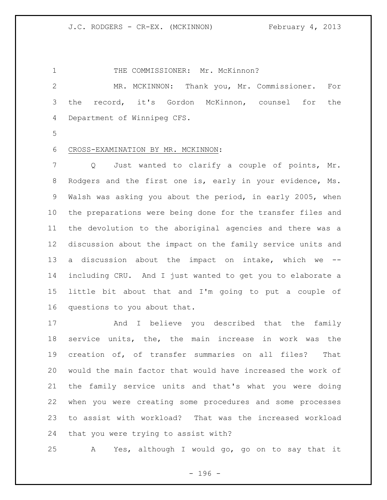1 THE COMMISSIONER: Mr. McKinnon? MR. MCKINNON: Thank you, Mr. Commissioner. For the record, it's Gordon McKinnon, counsel for the Department of Winnipeg CFS.

## CROSS-EXAMINATION BY MR. MCKINNON:

7 Q Just wanted to clarify a couple of points, Mr. Rodgers and the first one is, early in your evidence, Ms. Walsh was asking you about the period, in early 2005, when the preparations were being done for the transfer files and the devolution to the aboriginal agencies and there was a discussion about the impact on the family service units and a discussion about the impact on intake, which we -- including CRU. And I just wanted to get you to elaborate a little bit about that and I'm going to put a couple of questions to you about that.

17 And I believe you described that the family service units, the, the main increase in work was the creation of, of transfer summaries on all files? That would the main factor that would have increased the work of the family service units and that's what you were doing when you were creating some procedures and some processes to assist with workload? That was the increased workload that you were trying to assist with?

A Yes, although I would go, go on to say that it

- 196 -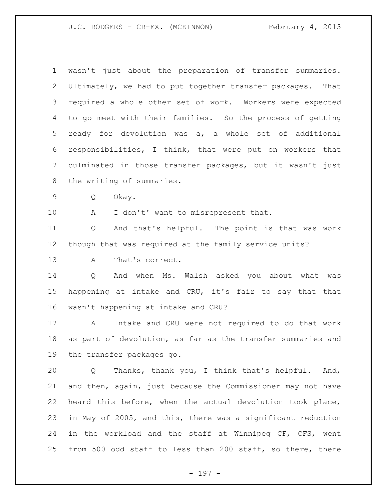J.C. RODGERS - CR-EX. (MCKINNON) February 4, 2013

| $\mathbf 1$     | wasn't just about the preparation of transfer summaries.    |
|-----------------|-------------------------------------------------------------|
| $\overline{2}$  | Ultimately, we had to put together transfer packages. That  |
| 3               | required a whole other set of work. Workers were expected   |
| 4               | to go meet with their families. So the process of getting   |
| 5               | ready for devolution was a, a whole set of additional       |
| 6               | responsibilities, I think, that were put on workers that    |
| 7               | culminated in those transfer packages, but it wasn't just   |
| 8               | the writing of summaries.                                   |
| $\mathsf 9$     | Q<br>Okay.                                                  |
| 10              | I don't' want to misrepresent that.<br>A                    |
| 11              | And that's helpful. The point is that was work<br>Q         |
| 12 <sup>°</sup> | though that was required at the family service units?       |
| 13              | That's correct.<br>Α                                        |
| 14              | And when Ms. Walsh asked you about what was<br>Q            |
| 15              | happening at intake and CRU, it's fair to say that that     |
| 16              | wasn't happening at intake and CRU?                         |
| 17              | Intake and CRU were not required to do that work<br>A       |
| 18              | as part of devolution, as far as the transfer summaries and |
| 19              | the transfer packages go.                                   |
| 20              | Thanks, thank you, I think that's helpful. And,<br>Q        |
| 21              | and then, again, just because the Commissioner may not have |
| 22              | heard this before, when the actual devolution took place,   |
| 23              | in May of 2005, and this, there was a significant reduction |
| 24              | in the workload and the staff at Winnipeg CF, CFS, went     |
| 25              | from 500 odd staff to less than 200 staff, so there, there  |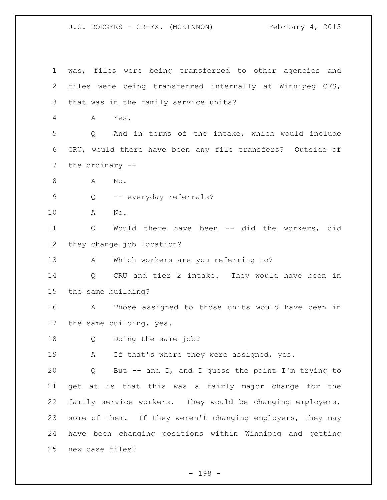J.C. RODGERS - CR-EX. (MCKINNON) February 4, 2013

 was, files were being transferred to other agencies and files were being transferred internally at Winnipeg CFS, that was in the family service units? A Yes. Q And in terms of the intake, which would include CRU, would there have been any file transfers? Outside of the ordinary -- 8 A No. Q -- everyday referrals? A No. Q Would there have been -- did the workers, did they change job location? A Which workers are you referring to? Q CRU and tier 2 intake. They would have been in the same building? A Those assigned to those units would have been in the same building, yes. Q Doing the same job? 19 A If that's where they were assigned, yes. Q But -- and I, and I guess the point I'm trying to get at is that this was a fairly major change for the family service workers. They would be changing employers, 23 some of them. If they weren't changing employers, they may have been changing positions within Winnipeg and getting new case files?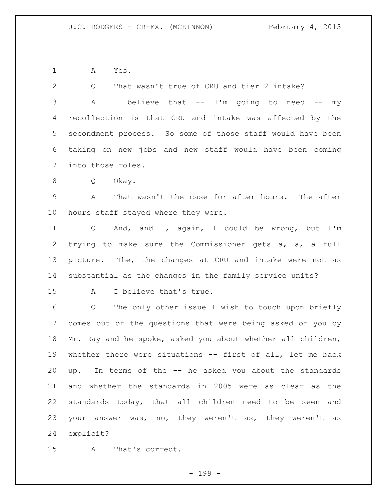A Yes.

 Q That wasn't true of CRU and tier 2 intake? 3 A I believe that -- I'm going to need -- my recollection is that CRU and intake was affected by the secondment process. So some of those staff would have been taking on new jobs and new staff would have been coming into those roles. Q Okay. A That wasn't the case for after hours. The after hours staff stayed where they were. Q And, and I, again, I could be wrong, but I'm trying to make sure the Commissioner gets a, a, a full picture. The, the changes at CRU and intake were not as substantial as the changes in the family service units? A I believe that's true. Q The only other issue I wish to touch upon briefly comes out of the questions that were being asked of you by Mr. Ray and he spoke, asked you about whether all children, whether there were situations -- first of all, let me back up. In terms of the -- he asked you about the standards and whether the standards in 2005 were as clear as the standards today, that all children need to be seen and your answer was, no, they weren't as, they weren't as explicit?

A That's correct.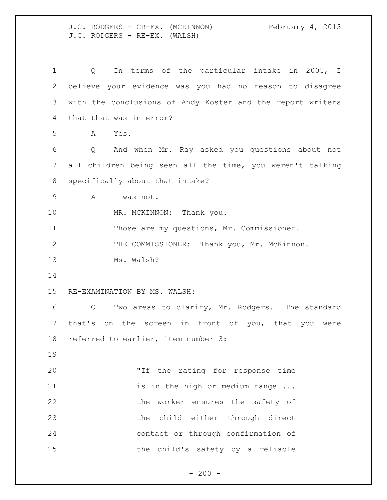J.C. RODGERS - CR-EX. (MCKINNON) February 4, 2013 J.C. RODGERS - RE-EX. (WALSH)

| 1  | In terms of the particular intake in 2005, I<br>Q                   |
|----|---------------------------------------------------------------------|
| 2  | believe your evidence was you had no reason to disagree             |
| 3  | with the conclusions of Andy Koster and the report writers          |
| 4  | that that was in error?                                             |
| 5  | Α<br>Yes.                                                           |
| 6  | And when Mr. Ray asked you questions about not<br>$Q \qquad \qquad$ |
| 7  | all children being seen all the time, you weren't talking           |
| 8  | specifically about that intake?                                     |
| 9  | A<br>I was not.                                                     |
| 10 | MR. MCKINNON: Thank you.                                            |
| 11 | Those are my questions, Mr. Commissioner.                           |
| 12 | THE COMMISSIONER: Thank you, Mr. McKinnon.                          |
| 13 | Ms. Walsh?                                                          |
| 14 |                                                                     |
| 15 | RE-EXAMINATION BY MS. WALSH:                                        |
| 16 | Two areas to clarify, Mr. Rodgers. The standard<br>Q                |
| 17 | that's on the screen in front of you, that you were                 |
| 18 | referred to earlier, item number 3:                                 |
| 19 |                                                                     |
| 20 | "If the rating for response time                                    |
| 21 | is in the high or medium range                                      |
| 22 | the worker ensures the safety of                                    |
| 23 | the child either through direct                                     |
| 24 | contact or through confirmation of                                  |
| 25 | the child's safety by a reliable                                    |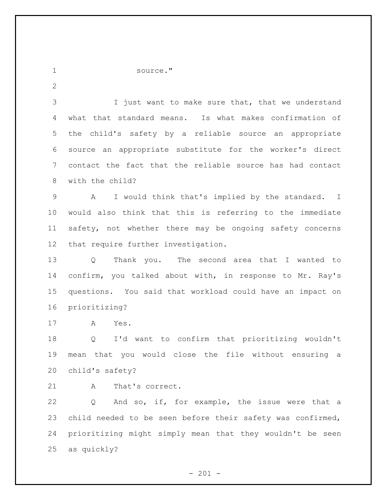source."

3 I just want to make sure that, that we understand what that standard means. Is what makes confirmation of the child's safety by a reliable source an appropriate source an appropriate substitute for the worker's direct contact the fact that the reliable source has had contact with the child?

 A I would think that's implied by the standard. I would also think that this is referring to the immediate safety, not whether there may be ongoing safety concerns that require further investigation.

 Q Thank you. The second area that I wanted to confirm, you talked about with, in response to Mr. Ray's questions. You said that workload could have an impact on prioritizing?

A Yes.

 Q I'd want to confirm that prioritizing wouldn't mean that you would close the file without ensuring a child's safety?

21 A That's correct.

 Q And so, if, for example, the issue were that a child needed to be seen before their safety was confirmed, prioritizing might simply mean that they wouldn't be seen as quickly?

 $- 201 -$